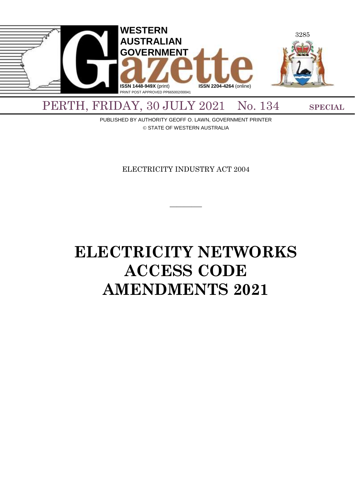

PUBLISHED BY AUTHORITY GEOFF O. LAWN, GOVERNMENT PRINTER © STATE OF WESTERN AUSTRALIA

ELECTRICITY INDUSTRY ACT 2004

 $\overline{\phantom{a}}$ 

# **ELECTRICITY NETWORKS ACCESS CODE AMENDMENTS 2021**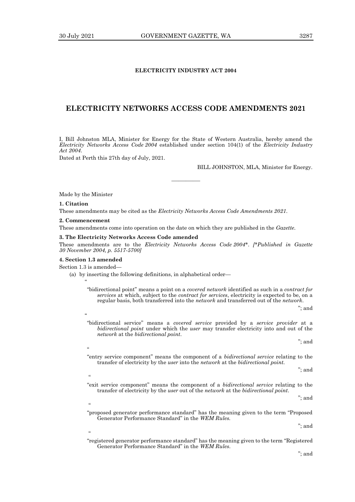# **ELECTRICITY INDUSTRY ACT 2004**

# **ELECTRICITY NETWORKS ACCESS CODE AMENDMENTS 2021**

I, Bill Johnston MLA, Minister for Energy for the State of Western Australia, hereby amend the *Electricity Networks Access Code 2004* established under section 104(1) of the *Electricity Industry Act 2004*.

————

Dated at Perth this 27th day of July, 2021.

BILL JOHNSTON, MLA, Minister for Energy.

Made by the Minister

#### **1. Citation**

These amendments may be cited as the *Electricity Networks Access Code Amendments 2021*.

#### **2. Commencement**

These amendments come into operation on the date on which they are published in the *Gazette*.

# **3. The Electricity Networks Access Code amended**

These amendments are to the *Electricity Networks Access Code 2004\**. *[\*Published in Gazette 30 November 2004, p. 5517-5700]*

#### **4. Section 1.3 amended**

Section 1.3 is amended—

 $\ddot{\phantom{0}}$ 

 $\epsilon$ 

 $\ddot{\phantom{0}}$ 

.<br>co

<u>،</u>

"

- (a) by inserting the following definitions, in alphabetical order—
	- "bidirectional point" means a point on a *covered network* identified as such in a *contract for services* at which, subject to the *contract for services*, electricity is expected to be, on a regular basis, both transferred into the *network* and transferred out of the *network*.
	- "bidirectional service" means a *covered service* provided by a *service provider* at a *bidirectional point* under which the *user* may transfer electricity into and out of the *network* at the *bidirectional point*.

"; and

"; and

"entry service component" means the component of a *bidirectional service* relating to the transfer of electricity by the *user* into the *network* at the *bidirectional point.*

"; and

"; and

- "exit service component" means the component of a *bidirectional service* relating to the transfer of electricity by the *user* out of the *network* at the *bidirectional point*.
- "proposed generator performance standard" has the meaning given to the term "Proposed Generator Performance Standard" in the *WEM Rules.*

"; and

"registered generator performance standard" has the meaning given to the term "Registered Generator Performance Standard" in the *WEM Rules*.

"; and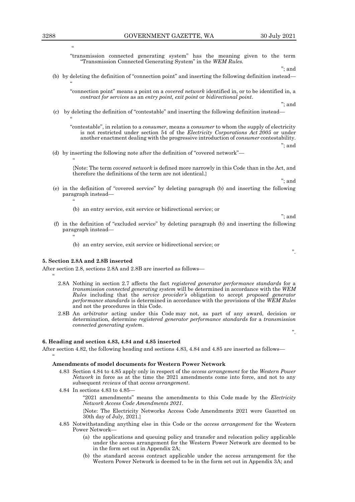"transmission connected generating system" has the meaning given to the term "Transmission Connected Generating System" in the *WEM Rules.*

"; and

# (b) by deleting the definition of "connection point" and inserting the following definition instead—

"connection point" means a point on a *covered network* identified in, or to be identified in, a *contract for services* as an *entry point, exit point* or *bidirectional point*.

"; and

(c) by deleting the definition of "contestable" and inserting the following definition instead—  $\ddot{\phantom{0}}$ 

"contestable", in relation to a *consumer*, means a *consumer* to whom the supply of electricity is not restricted under section 54 of the *Electricity Corporations Act 2005* or under another enactment dealing with the progressive introduction of *consumer* contestability.

(d) by inserting the following note after the definition of "covered network"—

{Note: The term *covered network* is defined more narrowly in this Code than in the Act, and therefore the definitions of the term are not identical.}

"; and

"; and

".

".

"; and

- (e) in the definition of "covered service" by deleting paragraph (b) and inserting the following paragraph instead—
	- (b) an entry service, exit service or bidirectional service; or
- (f) in the definition of "excluded service" by deleting paragraph (b) and inserting the following paragraph instead—

(b) an entry service, exit service or bidirectional service; or

# **5. Section 2.8A and 2.8B inserted**

After section 2.8, sections 2.8A and 2.8B are inserted as follows—  $\ddot{\phantom{0}}$ 

- 2.8A Nothing in section 2.7 affects the fact *registered generator performance standards* for a *transmission connected generating system* will be determined in accordance with the *WEM Rules* including that the *service provider's* obligation to accept *proposed generator performance standards* is determined in accordance with the provisions of the *WEM Rules*  and not the procedures in this Code.
- 2.8B An *arbitrator* acting under this Code may not, as part of any award, decision or determination, determine *registered generator performance standards* for a *transmission connected generating system*.

# **6. Heading and section 4.83, 4.84 and 4.85 inserted**

After section 4.82, the following heading and sections 4.83, 4.84 and 4.85 are inserted as follows—

#### **Amendments of model documents for Western Power Network**

- 4.83 Section 4.84 to 4.85 apply only in respect of the *access arrangement* for the *Western Power Network* in force as at the time the 2021 amendments come into force, and not to any subsequent *reviews* of that *access arrangement*.
- 4.84 In sections 4.83 to 4.85— "2021 amendments" means the amendments to this Code made by the *Electricity Network Access Code Amendments 2021*. {Note: The Electricity Networks Access Code Amendments 2021 were Gazetted on

30th day of July, 2021.}

- 4.85 Notwithstanding anything else in this Code or the *access arrangement* for the Western Power Network—
	- (a) the applications and queuing policy and transfer and relocation policy applicable under the access arrangement for the Western Power Network are deemed to be in the form set out in Appendix 2A;
	- (b) the standard access contract applicable under the access arrangement for the Western Power Network is deemed to be in the form set out in Appendix 3A; and

"

 $\epsilon\epsilon$ 

 $\ddot{\phantom{0}}$ 

 $\ddot{\phantom{0}}$ 

<sup>22</sup>

 $\ddot{\phantom{0}}$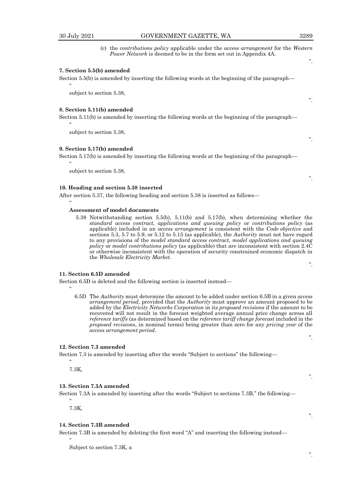$\epsilon$ 

 $\alpha$ 

 $"$ 

 $\ddot{\phantom{0}}$ 

 $\ddot{\phantom{0}}$ 

".

".

".

".

".

".

".

".

(c) the *contributions policy* applicable under the *access arrangement* for the *Western Power Network* is deemed to be in the form set out in Appendix 4A.

# **7. Section 5.5(b) amended**

Section 5.5(b) is amended by inserting the following words at the beginning of the paragraph—

subject to section 5.38,

#### **8. Section 5.11(b) amended**

Section 5.11(b) is amended by inserting the following words at the beginning of the paragraph—

subject to section 5.38,

# **9. Section 5.17(b) amended**

Section 5.17(b) is amended by inserting the following words at the beginning of the paragraph—

subject to section 5.38,

# **10. Heading and section 5.38 inserted**

After section 5.37, the following heading and section 5.38 is inserted as follows—

#### **Assessment of model documents**

5.38 Notwithstanding section 5.5(b), 5.11(b) and 5.17(b), when determining whether the *standard access contract, applications and queuing policy* or *contributions policy* (as applicable) included in an *access arrangement* is consistent with the *Code objective* and sections 5.3, 5.7 to 5.9, or 5.12 to 5.15 (as applicable), the *Authority* must not have regard to any provisions of the *model standard access contract, model applications and queuing policy* or *model contributions policy* (as applicable) that are inconsistent with section 2.4C or otherwise inconsistent with the operation of security constrained economic dispatch in the *Wholesale Electricity Market*.

# **11. Section 6.5D amended**

Section 6.5D is deleted and the following section is inserted instead—

6.5D The *Authority* must determine the amount to be added under section 6.5B in a given *access arrangement period*, provided that the *Authority* must approve an amount proposed to be added by the *Electricity Networks Corporation* in its *proposed revisions* if the amount to be recovered will not result in the forecast weighted average annual price change across all *reference tariffs* (as determined based on the *reference tariff change forecast* included in the *proposed revisions*, in nominal terms) being greater than zero for any *pricing year* of the *access arrangement period*.

# **12. Section 7.3 amended**

Section 7.3 is amended by inserting after the words "Subject to sections" the following—

7.3K,

 $\epsilon$ 

#### **13. Section 7.3A amended**

Section 7.3A is amended by inserting after the words "Subject to sections 7.3B," the following—

7.3K,

"

 $\ddot{\phantom{0}}$ 

#### **14. Section 7.3B amended**

Section 7.3B is amended by deleting the first word "A" and inserting the following instead—

Subject to section 7.3K, a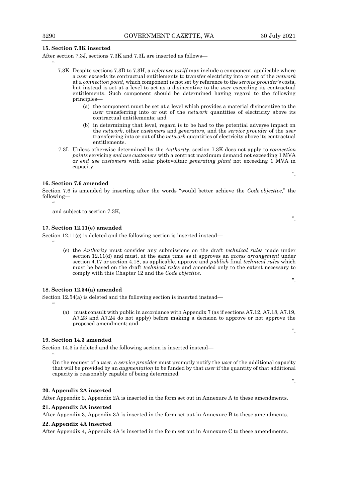# **15. Section 7.3K inserted**

After section 7.3J, sections 7.3K and 7.3L are inserted as follows—

- 7.3K Despite sections 7.3D to 7.3H, a *reference tariff* may include a component, applicable where a *user* exceeds its contractual entitlements to transfer electricity into or out of the *network* at a *connection point*, which component is not set by reference to the *service provider's* costs, but instead is set at a level to act as a disincentive to the *user* exceeding its contractual entitlements. Such component should be determined having regard to the following principles—
	- (a) the component must be set at a level which provides a material disincentive to the *user* transferring into or out of the *network* quantities of electricity above its contractual entitlements; and
	- (b) in determining that level, regard is to be had to the potential adverse impact on the *network*, other *customers* and *generators*, and the *service provider* of the *user* transferring into or out of the *network* quantities of electricity above its contractual entitlements.
- 7.3L Unless otherwise determined by the *Authority*, section 7.3K does not apply to *connection points* servicing *end use customers* with a contract maximum demand not exceeding 1 MVA or *end use customers* with solar photovoltaic *generating plant* not exceeding 1 MVA in capacity.

# **16. Section 7.6 amended**

Section 7.6 is amended by inserting after the words "would better achieve the *Code objective,*" the following— "

and subject to section 7.3K,

# **17. Section 12.11(e) amended**

 $\ddot{\phantom{0}}$ 

 $\ddot{\phantom{0}}$ 

 $\ddot{\phantom{0}}$ 

Section 12.11(e) is deleted and the following section is inserted instead—

(e) the *Authority* must consider any submissions on the draft *technical rules* made under section 12.11(d) and must, at the same time as it approves an *access arrangement* under section 4.17 or section 4.18, as applicable, approve and *publish* final *technical rules* which must be based on the draft *technical rules* and amended only to the extent necessary to comply with this Chapter 12 and the *Code objective*.

# **18. Section 12.54(a) amended**

Section 12.54(a) is deleted and the following section is inserted instead—

(a) must consult with public in accordance with Appendix 7 (as if sections A7.12, A7.18, A7.19, A7.23 and A7.24 do not apply) before making a decision to approve or not approve the proposed amendment; and

# **19. Section 14.3 amended**

Section 14.3 is deleted and the following section is inserted instead—

On the request of a *user*, a *service provider* must promptly notify the *user* of the additional capacity that will be provided by an *augmentation* to be funded by that *user* if the quantity of that additional capacity is reasonably capable of being determined.

#### **20. Appendix 2A inserted**

After Appendix 2, Appendix 2A is inserted in the form set out in Annexure A to these amendments.

# **21. Appendix 3A inserted**

After Appendix 3, Appendix 3A is inserted in the form set out in Annexure B to these amendments.

#### **22. Appendix 4A inserted**

After Appendix 4, Appendix 4A is inserted in the form set out in Annexure C to these amendments.

 $"$ 

".

".

".

".

".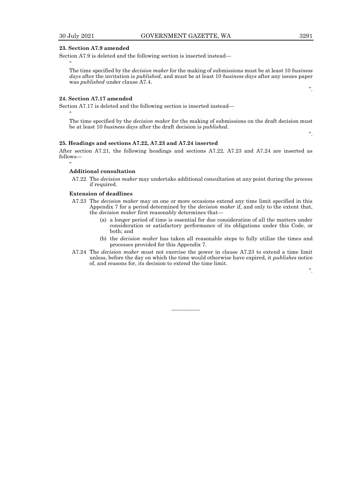$"$ 

 $"$ 

 $\ddot{\phantom{0}}$ 

# **23. Section A7.9 amended**

Section A7.9 is deleted and the following section is inserted instead—

The time specified by the *decision maker* for the making of submissions must be at least 10 *business days* after the invitation is *published*, and must be at least 10 *business days* after any issues paper was *published* under clause A7.4.

# **24. Section A7.17 amended**

Section A7.17 is deleted and the following section is inserted instead—

The time specified by the *decision maker* for the making of submissions on the draft decision must be at least 10 *business days* after the draft decision is *published*.

#### **25. Headings and sections A7.22, A7.23 and A7.24 inserted**

After section A7.21, the following headings and sections A7.22, A7.23 and A7.24 are inserted as follows—

#### **Additional consultation**

A7.22 The *decision maker* may undertake additional consultation at any point during the process if required.

# **Extension of deadlines**

- A7.23 The *decision maker* may on one or more occasions extend any time limit specified in this Appendix 7 for a period determined by the *decision maker* if, and only to the extent that, the *decision maker* first reasonably determines that—
	- (a) a longer period of time is essential for due consideration of all the matters under consideration or satisfactory performance of its obligations under this Code, or both; and
	- (b) the *decision maker* has taken all reasonable steps to fully utilize the times and processes provided for this Appendix 7.
- A7.24 The *decision maker* must not exercise the power in clause A7.23 to extend a time limit unless, before the day on which the time would otherwise have expired, it *publishes* notice of, and reasons for, its decision to extend the time limit.

————

".

".

".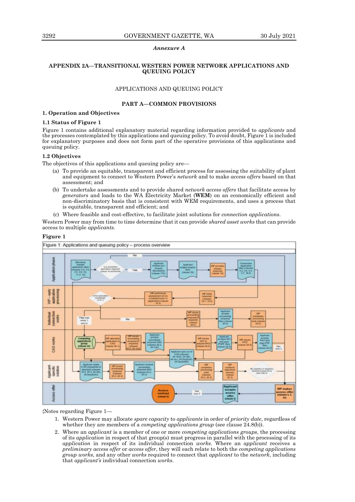# *Annexure A*

# **APPENDIX 2A—TRANSITIONAL WESTERN POWER NETWORK APPLICATIONS AND QUEUING POLICY**

# APPLICATIONS AND QUEUING POLICY

# **PART A—COMMON PROVISIONS**

# **1. Operation and Objectives**

# **1.1 Status of Figure 1**

Figure 1 contains additional explanatory material regarding information provided to *applicants* and the processes contemplated by this applications and queuing policy. To avoid doubt, Figure 1 is included for explanatory purposes and does not form part of the operative provisions of this applications and queuing policy.

# **1.2 Objectives**

The objectives of this applications and queuing policy are—

- (a) To provide an equitable, transparent and efficient process for assessing the suitability of plant and equipment to connect to Western Power's *network* and to make *access offers* based on that assessment; and
- (b) To undertake assessments and to provide shared *network access offers* that facilitate access by *generators* and loads to the WA Electricity Market (**WEM**) on an economically efficient and non-discriminatory basis that is consistent with WEM requirements, and uses a process that is equitable, transparent and efficient; and
- (c) Where feasible and cost-effective, to facilitate joint solutions for *connection applications*.

Western Power may from time to time determine that it can provide *shared asset works* that can provide access to multiple *applicants.*



# **Figure 1**

{Notes regarding Figure 1—

- 1. Western Power may allocate *spare capacity* to *applicants* in order of *priority date*, regardless of whether they are members of a *competing applications group* (see clause 24.8(b)).
- 2. Where an *applicant* is a member of one or more *competing applications groups*, the processing of its *application* in respect of that group(s) must progress in parallel with the processing of its *application* in respect of its individual connection *works*. Where an *applicant* receives a *preliminary access offer* or *access offer*, they will each relate to both the *competing applications group works*, and any other *works* required to connect that *applicant* to the *network*, including that *applicant's* individual connection *works*.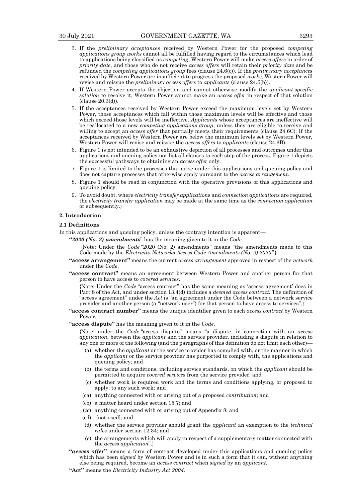- 
- 3. If the *preliminary acceptance*s received by Western Power for the proposed *competing applications group works* cannot all be fulfilled having regard to the circumstances which lead to applications being classified as *competing*, Western Power will make *access offers* in order of *priority date*, and those who do not receive *access offers* will retain their *priority date* and be refunded the *competing applications group* fees (clause 24.6(c)). If the *preliminary acceptance*s received by Western Power are insufficient to progress the proposed *works*, Western Power will revise and reissue the *preliminary access offers* to *applicants* (clause 24.6(b)).
- 4. If Western Power accepts the objection and cannot otherwise modify the *applicant-specific solution* to resolve it, Western Power cannot make an *access offer* in respect of that solution (clause 20.3(d)).
- 5. If the acceptances received by Western Power exceed the maximum levels set by Western Power, those acceptances which fall within those maximum levels will be effective and those which exceed those levels will be ineffective. *Applicants* whose acceptances are ineffective will be reallocated to a new *competing applications group*, unless they are eligible to receive and willing to accept an *access offer* that partially meets their requirements (clause 24.6C). If the acceptances received by Western Power are below the minimum levels set by Western Power, Western Power will revise and reissue the *access offers* to *applicants* (clause 24.6B).
- 6. Figure 1 is not intended to be an exhaustive depiction of all processes and outcomes under this applications and queuing policy nor list all clauses to each step of the process. Figure 1 depicts the successful pathways to obtaining an *access offer* only.
- 7. Figure 1 is limited to the processes that arise under this applications and queuing policy and does not capture processes that otherwise apply pursuant to the *access arrangement*.
- 8. Figure 1 should be read in conjunction with the operative provisions of this applications and queuing policy.
- 9. To avoid doubt, where *electricity transfer application*s and *connection application*s are required, the *electricity transfer application* may be made at the same time as the *connection application* or subsequently.}

#### **2. Introduction**

#### **2.1 Definitions**

- In this applications and queuing policy, unless the contrary intention is apparent—
	- **"***2020 (No. 2) amendments*" has the meaning given to it in the *Code*.
		- {Note: Under the *Code* "2020 (No. 2) amendments" means "the amendments made to this Code made by the *Electricity Networks Access Code Amendments (No. 2) 2020".*}
	- **"access arrangement"** means the current *access arrangement* approved in respect of the *network* under the *Code*.
	- **"access contract"** means an agreement between Western Power and another person for that person to have access to *covered services*.

{Note: Under the *Code* "access contract" has the same meaning as 'access agreement' does in Part 8 of the Act, and under section 13.4(d) includes a *deemed access contract.* The definition of "access agreement" under the *Act* is "an agreement under the Code between a network service provider and another person (a "network user") for that person to have access to services".}

**"access contract number"** means the unique identifier given to each *access contract* by Western Power.

**"access dispute"** has the meaning given to it in the *Code*.

{Note: under the *Code* "access dispute" means "a dispute, in connection with an *access application*, between the *applicant* and the service provider, including a dispute in relation to any one or more of the following (and the paragraphs of this definition do not limit each other)—

- (a) whether the *applicant* or the service provider has complied with, or the manner in which the *applicant* or the service provider has purported to comply with, the applications and queuing policy; and
- (b) the terms and conditions, including service standards, on which the *applicant* should be permitted to acquire *covered service*s from the service provider; and
- (c) whether work is required work and the terms and conditions applying, or proposed to apply, to any such work; and
- (ca) anything connected with or arising out of a proposed *contribution*; and
- (cb) a matter heard under section 15.7; and
- (cc) anything connected with or arising out of Appendix 8; and
- (cd) [not used]; and
- (d) whether the service provider should grant the *applicant* an exemption to the *technical rules* under section 12.34; and
- (e) the arrangements which will apply in respect of a supplementary matter connected with the *access application*".}
- **"***access offer***"** means a form of contract developed under this applications and queuing policy which has been *signed* by Western Power and is in such a form that it can, without anything else being required, become an *access contract* when *signed* by an *applicant*.
- **"Act"** means the *Electricity Industry Act 2004*.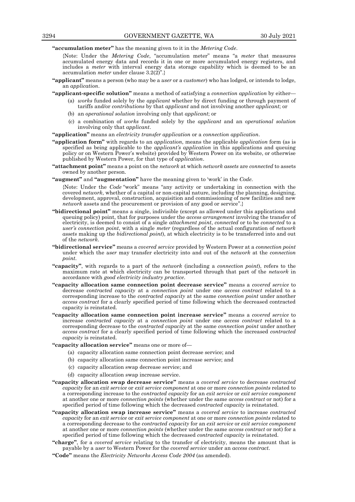**"accumulation meter"** has the meaning given to it in the *Metering Code*.

{Note: Under the *Metering Code*, "accumulation meter" means "a *meter* that measures accumulated energy data and records it in one or more accumulated energy registers, and includes a *meter* with interval energy data storage capability which is deemed to be an accumulation *meter* under clause 3.2(2)".}

- **"applicant"** means a person (who may be a *user* or a *customer*) who has lodged, or intends to lodge, an *application*.
- **"applicant-specific solution"** means a method of satisfying a *connection application* by either—
	- (a) *works* funded solely by the *applicant* whether by direct funding or through payment of tariffs and/or *contributions* by that *applicant* and not involving another *applicant*; or
	- (b) an *operational solution* involving only that *applicant*; or
	- (c) a combination of *works* funded solely by the *applicant* and an *operational solution*  involving only that *applicant*.
- **"application"** means an *electricity transfer application* or a *connection application*.
- **"application form"** with regards to an *application*, means the applicable *application* form (as is specified as being applicable to the *applicant's application* in this applications and queuing policy or on Western Power's website) provided by Western Power on its website, or otherwise published by Western Power, for that type of *application*.
- **"attachment point"** means a point on the *network* at which *network assets* are *connected* to assets owned by another person.
- **"augment"** and **"augmentation"** have the meaning given to 'work' in the *Code*.

{Note: Under the *Code* "work" means "any activity or undertaking in connection with the covered *network*, whether of a capital or non-capital nature, including the planning, designing, development, approval, construction, acquisition and commissioning of new facilities and new *network* assets and the procurement or provision of any good or service".}

- **"bidirectional point"** means a single, indivisible (except as allowed under this applications and queuing policy) point, that for purposes under the *access arrangement* involving the transfer of electricity, is deemed to consist of a single *attachment point*, *connected* or to be *connected* to a *user's connection point*, with a single *meter* (regardless of the actual configuration of *network assets* making up the *bidirectional point*), at which electricity is to be transferred into and out of the *network*.
- **"bidirectional service"** means a *covered service* provided by Western Power at a *connection point* under which the *user* may transfer electricity into and out of the *network* at the *connection point*.
- **"capacity"**, with regards to a part of the *network* (including a *connection point*), refers to the maximum rate at which electricity can be transported through that part of the *network* in accordance with *good electricity industry practice*.
- **"capacity allocation same connection point decrease service"** means a *covered service* to decrease *contracted capacity* at a *connection point* under one *access contract* related to a corresponding increase to the *contracted capacity* at the same *connection point* under another *access contract* for a clearly specified period of time following which the decreased contracted capacity is reinstated.
- **"capacity allocation same connection point increase service"** means a *covered service* to increase *contracted capacity* at a *connection point* under one *access contract* related to a corresponding decrease to the *contracted capacity* at the same *connection point* under another *access contract* for a clearly specified period of time following which the increased *contracted capacity* is reinstated.

**"capacity allocation service"** means one or more of—

- (a) capacity allocation same connection point decrease service; and
- (b) capacity allocation same connection point increase service; and
- (c) capacity allocation swap decrease service; and
- (d) capacity allocation swap increase service.
- **"capacity allocation swap decrease service"** means a *covered service* to decrease *contracted capacity* for an *exit service* or *exit service component* at one or more *connection points* related to a corresponding increase to the *contracted capacity* for an *exit service* or *exit service component*  at another one or more *connection points* (whether under the same *access contract* or not) for a specified period of time following which the decreased *contracted capacity* is reinstated.
- **"capacity allocation swap increase service"** means a *covered service* to increase *contracted capacity* for an *exit service* or *exit service component* at one or more *connection points* related to a corresponding decrease to the *contracted capacity* for an *exit service* or *exit service component*  at another one or more *connection points* (whether under the same *access contract* or not) for a specified period of time following which the decreased *contracted capacity* is reinstated.
- **"charge"**, for a *covered service* relating to the transfer of electricity, means the amount that is payable by a *user* to Western Power for the *covered service* under an *access contract*.
- **"Code"** means the *Electricity Networks Access Code 2004* (as amended).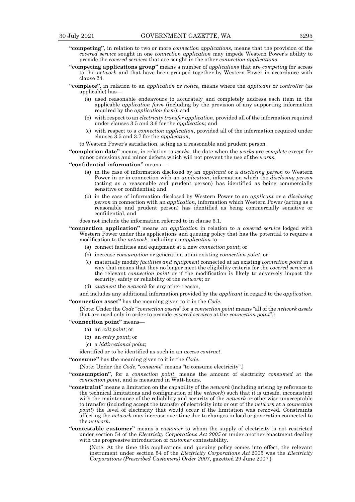- **"competing"**, in relation to two or more *connection applications*, means that the provision of the *covered service* sought in one *connection application* may impede Western Power's ability to provide the c*overed services* that are sought in the other *connection applications*.
- **"competing applications group"** means a number of *applications* that are *competing* for access to the *network* and that have been grouped together by Western Power in accordance with clause 24.
- **"complete"**, in relation to an *application* or *notice*, means where the *applicant* or *controller* (as applicable) has—
	- (a) used reasonable endeavours to accurately and completely address each item in the applicable *application form* (including by the provision of any supporting information required by the *application form*); and
	- (b) with respect to an *electricity transfer application*, provided all of the information required under clauses 3.5 and 3.6 for the *application*; and
	- (c) with respect to a *connection application*, provided all of the information required under clauses 3.5 and 3.7 for the *application*,
	- to Western Power's satisfaction, acting as a reasonable and prudent person.

**"completion date"** means, in relation to *works,* the date when the *works* are *complete* except for minor omissions and minor defects which will not prevent the use of the *works*.

**"confidential information"** means—

- (a) in the case of information disclosed by an *applicant* or a *disclosing person* to Western Power in or in connection with an *application*, information which the *disclosing person* (acting as a reasonable and prudent person) has identified as being commercially sensitive or confidential; and
- (b) in the case of information disclosed by Western Power to an *applicant* or a *disclosing person* in connection with an *application*, information which Western Power (acting as a reasonable and prudent person) has identified as being commercially sensitive or confidential, and

does not include the information referred to in clause 6.1.

- **"connection application"** means an *application* in relation to a *covered service* lodged with Western Power under this applications and queuing policy that has the potential to require a modification to the *network*, including an *application* to—
	- (a) connect facilities and equipment at a new *connection point*; or
	- (b) increase *consumption* or generation at an existing *connection point*; or
	- (c) materially modify *facilities and equipment* connected at an existing *connection point* in a way that means that they no longer meet the eligibility criteria for the *covered service* at the relevant *connection point* or if the modification is likely to adversely impact the security, safety or reliability of the *network*; or
	- (d) *augment* the *network* for any other reason,

and includes any additional information provided by the *applicant* in regard to the *application*. **"connection asset"** has the meaning given to it in the *Code*.

{Note: Under the *Code* "*connection asset*s" for a *connection point* means "all of the *network assets* that are used only in order to provide *covered services* at the *connection point*".}

#### **"connection point"** means—

- (a) an *exit point*; or
- (b) an *entry point*; or
- (c) a *bidirectional point*;

identified or to be identified as such in an *access contract*.

**"consume"** has the meaning given to it in the *Code*.

{Note: Under the *Code*, "*consume*" means "to consume electricity".}

- **"consumption"**, for a *connection point*, means the amount of electricity *consumed* at the *connection point*, and is measured in Watt-hours.
- **"constraint**" means a limitation on the capability of the *network* (including arising by reference to the technical limitations and configuration of the *network*) such that it is unsafe, inconsistent with the maintenance of the reliability and security of the *network* or otherwise unacceptable to transfer (including accept the transfer of electricity into or out of the *network* at a *connection point*) the level of electricity that would occur if the limitation was removed. Constraints affecting the *network* may increase over time due to changes in load or generation connected to the *network*.
- **"contestable customer"** means a *customer* to whom the supply of electricity is not restricted under section 54 of the *Electricity Corporations Act 2005* or under another enactment dealing with the progressive introduction of *customer* contestability.

{Note: At the time this applications and queuing policy comes into effect, the relevant instrument under section 54 of the *Electricity Corporations Act* 2005 was the *Electricity Corporations (Prescribed Customers) Order 2007*, gazetted 29 June 2007.}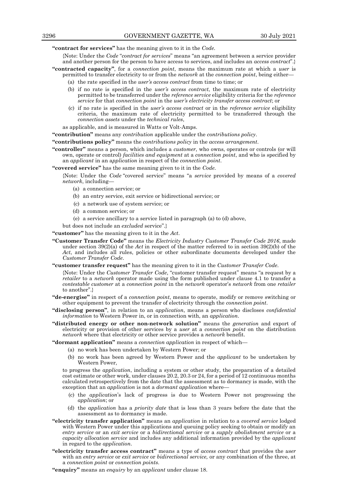**"contract for services"** has the meaning given to it in the *Code.*

- {Note: Under the *Code* "*contract for services*" means "an agreement between a service provider and another person for the person to have access to services, and includes an *access contract*".}
- **"contracted capacity"**, for a *connection point*, means the maximum rate at which a *user* is permitted to transfer electricity to or from the *network* at the *connection point*, being either—
	- (a) the rate specified in the *user's access contract* from time to time; or
	- (b) if no rate is specified in the *user's access contract*, the maximum rate of electricity permitted to be transferred under the *reference service* eligibility criteria for the *reference service* for that *connection point* in the *user's electricity transfer access contract*; or
	- (c) if no rate is specified in the *user's access contract* or in the *reference service* eligibility criteria, the maximum rate of electricity permitted to be transferred through the *connection assets* under the *technical rules*,

as applicable, and is measured in Watts or Volt-Amps.

**"contribution"** means any *contribution* applicable under the *contributions policy*.

**"contributions policy"** means the *contributions policy* in the *access arrangement*.

**"controller"** means a person, which includes a *customer*, who owns, operates or controls (or will own, operate or control) *facilities and equipment* at a *connection point*, and who is specified by an *applicant* in an a*pplication* in respect of the *connection point*.

**"covered service"** has the same meaning given to it in the *Code*.

{Note: Under the *Code* "covered service" means "a *service* provided by means of a *covered network*, including—

- (a) a connection service; or
- (b) an entry service, exit service or bidirectional service; or
- (c) a network use of system service; or
- (d) a common service; or
- (e) a service ancillary to a service listed in paragraph (a) to (d) above,
- but does not include an *excluded* service".}

**"customer"** has the meaning given to it in the *Act*.

- **"Customer Transfer Code"** means the *Electricity Industry Customer Transfer Code 2016*, made under section 39(2)(a) of the *Act* in respect of the matter referred to in section 39(2)(b) of the *Act*, and includes all rules, policies or other subordinate documents developed under the *Customer Transfer Code*.
- **"customer transfer request"** has the meaning given to it in the *Customer Transfer Code*.

{Note: Under the *Customer Transfer Code*, "customer transfer request" means "a request by a *retailer* to a *network* operator made using the form published under clause 4.1 to transfer a *contestable customer* at a *connection point* in the *network* operator's *network* from one *retailer* to another".}

- **"de-energise"** in respect of a *connection point*, means to operate, modify or remove switching or other equipment to prevent the transfer of electricity through the *connection point*.
- **"disclosing person"**, in relation to an *application*, means a person who discloses *confidential information* to Western Power in, or in connection with, an *application*.
- **"distributed energy or other non-network solution"** means the *generation* and export of electricity or provision of other services by a *user* at a *connection point* on the distribution *network* where that electricity or other service provides a *network* benefit.

**"dormant application"** means a *connection application* in respect of which—

- (a) no work has been undertaken by Western Power; or
- (b) no work has been agreed by Western Power and the *applicant* to be undertaken by Western Power,

to progress the *application*, including a system or other study, the preparation of a detailed cost estimate or other work, under clauses 20.2, 20.3 or 24, for a period of 12 continuous months calculated retrospectively from the date that the assessment as to dormancy is made, with the exception that an *application* is not a *dormant application* where—

- (c) the *application*'s lack of progress is due to Western Power not progressing the *application*; or
- (d) the *application* has a *priority date* that is less than 3 years before the date that the assessment as to dormancy is made.
- **"electricity transfer application"** means an *application* in relation to a *covered service* lodged with Western Power under this applications and queuing policy seeking to obtain or modify an *entry service* or an *exit service* or a *bidirectional service* or a *supply abolishment service* or a *capacity allocation service* and includes any additional information provided by the *applicant* in regard to the *application*.
- **"electricity transfer access contract"** means a type of *access contract* that provides the *user* with an *entry service* or *exit service* or *bidirectional service,* or any combination of the three, at a *connection point* or *connection points*.
- **"enquiry"** means an *enquiry* by an *applicant* under clause 18.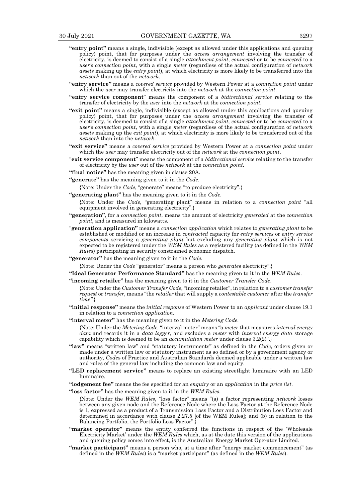- **"entry point"** means a single, indivisible (except as allowed under this applications and queuing policy) point, that for purposes under the *access arrangement* involving the transfer of electricity, is deemed to consist of a single *attachment point*, *connected* or to be *connected* to a *user's connection point*, with a single *meter* (regardless of the actual configuration of *network assets* making up the *entry point*), at which electricity is more likely to be transferred into the *network* than out of the *network*.
- **"entry service"** means a *covered service* provided by Western Power at a *connection point* under which the *user* may transfer electricity into the *network* at the *connection point*.
- **"entry service component**" means the component of a *bidirectional service* relating to the transfer of electricity by the *user* into the *network* at the *connection point.*
- **"exit point"** means a single, indivisible (except as allowed under this applications and queuing policy) point, that for purposes under the *access arrangement* involving the transfer of electricity, is deemed to consist of a single *attachment point*, *connected* or to be *connected* to a *user's connection point*, with a single *meter* (regardless of the actual configuration of *network assets* making up the *exit point*), at which electricity is more likely to be transferred out of the *network* than into the *network*.
- **"exit service"** means a *covered service* provided by Western Power at a *connection point* under which the *user* may transfer electricity out of the *network* at the *connection point*.
- "**exit service component**" means the component of a *bidirectional service* relating to the transfer of electricity by the *user* out of the *network* at the *connection point.*
- **"final notice"** has the meaning given in clause 20A.
- **"generate"** has the meaning given to it in the *Code*.

{Note: Under the *Code*, "generate" means "to produce electricity".}

**"generating plant"** has the meaning given to it in the *Code*.

{Note: Under the *Code*, "generating plant" means in relation to a *connection point* "all equipment involved in generating electricity".}

- **"generation"**, for a *connection point*, means the amount of electricity *generated* at the *connection point*, and is measured in kilowatts.
- "**generation application"** means a *connection application* which relates to *generating plant* to be established or modified or an increase in *contracted* capacity for *entry services* or *entry service components* servicing a *generating plant* but excluding any *generating plant* which is not expected to be registered under the *WEM Rules* as a registered facility (as defined in the *WEM Rules*) participating in security constrained economic dispatch.
- **"generator"** has the meaning given to it in the *Code*.

{Note: Under the *Code* "generator" means a person who *generate*s electricity".}

**"Ideal Generator Performance Standard"** has the meaning given to it in the *WEM Rules*.

**"incoming retailer"** has the meaning given to it in the *Customer Transfer Code*.

- {Note: Under the *Customer Transfer Code*, "incoming retailer", in relation to a *customer transfer request* or *transfer*, means "the *retailer* that will supply a *contestable customer* after the *transfer time"*.}
- **"initial response"** means the *initial response* of Western Power to an *applicant* under clause 19.1 in relation to a *connection application*.
- **"interval meter"** has the meaning given to it in the *Metering Code*.

{Note: Under the *Metering Code,* "interval meter" means "a *meter* that measures *interval energy data* and records it in a *data logger*, and excludes a *meter* with *interval energy data* storage capability which is deemed to be an *accumulation meter* under clause 3.2(2)".}

- **"law"** means "written law" and "statutory instruments" as defined in the *Code*, orders given or made under a written law or statutory instrument as so defined or by a government agency or authority, *Code*s of Practice and Australian Standards deemed applicable under a written law and rules of the general law including the common law and equity.
- **"LED replacement service"** means to replace an existing streetlight luminaire with an LED luminaire.
- **"lodgement fee"** means the fee specified for an *enquiry* or an *application* in the *price list*.

**"loss factor"** has the meaning given to it in the *WEM Rules*.

{Note: Under the *WEM Rules*, *"*loss factor" means "(a) a factor representing *network* losses between any given node and the Reference Node where the Loss Factor at the Reference Node is 1, expressed as a product of a Transmission Loss Factor and a Distribution Loss Factor and determined in accordance with clause 2.27.5 [of the WEM Rules]; and (b) in relation to the Balancing Portfolio, the Portfolio Loss Factor".}

- **"market operator"** means the entity conferred the functions in respect of the 'Wholesale Electricity Market' under the *WEM Rules* which, as at the date this version of the applications and queuing policy comes into effect, is the Australian Energy Market Operator Limited.
- **"market participant"** means a person who, at a time after "energy market commencement" (as defined in the *WEM Rules*) is a "market participant" (as defined in the *WEM Rules*).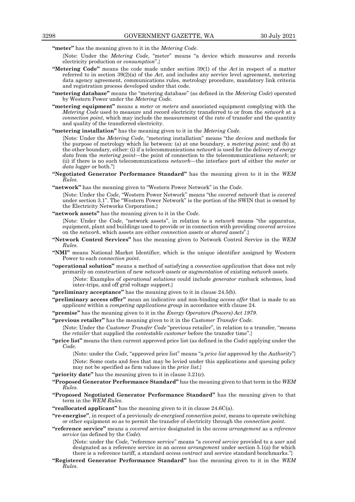**"meter"** has the meaning given to it in the *Metering Code*.

- {Note: Under the *Metering Code*, "meter" means "a device which measures and records electricity production or *consumption*".}
- **"Metering Code"** means the code made under section 39(1) of the *Act* in respect of a matter referred to in section 39(2)(a) of the *Act*, and includes any service level agreement, metering data agency agreement, communications rules, metrology procedure, mandatory link criteria and registration process developed under that code.
- **"metering database"** means the "metering database" (as defined in the *Metering Code*) operated by Western Power under the *Metering Code*.
- **"metering equipment"** means a *meter* or *meters* and associated equipment complying with the *Metering Code* used to measure and record electricity transferred to or from the *network* at a *connection point*, which may include the measurement of the rate of transfer and the quantity and quality of the transferred electricity.
- **"metering installation"** has the meaning given to it in the *Metering Code*.

{Note: Under the *Metering Code*, "metering installation" means "the *devices* and methods for the purpose of metrology which lie between: (a) at one boundary, a *metering point*; and (b) at the other boundary, either: (i) if a telecommunications *network* is used for the delivery of *energy data* from the *metering point*—the point of connection to the telecommunications *network*; or (ii) if there is no such telecommunications *network*—the interface port of either the *meter* or *data logger* or both."}

**"Negotiated Generator Performance Standard"** has the meaning given to it in the *WEM Rules*.

**"network"** has the meaning given to "Western Power Network" in the *Code*.

{Note: Under the *Code*, "Western Power Network" means "the *covered network* that is *covered*  under section 3.1". The "Western Power Network" is the portion of the SWIN that is owned by the Electricity Networks Corporation.}

**"network assets"** has the meaning given to it in the *Code*.

{Note: Under the *Code*, "network assets", in relation to a *network* means "the apparatus, equipment, plant and buildings used to provide or in connection with providing *covered services* on the *network*, which assets are either *connection assets* or *shared assets*".}

- **"Network Control Services"** has the meaning given to Network Control Service in the *WEM Rules*.
- **"NMI"** means National Market Identifier, which is the unique identifier assigned by Western Power to each *connection point*.
- **"operational solution"** means a method of satisfying a *connection application* that does not rely primarily on construction of new *network assets* or *augmentation* of existing *network assets*.
	- {Note: Examples of *operational solutions* could include *generator* runback schemes, load inter-trips, and off grid voltage support.}
- **"preliminary acceptance"** has the meaning given to it in clause 24.5(b).
- **"preliminary access offer"** mean an indicative and non-binding *access offer* that is made to an *applicant* within a *competing applications group* in accordance with clause 24.
- **"premise"** has the meaning given to it in the *Energy Operators (Powers) Act 1979*.
- **"previous retailer"** has the meaning given to it in the *Customer Transfer Code*.

{Note: Under the *Customer Transfer Code* "previous retailer", in relation to a transfer, "means the *retailer* that supplied the *contestable customer* before the transfer time".}

**"price list"** means the then current approved price list (as defined in the *Code*) applying under the *Code*.

{Note: under the *Code,* "approved price list" means "a *price list* approved by the *Authority*"} {Note: Some costs and fees that may be levied under this applications and queuing policy may not be specified as firm values in the *price list*.}

- **"priority date"** has the meaning given to it in clause 3.21(c).
- **"Proposed Generator Performance Standard"** has the meaning given to that term in the *WEM Rules*.
- **"Proposed Negotiated Generator Performance Standard"** has the meaning given to that term in the *WEM Rules.*
- **"reallocated applicant"** has the meaning given to it in clause 24.6C(a).
- **"re-energise"**, in respect of a previously *de-energised connection point*, means to operate switching or other equipment so as to permit the transfer of electricity through the *connection point*.
- **"reference service"** means a *covered service* designated in the *access arrangement* as a *reference service* (as defined by the *Code*).

{Note: under the *Code*, "reference service" means "a *covered service* provided to a *user* and designated as a reference service in an *access arrangement* under section 5.1(a) for which there is a reference tariff, a standard *access contract* and service standard benchmarks."}

**"Registered Generator Performance Standard"** has the meaning given to it in the *WEM Rules*.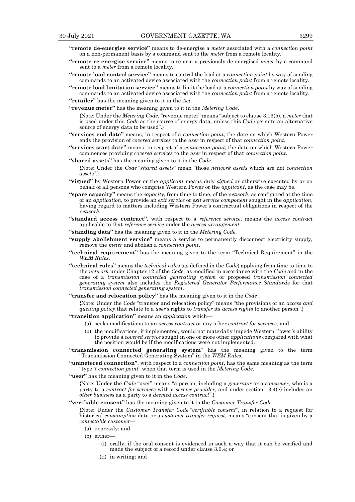- **"remote de-energise service"** means to de-energise a *meter* associated with a *connection point* on a non-permanent basis by a command sent to the *meter* from a remote locality.
- **"remote re-energise service"** means to re-arm a previously de-energised *meter* by a command sent to a *meter* from a remote locality.
- **"remote load control service"** means to control the load at a *connection point* by way of sending commands to an activated device associated with the *connection point* from a remote locality.
- **"remote load limitation service"** means to limit the load at a *connection point* by way of sending commands to an activated device associated with the *connection point* from a remote locality.
- **"retailer"** has the meaning given to it in the *Act*.
- **"revenue meter"** has the meaning given to it in the *Metering Code*.

{Note: Under the *Metering Code*, "revenue meter" means "subject to clause 3.13(5), a *meter* that is used under this *Code* as the source of energy data, unless this *Code* permits an alternative source of energy data to be used".}

- **"services end date"** means, in respect of a *connection point*, the date on which Western Power ends the provision of *covered services* to the *user* in respect of that *connection point*.
- **"services start date"** means, in respect of a *connection point*, the date on which Western Power commences providing *covered services* to the *user* in respect of that *connection point*.
- **"shared assets"** has the meaning given to it in the *Code*.

{Note: Under the *Code* "*shared assets*" mean "those *network assets* which are not *connection assets*".}

- **"signed"** by Western Power or the *applicant* means duly *signed* or otherwise executed by or on behalf of all persons who comprise Western Power or the *applicant*, as the case may be.
- **"spare capacity"** means the *capacity*, from time to time, of the n*etwork*, as configured at the time of an *application*, to provide an *exit service* or *exit service component* sought in the *application*, having regard to matters including Western Power's contractual obligations in respect of the n*etwork.*
- **"standard access contract"**, with respect to a *reference service*, means the *access contract* applicable to that *reference service* under the *access arrangement*.
- **"standing data"** has the meaning given to it in the *Metering Code*.
- **"supply abolishment service"** means a service to permanently disconnect electricity supply, remove the *meter* and abolish a *connection point*.
- **"technical requirement"** has the meaning given to the term "Technical Requirement" in the *WEM Rules*.
- **"technical rules"** means the *technical rules* (as defined in the *Code*) applying from time to time to the *network* under Chapter 12 of the *Code*, as modified in accordance with the *Code* and in the case of a *transmission connected generating system* or proposed *transmission connected generating system* also includes the *Registered Generator Performance Standards* for that *transmission connected generating system*.
- **"transfer and relocation policy"** has the meaning given to it in the *Code* .

{Note: Under the *Code* "transfer and relocation policy" means "the provisions of an *access and queuing policy* that relate to a *user's* rights to *transfer* its *access rights* to another person".}

**"transition application"** means an *application* which—

- (a) seeks modifications to an *access contract* or any other *contract for services;* and
- (b) the modifications, if implemented, would not materially impede Western Power's ability to provide a *covered service* sought in one or more other *applications* compared with what the position would be if the modifications were not implemented.
- **"transmission connected generating system**" has the meaning given to the term "Transmission Connected Generating System" in the *WEM Rules.*
- **"unmetered connection"**, with respect to a *connection point*, has the same meaning as the term "type 7 *connection point*" when that term is used in the *Metering Code*.

**"user"** has the meaning given to it in the *Code*.

{Note: Under the *Code* "user" means "a person, including a *generator* or a *consumer*, who is a party to a *contract for services* with a *service provider*, and under section 13.4(e) includes an *other business* as a party to a *deemed access contract*".}

#### **"verifiable consent"** has the meaning given to it in the *Customer Transfer Code*.

{Note: Under the *Customer Transfer Code* "*verifiable consent*", in relation to a request for historical *consumption* data or a *customer transfer request*, means "consent that is given by a *contestable customer*—

- (a) expressly; and
- (b) either—
	- (i) orally, if the oral consent is evidenced in such a way that it can be verified and made the subject of a record under clause 3.9.4; or
	- (ii) in writing; and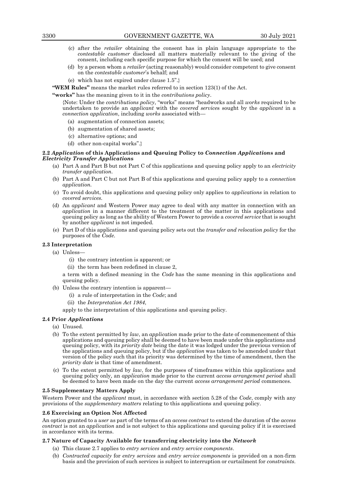- (c) after the *retailer* obtaining the consent has in plain language appropriate to the *contestable customer* disclosed all matters materially relevant to the giving of the consent, including each specific purpose for which the consent will be used; and
- (d) by a person whom a *retailer* (acting reasonably) would consider competent to give consent on the *contestable customer*'s behalf; and
- (e) which has not expired under clause 1.5".}

**"WEM Rules"** means the market rules referred to in section 123(1) of the Act.

**"works"** has the meaning given to it in the *contributions policy*.

{Note: Under the *contributions policy*, "works" means "headworks and all *works* required to be undertaken to provide an *applicant* with the *covered service*s sought by the *applicant* in a *connection application*, including *works* associated with—

- (a) augmentation of connection assets;
- (b) augmentation of shared assets;
- (c) alternative options; and
- (d) other non-capital works".}

# **2.2** *Application* **of this Applications and Queuing Policy to** *Connection Application***s and**  *Electricity Transfer Application***s**

- (a) Part A and Part B but not Part C of this applications and queuing policy apply to an *electricity transfer application.*
- (b) Part A and Part C but not Part B of this applications and queuing policy apply to a *connection application.*
- (c) To avoid doubt, this applications and queuing policy only applies to *applications* in relation to *covered services.*
- (d) An *applicant* and Western Power may agree to deal with any matter in connection with an *application* in a manner different to the treatment of the matter in this applications and queuing policy as long as the ability of Western Power to provide a *covered service* that is sought by another *applicant* is not impeded.
- (e) Part D of this applications and queuing policy sets out the *transfer and relocation policy* for the purposes of the *Code.*

# **2.3 Interpretation**

- (a) Unless—
	- (i) the contrary intention is apparent; or
	- (ii) the term has been redefined in clause 2,

a term with a defined meaning in the *Code* has the same meaning in this applications and queuing policy.

- (b) Unless the contrary intention is apparent—
	- (i) a rule of interpretation in the *Code*; and
	- (ii) the *Interpretation Act 1984*,

apply to the interpretation of this applications and queuing policy.

# **2.4 Prior** *Applications*

- (a) Unused.
- (b) To the extent permitted by *law*, an *application* made prior to the date of commencement of this applications and queuing policy shall be deemed to have been made under this applications and queuing policy, with its *priority date* being the date it was lodged under the previous version of the applications and queuing policy, but if the *application* was taken to be amended under that version of the policy such that its priority was determined by the time of amendment, then the *priority date* is that time of amendment.
- (c) To the extent permitted by *law*, for the purposes of timeframes within this applications and queuing policy only, an *application* made prior to the current *access arrangement period* shall be deemed to have been made on the day the current *access arrangement period* commences.

# **2.5 Supplementary Matters Apply**

Western Power and the *applicant* must, in accordance with section 5.28 of the *Code*, comply with any provisions of the *supplementary matters* relating to this applications and queuing policy.

# **2.6 Exercising an Option Not Affected**

An option granted to a *user* as part of the terms of an *access contract* to extend the duration of the *access contract* is not an *application* and is not subject to this applications and queuing policy if it is exercised in accordance with its terms.

# **2.7 Nature of Capacity Available for transferring electricity into the** *Network*

- (a) This clause 2.7 applies to *entry services* and *entry service components*.
- (b) *Contracted capacity* for *entry services* and *entry service components* is provided on a non-firm basis and the provision of such services is subject to interruption or curtailment for *constraints*.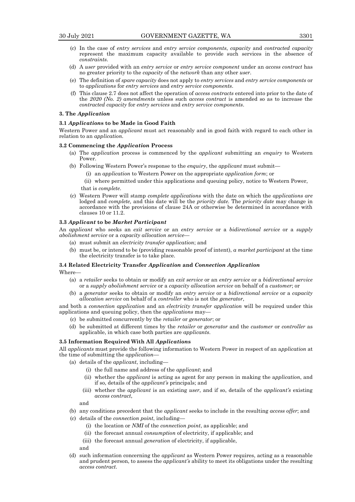- (c) In the case of *entry services* and *entry service components*, *capacity* and *contracted capacity* represent the maximum capacity available to provide such services in the absence of *constraints*.
- (d) A *user* provided with an *entry service* or *entry service component* under an *access contract* has no greater priority to the *capacity* of the *network* than any other *user*.
- (e) The definition of *spare capacity* does not apply to *entry services* and *entry service components* or to *applications* for *entry services* and *entry service components*.
- (f) This clause 2.7 does not affect the operation of *access contracts* entered into prior to the date of the *2020 (No. 2) amendments* unless such *access contract* is amended so as to increase the *contracted capacity* for *entry services* and *entry service components*.

# **3. The** *Application*

#### **3.1** *Application***s to be Made in Good Faith**

Western Power and an *applicant* must act reasonably and in good faith with regard to each other in relation to an *application.*

# **3.2 Commencing the** *Application* **Process**

- (a) The *application* process is commenced by the *applicant* submitting an *enquiry* to Western Power.
- (b) Following Western Power's response to the *enquiry*, the *applicant* must submit—
	- (i) an *application* to Western Power on the appropriate *application form*; or
	- (ii) where permitted under this applications and queuing policy, notice to Western Power, that is *complete*.
- (c) Western Power will stamp *complete applications* with the date on which the *applications are*  lodged and *complete,* and this date will be the *priority date.* The *priority date* may change in accordance with the provisions of clause 24A or otherwise be determined in accordance with clauses 10 or 11.2.

#### **3.3** *Applicant* **to be** *Market Participant*

An *applicant* who seeks an *exit service* or an *entry service* or a *bidirectional service* or a *supply abolishment service* or a *capacity allocation service—*

- (a) must submit an *electricity transfer application*; and
- (b) must be, or intend to be (providing reasonable proof of intent), *a market participant* at the time the electricity transfer is to take place.

#### **3.4 Related Electricity Transfer** *Application* **and** *Connection Application*

Where—

- (a) a *retailer* seeks to obtain or modify an *exit service* or an *entry service* or a *bidirectional service*  or a *supply abolishment service* or a *capacity allocation service* on behalf of a *customer*; or
- (b) a *generator* seeks to obtain or modify an *entry service* or a *bidirectional service* or a *capacity allocation service* on behalf of a *controller* who is not the *generator*,

and both a *connection application* and an *electricity transfer application* will be required under this applications and queuing policy, then the *applications* may—

- (c) be submitted concurrently by the *retailer* or *generator*; or
- (d) be submitted at different times by the *retailer* or *generator* and the *customer* or *controller* as applicable, in which case both parties are *applicants*.

# **3.5 Information Required With All** *Application***s**

All *applicants* must provide the following information to Western Power in respect of an a*pplication* at the time of submitting the *application*—

- (a) details of the *applicant*, including—
	- (i) the full name and address of the *applicant*; and
	- (ii) whether the *applicant* is acting as agent for any person in making the a*pplication*, and if so, details of the *applicant's* principals; and
	- (iii) whether the *applicant* is an existing *user*, and if so, details of the *applicant's* existing *access contract*,

and

- (b) any conditions precedent that the *applicant* seeks to include in the resulting *access offer*; and
- (c) details of the *connection point*, including—
	- (i) the location or *NMI* of the *connection point*, as applicable; and
	- (ii) the forecast annual *consumption* of electricity, if applicable; and
	- (iii) the forecast annual *generation* of electricity, if applicable,

and

(d) such information concerning the *applicant* as Western Power requires, acting as a reasonable and prudent person, to assess the *applicant's* ability to meet its obligations under the resulting *access contract*.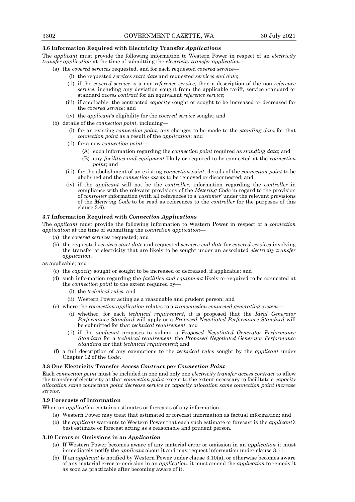# **3.6 Information Required with Electricity Transfer** *Application***s**

The *applicant* must provide the following information to Western Power in respect of an *electricity transfer application* at the time of submitting the *electricity transfer application*—

- (a) the *covered services* requested, and for each requested *covered service*
	- (i) the requested *services start date* and requested *services end date*;
	- (ii) if the *covered service* is a non-*reference service*, then a description of the non-*reference service*, including any deviation sought from the applicable tariff, service standard or standard *access contract* for an equivalent *reference service*;
	- (iii) if applicable, the contracted *capacity* sought or sought to be increased or decreased for the *covered service*; and
	- (iv) the *applicant's* eligibility for the *covered service* sought; and
- (b) details of the *connection point*, including—
	- (i) for an existing *connection point*, any changes to be made to the *standing data* for that *connection point* as a result of the *application*; and
	- (ii) for a new *connection point*
		- (A) such information regarding the *connection point* required as *standing data*; and
		- (B) any *facilities and equipment* likely or required to be connected at the *connection point*; and
	- (iii) for the abolishment of an existing *connection point*, details of the *connection point* to be abolished and the *connection assets* to be removed or disconnected; and
	- (iv) if the *applicant* will not be the *controller*, information regarding the *controller* in compliance with the relevant provisions of the *Metering Code* in regard to the provision of *controller* information (with all references to a '*customer*' under the relevant provisions of the *Metering Code* to be read as references to the *controller* for the purposes of this clause 3.6).

# **3.7 Information Required with** *Connection Application***s**

The *applicant* must provide the following information to Western Power in respect of a *connection application* at the time of submitting the *connection application*—

- (a) the *covered services* requested; and
- (b) the requested *services start date* and requested *services end date* for *covered services* involving the transfer of electricity that are likely to be sought under an associated *electricity transfer application*,

as applicable; and

- (c) the *capacity* sought or sought to be increased or decreased, if applicable; and
- (d) such information regarding the *facilities and equipment* likely or required to be connected at the *connection point* to the extent required by—
	- (i) the *technical rules*; and
	- (ii) Western Power acting as a reasonable and prudent person; and
- (e) where the *connection application* relates to a *transmission connected generating system*
	- (i) whether, for each *technical requirement*, it is proposed that the *Ideal Generator Performance Standard* will apply or a *Proposed Negotiated Performance Standard* will be submitted for that *technical requirement*; and
	- (ii) if the *applicant* proposes to submit a *Proposed Negotiated Generator Performance Standard* for a *technical requirement*, the *Proposed Negotiated Generator Performance Standard* for that *technical requirement*; and
- (f) a full description of any exemptions to the *technical rules* sought by the *applicant* under Chapter 12 of the *Code*.

#### **3.8 One Electricity Transfer** *Access Contract* **per** *Connection Point*

Each *connection point* must be included in one and only one *electricity transfer access contract* to allow the transfer of electricity at that *connection point* except to the extent necessary to facilitate a *capacity allocation same connection point decrease service* or *capacity allocation same connection point increase service*.

# **3.9 Forecasts of Information**

When an *application* contains estimates or forecasts of any information—

- (a) Western Power may treat that estimated or forecast information as factual information; and
- (b) the *applicant* warrants to Western Power that each such estimate or forecast is the *applicant's* best estimate or forecast acting as a reasonable and prudent person.

#### **3.10 Errors or Omissions in an** *Application*

- (a) If Western Power becomes aware of any material error or omission in an *application* it must immediately notify the *applicant* about it and may request information under clause 3.11.
- (b) If an *applicant* is notified by Western Power under clause 3.10(a), or otherwise becomes aware of any material error or omission in an *application*, it must amend the *application* to remedy it as soon as practicable after becoming aware of it.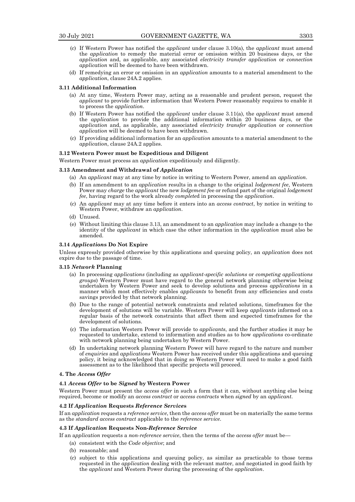- (c) If Western Power has notified the *applicant* under clause 3.10(a), the *applicant* must amend the *application* to remedy the material error or omission within 20 business days, or the *application* and, as applicable, any associated *electricity transfer application* or *connection application* will be deemed to have been withdrawn.
- (d) If remedying an error or omission in an *application* amounts to a material amendment to the *application*, clause 24A.2 applies.

#### **3.11 Additional Information**

- (a) At any time, Western Power may, acting as a reasonable and prudent person, request the *applicant* to provide further information that Western Power reasonably requires to enable it to process the *application*.
- (b) If Western Power has notified the *applicant* under clause 3.11(a), the *applicant* must amend the *application* to provide the additional information within 20 business days, or the *application* and, as applicable, any associated *electricity transfer application* or *connection application* will be deemed to have been withdrawn.
- (c) If providing additional information for an *application* amounts to a material amendment to the *application*, clause 24A.2 applies.

# **3.12 Western Power must be Expeditious and Diligent**

Western Power must process an *application* expeditiously and diligently.

# **3.13 Amendment and Withdrawal of** *Application*

- (a) An *applicant* may at any time by notice in writing to Western Power, amend an *application*.
- (b) If an amendment to an *application* results in a change to the original *lodgement fee*, Western Power may *charge* the *applicant* the new *lodgement f*ee or refund part of the original *lodgement fee*, having regard to the work already *complete*d in processing the *application*.
- (c) An *applicant* may at any time before it enters into an *access contract*, by notice in writing to Western Power, withdraw an *application*.
- (d) Unused.
- (e) Without limiting this clause 3.13, an amendment to an *application* may include a change to the identity of the *applicant* in which case the other information in the *application* must also be amended.

#### **3.14** *Application***s Do Not Expire**

Unless expressly provided otherwise by this applications and queuing policy, an *application* does not expire due to the passage of time.

#### **3.15** *Network* **Planning**

- (a) In processing *applications* (including as *applicant-specific solutions* or *competing applications groups*) Western Power must have regard to the general network planning otherwise being undertaken by Western Power and seek to develop solutions and process *applications* in a manner which most effectively enables *applicants* to benefit from any efficiencies and costs savings provided by that network planning.
- (b) Due to the range of potential network constraints and related solutions, timeframes for the development of solutions will be variable. Western Power will keep *applicants* informed on a regular basis of the network constraints that affect them and expected timeframes for the development of solutions.
- (c) The information Western Power will provide to *applicants*, and the further studies it may be requested to undertake, extend to information and studies as to how *applications* co-ordinate with network planning being undertaken by Western Power.
- (d) In undertaking network planning Western Power will have regard to the nature and number of *enquiries* and *applications* Western Power has received under this applications and queuing policy, it being acknowledged that in doing so Western Power will need to make a good faith assessment as to the likelihood that specific projects will proceed.

# **4. The** *Access Offer*

#### **4.1** *Access Offer* **to be** *Signed* **by Western Power**

Western Power must present the *access offer* in such a form that it can, without anything else being required, become or modify an *access contract* or *access contracts* when *signed* by an *applicant*.

#### **4.2 If** *Application* **Requests** *Reference Service***s**

If an *application* requests a *reference service*, then the *access offer* must be on materially the same terms as the *standard access contract* applicable to the *reference service*.

# **4.3 If** *Application* **Requests Non-***Reference Service*

If an a*pplication* requests a *non-reference service*, then the terms of the *access offer* must be—

- (a) consistent with the *Code objective*; and
- (b) reasonable; and
- (c) subject to this applications and queuing policy, as similar as practicable to those terms requested in the *application* dealing with the relevant matter, and negotiated in good faith by the *applicant* and Western Power during the processing of the *application*.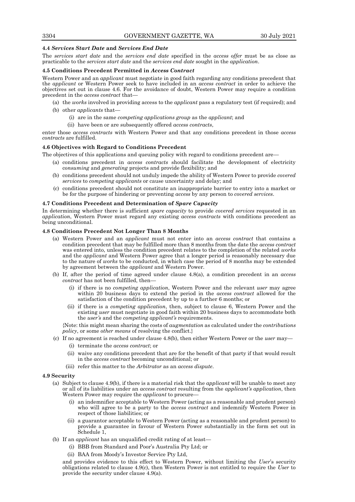# **4.4** *Services Start Date* **and** *Services End Date*

The *services start date* and the *services end date* specified in the *access offer* must be as close as practicable to the *services start date* and the *services end date* sought in the *application*.

# **4.5 Conditions Precedent Permitted in** *Access Contract*

Western Power and an *applicant* must negotiate in good faith regarding any conditions precedent that the *applicant* or Western Power seek to have included in an *access contract* in order to achieve the objectives set out in clause 4.6. For the avoidance of doubt, Western Power may require a condition precedent in the *access contract* that—

(a) the *works* involved in providing access to the *applicant* pass a regulatory test (if required); and (b) other *applicants* that—

- (i) are in the same *competing applications group* as the *applicant*; and
- (ii) have been or are subsequently offered *access contracts*,

enter those *access contracts* with Western Power and that any conditions precedent in those *access contracts* are fulfilled.

# **4.6 Objectives with Regard to Conditions Precedent**

- The objectives of this applications and queuing policy with regard to conditions precedent are—
	- (a) conditions precedent in *access contracts* should facilitate the development of electricity c*onsuming* and *generating* projects and provide flexibility; and
	- (b) conditions precedent should not unduly impede the ability of Western Power to provide *covered services* to *competing applicants* or cause uncertainty and delay; and
	- (c) conditions precedent should not constitute an inappropriate barrier to entry into a market or be for the purpose of hindering or preventing *access* by any person to *covered services*.

# **4.7 Conditions Precedent and Determination of** *Spare Capacity*

In determining whether there is sufficient *spare capacity* to provide *covered services* requested in an *application*, Western Power must regard any existing *access contracts* with conditions precedent as being unconditional.

# **4.8 Conditions Precedent Not Longer Than 8 Months**

- (a) Western Power and an *applicant* must not enter into an *access contract* that contains a condition precedent that may be fulfilled more than 8 months from the date the *access contract* was entered into, unless the condition precedent relates to the completion of the related *works*  and the *applicant* and Western Power agree that a longer period is reasonably necessary due to the nature of *works* to be conducted, in which case the period of 8 months may be extended by agreement between the *applicant* and Western Power.
- (b) If, after the period of time agreed under clause 4.8(a), a condition precedent in an *access contract* has not been fulfilled, then—
	- (i) if there is no *competing application*, Western Power and the relevant *user* may agree within 20 business days to extend the period in the *access contract* allowed for the satisfaction of the condition precedent by up to a further 6 months; or
	- (ii) if there is a *competing application*, then, subject to clause 6, Western Power and the existing *user* must negotiate in good faith within 20 business days to accommodate both the *user's* and the *competing applicant's* requirements.

{Note: this might mean sharing the costs of *augmentation* as calculated under the *contributions policy*, or some *other means* of resolving the conflict.}

- (c) If no agreement is reached under clause 4.8(b), then either Western Power or the *user* may—
	- (i) terminate the *access contract*; or
	- (ii) waive any conditions precedent that are for the benefit of that party if that would result in the *access contract* becoming unconditional; or
	- (iii) refer this matter to the *Arbitrator* as an *access dispute*.

# **4.9 Security**

- (a) Subject to clause 4.9(b), if there is a material risk that the *applicant* will be unable to meet any or all of its liabilities under an *access contract* resulting from the *applicant's application*, then Western Power may require the *applicant* to procure—
	- (i) an indemnifier acceptable to Western Power (acting as a reasonable and prudent person) who will agree to be a party to the *access contract* and indemnify Western Power in respect of those liabilities; or
	- (ii) a guarantor acceptable to Western Power (acting as a reasonable and prudent person) to provide a guarantee in favour of Western Power substantially in the form set out in Schedule 1,
- (b) If an *applicant* has an unqualified credit rating of at least—
	- (i) BBB from Standard and Poor's Australia Pty Ltd; or
		- (ii) BAA from Moody's Investor Service Pty Ltd,

and provides evidence to this effect to Western Power, without limiting the *User*'s security obligations related to clause 4.9(c), then Western Power is not entitled to require the *User* to provide the security under clause 4.9(a).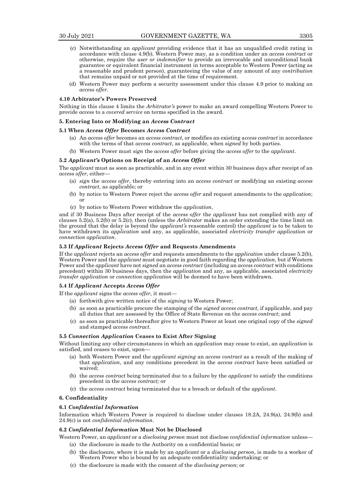- (c) Notwithstanding an *applicant* providing evidence that it has an unqualified credit rating in accordance with clause 4.9(b), Western Power may, as a condition under an *access contract* or otherwise, require the *user or indemnifier* to provide an irrevocable and unconditional bank guarantee or equivalent financial instrument in terms acceptable to Western Power (acting as a reasonable and prudent perso*n*), guaranteeing the value of any amount of any *contribution* that remains unpaid or not provided at the time of requirement.
- (d) Western Power may perform a security assessment under this clause 4.9 prior to making an *access offer*.

#### **4.10 Arbitrator's Powers Preserved**

Nothing in this clause 4 limits the *Arbitrator's* power to make an award compelling Western Power to provide *access* to a *covered service* on terms specified in the award.

#### **5. Entering Into or Modifying an** *Access Contract*

#### **5.1 When** *Access Offer* **Becomes** *Access Contract*

- (a) An *access offer* becomes an *access contract*, or modifies an existing a*ccess contract* in accordance with the terms of that *access contract*, as applicable, when *signed* by both parties.
- (b) Western Power must *sign* the *access offer* before giving the *access offer* to the *applicant*.

# **5.2** *Applicant's* **Options on Receipt of an** *Access Offer*

The *applicant* must as soon as practicable, and in any event within 30 business days after receipt of an *access offer*, either—

- (a) *sign* the *access offer*, thereby entering into an *access contract* or modifying an existing *access contract*, as applicable; or
- (b) by notice to Western Power reject the *access offer* and request amendments to the *application*; or
- (c) by notice to Western Power withdraw the *application*,

and if 30 Business Days after receipt of the *access offer* the *applicant* has not complied with any of clauses 5.2(a), 5.2(b) or 5.2(c), then (unless the *Arbitrator* makes an order extending the time limit on the ground that the delay is beyond the *applicant's* reasonable control) the *applicant* is to be taken to have withdrawn its *application* and any, as applicable, associated *electricity transfer application* or *connection application*.

# **5.3 If** *Applicant* **Rejects** *Access Offer* **and Requests Amendments**

If the *applicant* rejects an *access offer* and requests amendments to the *application* under clause 5.2(b), Western Power and the *applicant* must negotiate in good faith regarding the *application*, but if Western Power and the *applicant* have not *signed* an *access contract* (including an *access contract* with conditions precedent) within 30 business days, then the *application* and any, as applicable, associated *electricity transfer application* or *connection application* will be deemed to have been withdrawn.

# **5.4 If** *Applicant* **Accepts** *Access Offer*

If the *applicant* signs the *access offer*, it must—

- (a) forthwith give written notice of the *signing* to Western Power;
- (b) as soon as practicable procure the stamping of the *signed access contract*, if applicable, and pay all duties that are assessed by the Office of State Revenue on the *access contract*; and
- (c) as soon as practicable thereafter give to Western Power at least one original copy of the *signed* and stamped *access contract*.

# **5.5** *Connection Application* **Ceases to Exist After Signing**

Without limiting any other circumstances in which an *application* may cease to exist, an *application* is satisfied, and ceases to exist, upon—

- (a) both Western Power and the *applicant signing* an *access contract* as a result of the making of that *application*, and any conditions precedent in the *access contract* have been satisfied or waived;
- (b) the *access contract* being terminated due to a failure by the *applicant* to satisfy the conditions precedent in the *access contract;* or
- (c) the *access contract* being terminated due to a breach or default of the *applicant*.

# **6. Confidentiality**

# **6.1** *Confidential Information*

Information which Western Power is required to disclose under clauses 18.2A, 24.9(a), 24.9(b) and 24.9(c) is not *confidential information*.

# **6.2** *Confidential Information* **Must Not be Disclosed**

Western Power, an *applicant* or a *disclosing person* must not disclose c*onfidential information* unless—

- (a) the disclosure is made to the Authority on a confidential basis; or
- (b) the disclosure, where it is made by an *applicant* or a *disclosing person*, is made to a worker of Western Power who is bound by an adequate confidentiality undertaking; or
- (c) the disclosure is made with the consent of the *disclosing person*; or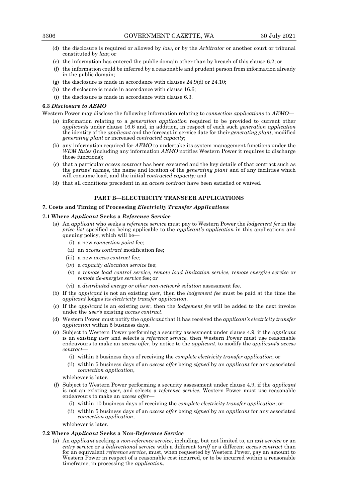- (d) the disclosure is required or allowed by *law*, or by the *Arbitrator* or another court or tribunal constituted by *law*; or
- (e) the information has entered the public domain other than by breach of this clause 6.2; or
- (f) the information could be inferred by a reasonable and prudent person from information already in the public domain;
- (g) the disclosure is made in accordance with clauses 24.9(d) or 24.10;
- (h) the disclosure is made in accordance with clause 16.6;
- (i) the disclosure is made in accordance with clause 6.3.

#### **6.3** *Disclosure to AEMO*

Western Power may disclose the following information relating to *connection applications* to *AEMO*—

- (a) information relating to a *generation application* required to be provided to current other *applicants* under clause 16.6 and, in addition, in respect of each such *generation application*  the identity of the *applicant* and the forecast in service date for their *generating plant*, modified *generating plant* or increased *contracted capacity*;
- (b) any information required for *AEMO* to undertake its system management functions under the *WEM Rules* (including any information *AEMO* notifies Western Power it requires to discharge those functions);
- (c) that a particular *access contract* has been executed and the key details of that contract such as the parties' names, the name and location of the *generating plant* and of any facilities which will consume load, and the initial *contracted capacity;* and
- (d) that all conditions precedent in an *access contract* have been satisfied or waived.

# **PART B—ELECTRICITY TRANSFER APPLICATIONS**

# **7. Costs and Timing of Processing** *Electricity Transfer Application***s**

# **7.1 Where** *Applicant* **Seeks a** *Reference Service*

- (a) An *applicant* who seeks a *reference service* must pay to Western Power the *lodgement fee* in the *price list* specified as being applicable to the *applicant's application* in this applications and queuing policy, which will be—
	- (i) a new *connection point* fee;
	- (ii) an *access contract* modification fee;
	- (iii) a new *access contract* fee;
	- (iv) a *capacity allocation service* fee;
	- (v) a *remote load control service*, *remote load limitation service*, *remote energise service* or *remote de-energise service* fee; or
	- (vi) a *distributed energy or other non-network solution* assessment fee.
- (b) If the *applicant* is not an existing *user*, then the *lodgement fee* must be paid at the time the *applicant* lodges its *electricity transfer application*.
- (c) If the *applicant* is an existing *user*, then the *lodgement fee* will be added to the next invoice under the *user's* existing *access contract*.
- (d) Western Power must notify the *applicant* that it has received the *applicant's electricity transfer application* within 5 business days.
- (e) Subject to Western Power performing a security assessment under clause 4.9, if the *applicant* is an existing *user* and selects a *reference service*, then Western Power must use reasonable endeavours to make an *access offer*, by notice to the *applicant*, to modify the *applicant's access contract*—
	- (i) within 5 business days of receiving the *complete electricity transfer application*; or
	- (ii) within 5 business days of an *access offer* being *signed* by an *applicant* for any associated *connection application*,
	- whichever is later.
- (f) Subject to Western Power performing a security assessment under clause 4.9, if the *applicant* is not an existing *user*, and selects a *reference service*, Western Power must use reasonable endeavours to make an *access offer*—
	- (i) within 10 business days of receiving the *complete electricity transfer application*; or
	- (ii) within 5 business days of an *access offer* being *signed* by an *applicant* for any associated *connection application*,

whichever is later.

# **7.2 Where** *Applicant* **Seeks a Non-***Reference Service*

(a) An *applicant* seeking a *non-reference service*, including, but not limited to, an *exit service* or an *entry service* or a *bidirectional service* with a different *tariff* or a different *access contract* than for an equivalent *reference service*, must, when requested by Western Power, pay an amount to Western Power in respect of a reasonable cost incurred, or to be incurred within a reasonable timeframe, in processing the *application*.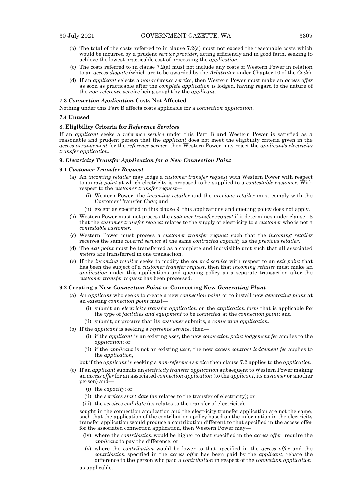- 
- (b) The total of the costs referred to in clause 7.2(a) must not exceed the reasonable costs which would be incurred by a prudent *service provider*, acting efficiently and in good faith, seeking to achieve the lowest practicable cost of processing the *application.*
- (c) The costs referred to in clause 7.2(a) must not include any costs of Western Power in relation to an *access dispute* (which are to be awarded by the *Arbitrator* under Chapter 10 of the *Code*).
- (d) If an *applicant* selects a *non-reference service*, then Western Power must make an *access offer* as soon as practicable after the *complete application* is lodged, having regard to the nature of the *non-reference service* being sought by the *applicant*.

# **7.3** *Connection Application* **Costs Not Affected**

Nothing under this Part B affects costs applicable for a *connection application*.

#### **7.4 Unused**

# **8. Eligibility Criteria for** *Reference Service***s**

If an *applicant* seeks a *reference service* under this Part B and Western Power is satisfied as a reasonable and prudent person that the *applicant* does not meet the eligibility criteria given in the *access arrangement* for the *reference service*, then Western Power may reject the *applicant's electricity transfer application.*

# **9.** *Electricity Transfer Application for a New Connection Point*

#### **9.1** *Customer Transfer Request*

- (a) An *inc*o*ming retailer* may lodge a *customer transfer request* with Western Power with respect to an *exit point* at which electricity is proposed to be supplied to a *contestable customer*. With respect to the *customer transfer request*—
	- (i) Western Power, the *incoming retailer* and the *previous retailer* must comply with the Customer Transfer *Code*; and
	- (ii) except as specified in this clause 9, this applications and queuing policy does not apply.
- (b) Western Power must not process the *customer transfer request* if it determines under clause 13 that the *customer transfer request* relates to the supply of electricity to a *customer* who is not a *contestable customer*.
- (c) Western Power must process a *customer transfer request* such that the *incoming retailer* receives the same *covered service* at the same *contracted capacity* as the *previous retailer*.
- (d) The *exit point* must be transferred as a complete and indivisible unit such that all associated *meter*s are transferred in one transaction.
- (e) If the *incoming retailer* seeks to modify the *covered service* with respect to an *exit point* that has been the subject of a *customer transfer request*, then that *incoming retailer* must make an *application* under this applications and queuing policy as a separate transaction after the *customer transfer request* has been processed.

#### **9.2 Creating a New** *Connection Point* **or Connecting New** *Generating Plant*

- (a) An *applicant* who seeks to create a new *connection point* or to install new *generating plant* at an existing *connection point* must—
	- (i) submit an *electricity transfer application* on the *application form* that is applicable for the type of *facilities and equipment* to be *connected* at the *connection point*; and
	- (ii) submit, or procure that its *customer* submits, a *connection application*.
- (b) If the *applicant* is seeking a *reference service*, then—
	- (i) if the *applicant* is an existing *user*, the new *connection point lodgement fee* applies to the *application*; or
	- (ii) if the *applicant* is not an existing *user*, the new *access contract lodgement fee* applies to the *application*,

but if the *applicant* is seeking a *non-reference service* then clause 7.2 applies to the *application*.

- (c) If an *applicant* submits an *electricity transfer application* subsequent to Western Power making an *access offer* for an associated *connection application* (to the *applicant*, its *customer* or another person) and—
	- (i) the *capacity*; or
	- (ii) the *services start date* (as relates to the transfer of electricity); or
	- (iii) the *services end date* (as relates to the transfer of electricity),

sought in the connection application and the electricity transfer application are not the same, such that the application of the contributions policy based on the information in the electricity transfer application would produce a contribution different to that specified in the access offer for the associated connection application, then Western Power may-

- (iv) where the *contribution* would be higher to that specified in the *access offer*, require the *applicant* to pay the difference; or
- (v) where the *contribution* would be lower to that specified in the *access offer* and the *contribution* specified in the *access offer* has been paid by the *applicant*, rebate the difference to the person who paid a *contribution* in respect of the *connection application*,

as applicable.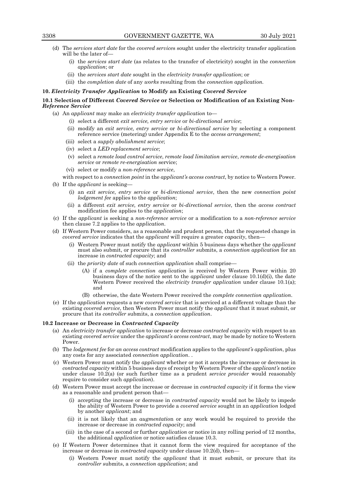- (d) The *services start date* for the *covered service*s sought under the electricity transfer application will be the later of-
	- (i) the *services start date* (as relates to the transfer of electricity) sought in the *connection application*; or
	- (ii) the *services start date* sought in the *electricity transfer application*; or

# (iii) the *completion date* of any *works* resulting from the *connection application.*

# **10.** *Electricity Transfer Application* **to Modify an Existing** *Covered Service*

# **10.1 Selection of Different** *Covered Service* **or Selection or Modification of an Existing Non-***Reference Service*

- (a) An *applicant* may make an *electricity transfer application* to—
	- (i) select a different *exit service, entry service* or *bi-directional service*;
	- (ii) modify an *exit service, entry service* or *bi-directional service* by selecting a component reference service (metering) under Appendix E to the *access arrangement*;
	- (iii) select a *supply abolishment service*;
	- (iv) select a *LED replacement service*;
	- (v) select a *remote load control service*, *remote load limitation service*, *remote de-energisation service* or *remote re-energisation* service;
	- (vi) select or modify a *non-reference service*,
	- with respect to a *connection point* in the *applicant's access contract*, by notice to Western Power.
- (b) If the *applicant* is seeking—
	- (i) an *exit service*, *entry service* or *bi-directional service*, then the new *connection point lodgement fee* applies to the *application*;
	- (ii) a different *exit service, entry service* or *bi-directional service*, then the *access contract* modification fee applies to the *application*;
- (c) If the *applicant* is seeking a *non-reference service* or a modification to a *non-reference service*  then clause 7.2 applies to the *application*.
- (d) If Western Power considers, as a reasonable and prudent person, that the requested change in *covered service* indicates that the *applicant* will require a greater *capacity*, then—
	- (i) Western Power must notify the *applicant* within 5 business days whether the *applicant* must also submit, or procure that its *controller* submits, a *connection application* for an increase in *contracted capacity*; and
	- (ii) the *priority date* of such *connection application* shall comprise—
		- (A) if a *complete connection application* is received by Western Power within 20 business days of the notice sent to the *applicant* under clause 10.1(d)(i), the date Western Power received the *electricity transfer application* under clause 10.1(a); and
		- (B) otherwise, the date Western Power received the *complete connection application*.
- (e) If the *application* requests a new *covered service* that is serviced at a different voltage than the existing *covered service*, then Western Power must notify the *applicant* that it must submit, or procure that its *controller* submits, a *connection application*.

# **10.2 Increase or Decrease in** *Contracted Capacity*

- (a) An *electricity transfer application* to increase or decrease *contracted capacity* with respect to an existing *covered service* under the *applicant's access contract*, may be made by notice to Western Power.
- (b) The *lodgement fee* for *an access contract* modification applies to the *applicant's application*, plus any costs for any associated *connection application*. .
- (c) Western Power must notify the *applicant* whether or not it accepts the increase or decrease in *contracted capacity* within 5 business days of receipt by Western Power of the *applicant's* notice under clause 10.2(a) (or such further time as a prudent *service provider* would reasonably require to consider such *application*).
- (d) Western Power must accept the increase or decrease in *contracted capacity* if it forms the view as a reasonable and prudent person that—
	- (i) accepting the increase or decrease in *contracted capacity* would not be likely to impede the ability of Western Power to provide a *covered service* sought in an *application* lodged by another *applicant*; and
	- (ii) it is not likely that an *augmentatio*n or any work would be required to provide the increase or decrease in *contracted capacity*; and
	- (iii) in the case of a second or further *application* or notice in any rolling period of 12 months, the additional *application* or notice satisfies clause 10.3.
- (e) If Western Power determines that it cannot form the view required for acceptance of the increase or decrease in *contracted capacity* under clause 10.2(d), then—
	- (i) Western Power must notify the *applicant* that it must submit, or procure that its *controller* submits, a *connection application*; and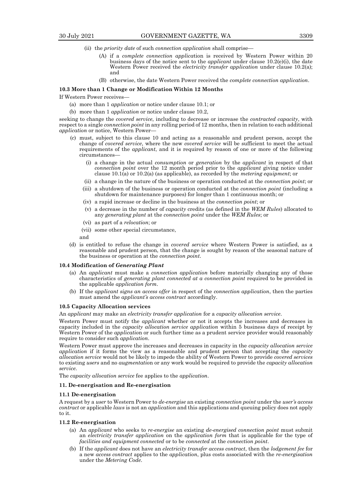- (ii) the *priority date* of such *connection application* shall comprise—
	- (A) if a *complete connection applica*tion is received by Western Power within 20 business days of the notice sent to the *applicant* under clause 10.2(e)(i), the date Western Power received the *electricity transfer application* under clause 10.2(a); and
	- (B) otherwise, the date Western Power received the *complete connection application*.

#### **10.3 More than 1 Change or Modification Within 12 Months**

If Western Power receives—

- (a) more than 1 *application* or notice under clause 10.1; or
- (b) more than 1 *application* or notice under clause 10.2,

seeking to change the *covered service*, including to decrease or increase the *contracted capacity*, with respect to a single *connection point* in any rolling period of 12 months, then in relation to each additional *application* or notice, Western Power—

- (c) must, subject to this clause 10 and acting as a reasonable and prudent person, accept the change of *covered service*, where the new *covered service* will be sufficient to meet the actual requirements of the *applicant*, and it is required by reason of one or more of the following circumstances—
	- (i) a change in the actual *consumption* or *generation* by the *applicant* in respect of that *connection point* over the 12 month period prior to the *applicant* giving notice under clause 10.1(a) or 10.2(a) (as applicable), as recorded by the *metering equipment*; or
	- (ii) a change in the nature of the business or operation conducted at the *connection point*; or
	- (iii) a shutdown of the business or operation conducted at the *connection point* (including a shutdown for maintenance purposes) for longer than 1 continuous month; or
	- (iv) a rapid increase or decline in the business at the *connection point*; or
	- (v) a decrease in the number of *capacity* credits (as defined in the *WEM Rules*) allocated to any *generating plant* at the *connection point* under the *WEM Rules*; or
	- (vi) as part of a *relocation*; or
	- (vii) some other special circumstance,

and

(d) is entitled to refuse the change in *covered service* where Western Power is satisfied, as a reasonable and prudent person, that the change is sought by reason of the seasonal nature of the business or operation at the *connection point*.

#### **10.4 Modification of** *Generating Plant*

- (a) An *applicant* must make a *connection application* before materially changing any of those characteristics of *generating plant connected at a connection point* required to be provided in the applicable *application form*.
- (b) If the *applicant signs an access offer* in respect of the *connection application*, then the parties must amend the *applicant's access contract* accordingly.

# **10.5 Capacity Allocation services**

An *applicant* may make an *electricity transfer application* for a *capacity allocation service*.

Western Power must notify the *applicant* whether or not it accepts the increases and decreases in capacity included in the *capacity allocation service application* within 5 business days of receipt by Western Power of the *applicatio*n or such further time as a prudent service provider would reasonably require to consider such *application*.

Western Power must approve the increases and decreases in capacity in the *capacity allocation service application* if it forms the view as a reasonable and prudent person that accepting the *capacity allocation service* would not be likely to impede the ability of Western Power to provide *covered services* to existing *users* and no *augmentatio*n or any work would be required to provide the *capacity allocation service*.

The *capacity allocation service* fee applies to the *application*.

# **11. De-energisation and Re-energisation**

#### **11.1 De-energisation**

A request by a *user* to Western Power to *de-energise* an existing *connection point* under the *user's access contract* or applicable *laws* is not an *application* and this applications and queuing policy does not apply to it.

# **11.2 Re-energisation**

- (a) An *applicant* who seeks to *re-energise* an existing *de-energised connection point* must submit an *electricity transfer application* on the *application form* that is applicable for the type of *facilities and equipment connected* or to be *connected* at the *connection point*.
- (b) If the *applicant* does not have an *electricity transfer access contract*, then the *lodgement fee* for a new *access contract* applies to the *application*, plus costs associated with the *re-energisation* under the *Metering Code*.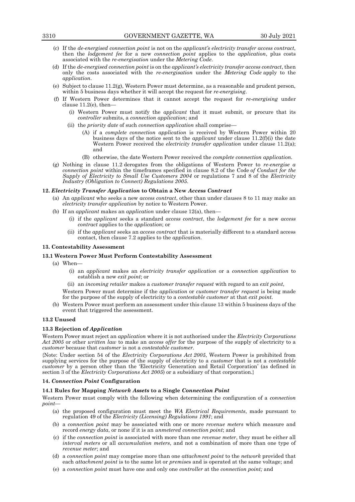- (c) If the *de-energised connection point* is not on the *applicant's electricity transfer access contract*, then the *lodgement fee* for a new *connection point* applies to the *application*, plus costs associated with the *re-energisation* under the *Metering Code*.
- (d) If the *de-energised connection point* is on the *applicant's electricity transfer access contract*, then only the costs associated with the *re-energisation* under the *Metering Code* apply to the *application*.
- (e) Subject to clause 11.2(g), Western Power must determine, as a reasonable and prudent person, within 5 business days whether it will accept the request for *re-energising*.
- (f) If Western Power determines that it cannot accept the request for *re-energising* under clause 11.2(e), then—
	- (i) Western Power must notify the *applicant* that it must submit, or procure that its *controller* submits, a *connection application*; and
	- (ii) the *priority date* of such *connection application* shall comprise—
		- (A) if a *complete connection application* is received by Western Power within 20 business days of the notice sent to the *applicant* under clause 11.2(f)(i) the date Western Power received the *electricity transfer application* under clause 11.2(a); and
		- (B) otherwise, the date Western Power received the *complete connection application.*
- (g) Nothing in clause 11.2 derogates from the obligations of Western Power to *re-energise a connection point* within the timeframes specified in clause 8.2 of the Code *of Conduct for the Supply of Electricity to Small Use Customers 2004* or regulations 7 and 8 of the *Electricity Industry (Obligation to Connect) Regulations 2005*.

# **12.** *Electricity Transfer Application* **to Obtain a New** *Access Contract*

- (a) An *applicant* who seeks a new *access contract*, other than under clauses 8 to 11 may make an *electricity transfer application* by notice to Western Power.
- (b) If an *applicant* makes an *application* under clause 12(a), then—
	- (i) if the *applicant* seeks a standard *access contract*, the *lodgement fee* for a new *access contract* applies to the *application*; or
	- (ii) if the *applicant* seeks an *access contract* that is materially different to a standard access contact, then clause 7.2 applies to the *application*.

# **13. Contestability Assessment**

# **13.1 Western Power Must Perform Contestability Assessment**

- (a) When—
	- (i) an *applicant* makes an *electricity transfer application* or a *connection application* to establish a new *exit point*; or
	- (ii) an *incoming retailer* makes a *customer transfer request* with regard to an *exit point*,

Western Power must determine if the *application* or *customer transfer request* is being made for the purpose of the supply of electricity to a *contestable customer* at that *exit point.*

(b) Western Power must perform an assessment under this clause 13 within 5 business days of the event that triggered the assessment.

#### **13.2 Unused**

#### **13.3 Rejection of** *Application*

Western Power must reject an *application* where it is not authorised under the *Electricity Corporations Act 2005* or other *written law* to make an *access offer* for the purpose of the supply of electricity to a *customer* because that *customer* is not a *contestable customer.*

{Note: Under section 54 of the *Electricity Corporations Act 2005*, Western Power is prohibited from supplying services for the purpose of the supply of electricity to a *customer* that is not a *contestable customer* by a person other than the 'Electricity Generation and Retail Corporation' (as defined in section 3 of the *Electricity Corporations Act 2005*) or a subsidiary of that corporation.}

# **14.** *Connection Point* **Configuration**

# **14.1 Rules for Mapping** *Network Assets* **to a Single** *Connection Point*

Western Power must comply with the following when determining the configuration of a *connection point—*

- (a) the proposed configuration must meet the *WA Electrical Requirements*, made pursuant to regulation 49 of the *Electricity (Licensing) Regulations 1991*; and
- (b) a *connection point* may be associated with one or more *revenue meters* which measure and record *energy data*, or none if it is an *unmetered connection point*; and
- (c) if the *connection point* is associated with more than one *revenue meter*, they must be either all *interval meters* or all *accumulation meters*, and not a combination of more than one type of *revenue meter*; and
- (d) a *connection point* may comprise more than one *attachment point* to the *network* provided that each *attachment point* is to the same lot or *premise*s and is operated at the same voltage; and
- (e) a *connection point* must have one and only one *controller* at the *connection point;* and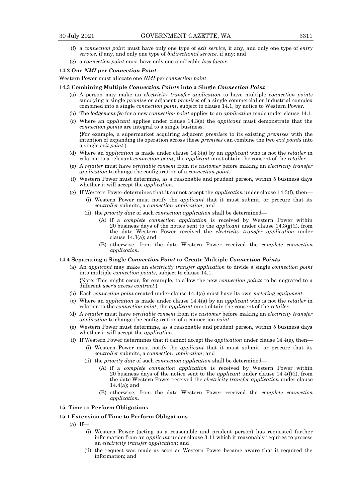- (f) a *connection poin*t must have only one type of *exit service*, if any, and only one type of *entry service*, if any, and only one type of *bidirectional service*, if any; and
- (g) a *connection point* must have only one applicable *loss factor*.

# **14.2 One** *NMI* **per** *Connection Point*

Western Power must allocate one *NMI* per *connection point*.

#### **14.3 Combining Multiple** *Connection Point***s into a Single** *Connection Point*

- (a) A person may make an *electricity transfer application* to have multiple *connection points* supplying a single *premise* or adjacent *premises* of a single commercial or industrial complex combined into a single *connection point*, subject to clause 14.1, by notice to Western Power.
- (b) The *lodgement fee* for a new *connection point* applies to an *application* made under clause 14.1.
- (c) Where an *applicant* applies under clause 14.3(a) the *applicant* must demonstrate that the *connection points* are integral to a single business. {For example, a supermarket acquiring adjacent *premises* to its existing *premises* with the intention of expanding its operation across these *premises* can combine the two *exit points* into a single *exit point*.}
- (d) Where an *application* is made under clause 14.3(a) by an *applicant* who is not the *retailer* in relation to a relevant *connection point*, the *applicant* must obtain the consent of the *retailer*.
- (e) A *retailer* must have *verifiable consent* from its *customer* before making an *electricity transfer application* to change the configuration of a *connection point*.
- (f) Western Power must determine, as a reasonable and prudent person, within 5 business days whether it will accept the *application*.
- (g) If Western Power determines that it cannot accept the *application* under clause 14.3(f), then—
	- (i) Western Power must notify the *applicant* that it must submit, or procure that its *controller* submits, a *connection application*; and
	- (ii) the *priority date* of such *connection application* shall be determined—
		- (A) if a *complete connection application* is received by Western Power within 20 business days of the notice sent to the *applicant* under clause 14.3(g)(i), from the date Western Power received the *electricity transfer application* under clause 14.3(a); and
		- (B) otherwise, from the date Western Power received the *complete connection application*.

# **14.4 Separating a Single** *Connection Point* **to Create Multiple** *Connection Point***s**

- (a) An *applicant* may make an *electricity transfer application* to divide a single *connection point* into multiple *connection points*, subject to clause 14.1. {Note: This might occur, for example, to allow the new *connection points* to be migrated to a different *user's access contract*.}
- (b) Each *connection point* created under clause 14.4(a) must have its own *metering equipment*.
- (c) Where an *application* is made under clause 14.4(a) by an *applicant* who is not the *retailer* in relation to the *connection point*, the *applicant* must obtain the consent of the *retailer*.
- (d) A *retailer* must have *verifiable consent* from its *customer* before making an *electricity transfer application* to change the configuration of a connection *point*.
- (e) Western Power must determine, as a reasonable and prudent person, within 5 business days whether it will accept the *application*.
- (f) If Western Power determines that it cannot accept the *application* under clause 14.4(e), then—
	- (i) Western Power must notify the *applicant* that it must submit, or procure that its *controller* submits, a *connection application*; and
	- (ii) the *priority date* of such *connection application* shall be determined—
		- (A) if a *complete connection application* is received by Western Power within 20 business days of the notice sent to the *applicant* under clause 14.4(f)(i), from the date Western Power received the *electricity transfer application* under clause 14.4(a); and
		- (B) otherwise, from the date Western Power received the *complete connection application*.

#### **15. Time to Perform Obligations**

# **15.1 Extension of Time to Perform Obligations**

 $(a)$  If-

- (i) Western Power (acting as a reasonable and prudent person) has requested further information from an *applicant* under clause 3.11 which it reasonably requires to process an *electricity transfer application*; and
- (ii) the request was made as soon as Western Power became aware that it required the information; and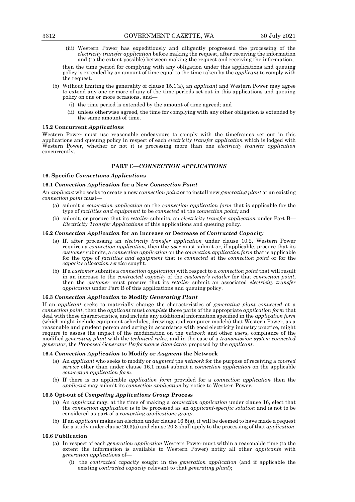(iii) Western Power has expeditiously and diligently progressed the processing of the *electricity transfer application* before making the request, after receiving the information and (to the extent possible) between making the request and receiving the information,

then the time period for complying with any obligation under this applications and queuing policy is extended by an amount of time equal to the time taken by the *applicant* to comply with the request.

- (b) Without limiting the generality of clause 15.1(a), an *applicant* and Western Power may agree to extend any one or more of any of the time periods set out in this applications and queuing policy on one or more occasions, and—
	- (i) the time period is extended by the amount of time agreed; and
	- (ii) unless otherwise agreed, the time for complying with any other obligation is extended by the same amount of time.

#### **15.2 Concurrent** *Application***s**

Western Power must use reasonable endeavours to comply with the timeframes set out in this applications and queuing policy in respect of each *electricity transfer application* which is lodged with Western Power, whether or not it is processing more than one *electricity transfer application* concurrently.

# **PART C—***CONNECTION APPLICATIONS*

#### **16. Specific** *Connections Application***s**

# **16.1** *Connection Application* **for a New** *Connection Point*

An *applicant* who seeks to create a new *connection point* or to install new *generating plant* at an existing *connection point* must—

- (a) submit a *connection application* on the *connection application form* that is applicable for the type of *facilities and equipment* to be *connected* at the *connection point;* and
- (b) submit, or procure that its *retailer* submits, an *electricity transfer application* under Part B— *Electricity Transfer Application*s of this applications and queuing policy.

# **16.2** *Connection Application* **for an Increase or Decrease of** *Contracted Capacity*

- (a) If, after processing an *electricity transfer application* under clause 10.2, Western Power requires a *connection application*, then the *user* must submit or, if applicable, procure that its *customer* submits, a *connection application* on the *connection application form* that is applicable for the type of *facilities and equipment* that is *connected* at the *connection point* or for the *capacity allocation service* sought.
- (b) If a *customer* submits a *connection application* with respect to a *connection point* that will result in an increase to the *contracted capacity* of the *customer's retailer* for that *connection point*, then the *customer* must procure that its *retailer* submit an associated *electricity transfer application* under Part B of this applications and queuing policy.

# **16.3** *Connection Application* **to Modify** *Generating Plant*

If an *applicant* seeks to materially change the characteristics of *generating plant connected* at a *connection point*, then the *applicant* must *complete* those parts of the appropriate *application form* that deal with those characteristics, and include any additional information specified in the *application form* (which might include equipment schedules, drawings and computer models) that Western Power, as a reasonable and prudent person and acting in accordance with good electricity industry practice, might require to assess the impact of the modification on the *network* and other *users*, compliance of the modified *generating plant* with the *technical rules,* and in the case of a *transmission system connected generator*, the *Proposed Generator Performance Standards* proposed by the *applicant*.

# **16.4** *Connection Application* **to Modify or** *Augment* **the Network**

- (a) An *applicant* who seeks to modify or *augment* the *network* for the purpose of receiving a *covered service* other than under clause 16.1 must submit a *connection application* on the applicable *connection application form*.
- (b) If there is no applicable *application form* provided for a *connection application* then the *applicant* may submit its *connection application* by notice to Western Power.

# **16.5 Opt-out of** *Competing Applications Group* **Process**

- (a) An *applicant* may, at the time of making a *connection application* under clause 16, elect that the *connection application* is to be processed as an *applicant-specific solution* and is not to be considered as part of a *competing applications group*.
- (b) If an *applicant* makes an election under clause 16.5(a), it will be deemed to have made a request for a study under clause 20.3(a) and clause 20.3 shall apply to the processing of that *application*.

#### **16.6 Publication**

- (a) In respect of each *generation application* Western Power must within a reasonable time (to the extent the information is available to Western Power) notify all other *applicants* with *generation applications* of—
	- (i) the *contracted capacity* sought in the *generation application* (and if applicable the existing *contracted capacity* relevant to that *generating plant*);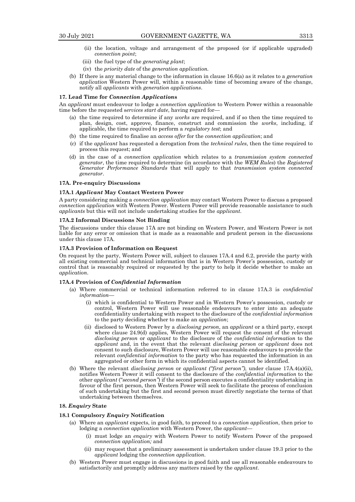- (ii) the location, voltage and arrangement of the proposed (or if applicable upgraded) *connection point*;
- (iii) the fuel type of the *generating plant*;
- (iv) the *priority date* of the *generation application.*
- (b) If there is any material change to the information in clause 16.6(a) as it relates to a *generation application* Western Power will, within a reasonable time of becoming aware of the change, notify all *applicants* with *generation applications*.

#### **17. Lead Time for** *Connection Application***s**

An *applicant* must endeavour to lodge a *connection application* to Western Power within a reasonable time before the requested s*ervices start date*, having regard for—

- (a) the time required to determine if any *works* are required, and if so then the time required to plan, design, cost, approve, finance, construct and commission the *works*, including, if applicable, the time required to perform a *regulatory test*; and
- (b) the time required to finalise an *access offer* for the *connection application*; and
- (c) if the *applicant* has requested a derogation from the *technical rules*, then the time required to process this request; and
- (d) in the case of a *connection application* which relates to a *transmission system connected generator*, the time required to determine (in accordance with the *WEM Rules*) the *Registered Generator Performance Standards* that will apply to that *transmission system connected generator*.

#### **17A. Pre-enquiry Discussions**

# **17A.1** *Applicant* **May Contact Western Power**

A party considering making a *connection application* may contact Western Power to discuss a proposed *connection application* with Western Power. Western Power will provide reasonable assistance to such *applicants* but this will not include undertaking studies for the *applicant*.

# **17A.2 Informal Discussions Not Binding**

The discussions under this clause 17A are not binding on Western Power, and Western Power is not liable for any error or omission that is made as a reasonable and prudent person in the discussions under this clause 17A.

#### **17A.3 Provision of Information on Request**

On request by the party, Western Power will, subject to clauses 17A.4 and 6.2, provide the party with all existing commercial and technical information that is in Western Power's possession, custody or control that is reasonably required or requested by the party to help it decide whether to make an *application*.

#### **17A.4 Provision of** *Confidential Information*

- (a) Where commercial or technical information referred to in clause 17A.3 is *confidential information*—
	- (i) which is confidential to Western Power and in Western Power's possession, custody or control, Western Power will use reasonable endeavours to enter into an adequate confidentiality undertaking with respect to the disclosure of the *confidential information* to the party deciding whether to make an *application*;
	- (ii) disclosed to Western Power by a *disclosing person*, an *applicant* or a third party, except where clause 24.9(d) applies, Western Power will request the consent of the relevant *disclosing person* or *applicant* to the disclosure of the *confidential information* to the *applicant* and, in the event that the relevant *disclosing person* or *applicant* does not consent to such disclosure, Western Power will use reasonable endeavours to provide the relevant *confidential information* to the party who has requested the information in an aggregated or other form in which its confidential aspects cannot be identified.
- (b) Where the relevant *disclosing person* or *applicant ("first person")*, under clause 17A.4(a)(ii), notifies Western Power it will consent to the disclosure of the *confidential information* to the other *applicant* ("*second person"*) if the second person executes a confidentiality undertaking in favour of the first person, then Western Power will seek to facilitate the process of conclusion of such undertaking but the first and second person must directly negotiate the terms of that undertaking between themselves.

#### **18.** *Enquiry* **State**

# **18.1 Compulsory** *Enquiry* **Notification**

- (a) Where an *applicant* expects, in good faith, to proceed to a *connection application*, then prior to lodging a *connection application* with Western Power, the *applicant*—
	- (i) must lodge an *enquiry* with Western Power to notify Western Power of the proposed *connection application;* and
	- (ii) may request that a preliminary assessment is undertaken under clause 19.3 prior to the *applicant* lodging the *connection application*.
- (b) Western Power must engage in discussions in good faith and use all reasonable endeavours to satisfactorily and promptly address any matters raised by the *applicant*.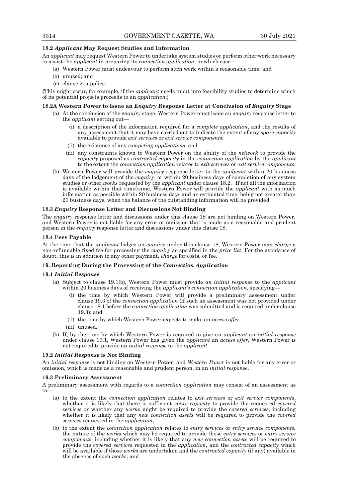# **18.2** *Applicant* **May Request Studies and Information**

An *applicant* may request Western Power to undertake system studies or perform other work necessary to assist the *applicant* in preparing its *connection application*, in which case—

- (a) Western Power must endeavour to perform such work within a reasonable time; and
- (b) unused; and
- (c) clause 20 applies.

{This might occur, for example, if the *applicant* needs input into feasibility studies to determine which of its potential projects proceeds to an *application*.}

# **18.2A Western Power to Issue an** *Enquiry* **Response Letter at Conclusion of** *Enquiry* **Stage**

- (a) At the conclusion of the *enquiry* stage, Western Power must issue an *enquiry* response letter to the *applicant* setting out—
	- (i) a description of the information required for a *complete application*, and the results of any assessment that it may have carried out to indicate the extent of any *spare capacity* available to provide *exit services* or *exit service components*;
	- (ii) the existence of any *competing applications*; and
	- (iii) any constraints known to Western Power on the ability of the *network* to provide the *capacity* proposed as *contracted capacity* in the *connection application* by the *applicant*  to the extent the *connection application* relates to *exit services* or *exit service components*.
- (b) Western Power will provide the *enquiry* response letter to the *applicant* within 20 business days of the lodgement of the *enquiry*, or within 20 business days of completion of any system studies or other *works* requested by the *applicant* under clause 18.2. If not all the information is available within that timeframe, Western Power will provide the *applicant* with as much information as possible within 20 business days and an estimated time, being not greater than 20 business days, when the balance of the outstanding information will be provided.

# **18.3** *Enquiry* **Response Letter and Discussions Not Binding**

The *enquiry* response letter and discussions under this clause 18 are not binding on Western Power, and Western Power is not liable for any error or omission that is made as a reasonable and prudent person in the *enquiry* response letter and discussions under this clause 18.

# **18.4 Fees Payable**

At the time that the *applicant* lodges an *enquiry* under this clause 18, Western Power may *charge* a non-refundable fixed fee for processing the *enquiry* as specified in the *price list*. For the avoidance of doubt, this is in addition to any other payment, *charge* for costs, or fee.

# **19. Reporting During the Processing of the** *Connection Application*

# **19.1** *Initial Response*

- (a) Subject to clause 19.1(b), Western Power must provide *an initial response* to the *applicant* within 20 business days of receiving the *applicant's connection application,* specifying—
	- (i) the time by which Western Power will provide a preliminary assessment under clause 19.3 of the *connection application* (if such an assessment was not provided under clause 18.1 before the *connection application* was submitted and is required under clause 19.3); and
	- (ii) the time by which Western Power expects to make an *access offer*.
	- (iii) unused.
- (b) If, by the time by which Western Power is required to give an *applicant* an *initial response*  under clause 19.1, Western Power has given the *applicant* an *access offer*, Western Power is not required to provide an *initial response* to the *applicant*.

# **19.2** *Initial Response* **is Not Binding**

An *initial response* is not binding on Western Power, and *Western Power* is not liable for any error or omission, which is made as a reasonable and prudent person, in an *initial response*.

# **19.3 Preliminary Assessment**

A preliminary assessment with regards to a *connection application* may consist of an assessment as to—

- (a) to the extent the *connection application* relates to *exit services* or *exit service components*, whether it is likely that there is sufficient *spare capacity* to provide the requested *covered services* or whether any *works* might be required to provide the c*overed services*, including whether it is likely that any *new connection asset*s will be required to provide the *covered services* requested in the *application*;
- (b) to the extent the *connection application* relates to *entry services* or *entry service components*, the nature of the *works* which may be required to provide those *entry services* or *entry service components*, including whether it is likely that any *new connection asset*s will be required to provide the *covered services* requested in the *application*, and the *contracted capacity* which will be available if those *works* are undertaken and the *contracted capacity* (if any) available in the absence of such *works*; and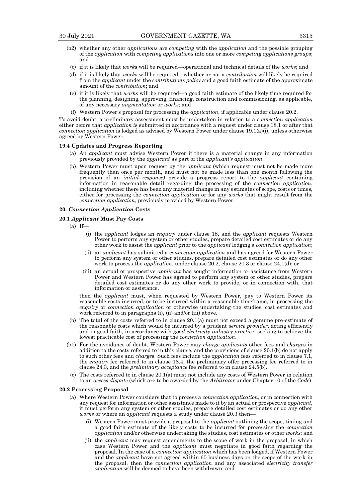- (b2) whether any other *applications* are *competing* with the *application* and the possible grouping of the *application* with *competing applications* into one or more *competing applications groups*; and
	- (c) if it is likely that *work*s will be required—operational and technical details of the *works*; and
- (d) if it is likely that *works* will be required—whether or not a *contribution* will likely be required from the *applicant* under the *contributions policy* and a good faith estimate of the approximate amount of the *contribution*; and
- (e) if it is likely that *works* will be required—a good faith estimate of the likely time required for the planning, designing, approving, financing, construction and commissioning, as applicable, of any necessary *augmentation* or *works*; and
- (f) Western Power's proposal for processing the *application*, if applicable under clause 20.2.

To avoid doubt, a preliminary assessment must be undertaken in relation to a *connection application* either before that *application i*s submitted in accordance with a request under clause 18.1 or after that *connection application* is lodged as advised by Western Power under clause 19.1(a)(i), unless otherwise agreed by Western Power.

# **19.4 Updates and Progress Reporting**

- (a) An *applicant* must advise Western Power if there is a material change in any information previously provided by the *applicant* as part of the *applicant's application*.
- (b) Western Power must upon request by the *applicant* (which request must not be made more frequently than once per month, and must not be made less than one month following the provision of an *initial response)* provide a progress report to the *applicant* containing information in reasonable detail regarding the processing of the *connection application*, including whether there has been any material change in any estimates of scope, costs or times, either for processing the *connection applicatio*n or for any *works* that might result from the *connection application*, previously provided by Western Power.

#### **20.** *Connection Application* **Costs**

# **20.1** *Applicant* **Must Pay Costs**

- $(a)$  If—
	- (i) the *applicant* lodges an *enquiry* under clause 18, and the *applicant* requests Western Power to perform any system or other studies, prepare detailed cost estimates or do any other work to assist the *applicant* prior to the *applicant* lodging a *connection application*;
	- (ii) an *applicant* has submitted a *connection application* and has agreed for Western Power to perform any system or other studies, prepare detailed cost estimates or do any other work to process the *application*, under clause 20.2, clause 20.3 or clause 24.1(d); or
	- (iii) an actual or prospective *applicant* has sought information or assistance from Western Power and Western Power has agreed to perform any system or other studies, prepare detailed cost estimates or do any other work to provide, or in connection with, that information or assistance,

then the *applicant* must, when requested by Western Power, pay to Western Power its reasonable costs incurred, or to be incurred within a reasonable timeframe, in processing the *enquiry* or *connection application* or otherwise undertaking the studies, cost estimates and work referred to in paragraphs (i), (ii) and/or (iii) above.

- (b) The total of the costs referred to in clause 20.1(a) must not exceed a genuine pre-estimate of the reasonable costs which would be incurred by a prudent *service provider*, acting efficiently and in good faith, in accordance with *good electricity industry practic*e, seeking to achieve the lowest practicable cost of processing the *connection application*.
- (b1) For the avoidance of doubt, Western Power may *charge applicants* other fees and *charge*s in addition to the costs referred to in this clause, and the provisions of clause 20.1(b) do not apply to such other fees and *charge*s. Such fees include the *application* fees referred to in clause 7.1, the *enquiry* fee referred to in clause 18.4, the preliminary offer processing fee referred to in clause 24.3, and the *preliminary acceptance* fee referred to in clause 24.5(b).
	- (c) The costs referred to in clause 20.1(a) must not include any costs of Western Power in relation to an *access dispute* (which are to be awarded by the *Arbitrator* under Chapter 10 of the *Code*).

#### **20.2 Processing Proposal**

- (a) Where Western Power considers that to process a *connection application*, or in connection with any request for information or other assistance made to it by an actual or prospective *applicant*, it must perform any system or other studies, prepare detailed cost estimates or do any other *works* or where an *applicant* requests a study under clause 20.3 then—
	- (i) Western Power must provide a proposal to the *applicant* outlining the scope, timing and a good faith estimate of the likely costs to be incurred for processing the *connection application* and/or otherwise undertaking the studies, cost estimates or other *works*; and
	- (ii) the *applicant* may request amendments to the scope of work in the proposal, in which case Western Power and the *applicant* must negotiate in good faith regarding the proposal. In the case of a *connection application* which has been lodged, if Western Power and the *applicant* have not agreed within 60 business days on the scope of the work in the proposal, then the *connection application* and any associated *electricity transfer application* will be deemed to have been withdrawn; and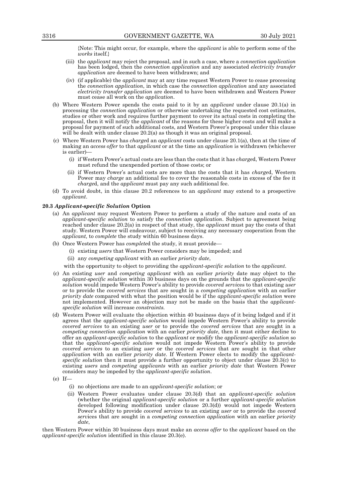{Note: This might occur, for example, where the *applicant* is able to perform some of the *works* itself.}

- (iii) the *applicant* may reject the proposal, and in such a case, where a *connection application* has been lodged, then the *connection application* and any associated *electricity transfer application* are deemed to have been withdrawn; and
- (iv) (if applicable) the *applicant* may at any time request Western Power to cease processing the *connection application*, in which case the *connection application* and any associated *electricity transfer application* are deemed to have been withdrawn and Western Power must cease all work on the *application*.
- (b) Where Western Power spends the costs paid to it by an *applicant* under clause 20.1(a) in processing the *connection application* or otherwise undertaking the requested cost estimates, studies or other work and requires further payment to cover its actual costs in completing the proposal, then it will notify the *applicant* of the reasons for these higher costs and will make a proposal for payment of such additional costs, and Western Power's proposal under this clause will be dealt with under clause 20.2(a) as though it was an original proposal.
- (c) Where Western Power has *charge*d an *applicant* costs under clause 20.1(a), then at the time of making an *access offer* to that *applicant* or at the time an *application* is withdrawn (whichever is earlier)—
	- (i) if Western Power's actual costs are less than the costs that it has *charge*d, Western Power must refund the unexpended portion of those costs; or
	- (ii) if Western Power's actual costs are more than the costs that it has *charge*d, Western Power may *charge* an additional fee to cover the reasonable costs in excess of the fee it *charge*d, and the *applicant* must pay any such additional fee.
- (d) To avoid doubt, in this clause 20.2 references to an *applicant* may extend to a prospective *applicant*.

# **20.3** *Applicant-specific Solution* **Option**

- (a) An *applicant* may request Western Power to perform a study of the nature and costs of an *applicant-specific solution* to satisfy the *connection application*. Subject to agreement being reached under clause 20.2(a) in respect of that study, the *applicant* must pay the costs of that study. Western Power will endeavour, subject to receiving any necessary cooperation from the *applicant,* to *complete* the study within 60 business days.
- (b) Once Western Power has *complete*d the study, it must provide—
	- (i) existing *users* that Western Power considers may be impeded; and
	- (ii) any *competing applicant* with an earlier *priority date*,

with the opportunity to object to providing the *applicant-specific solution* to the *applicant*.

- (c) An existing *user* and *competing applicant* with an earlier *priority* date may object to the *applicant-specific solution* within 30 business days on the grounds that the *applicant-specific solution* would impede Western Power's ability to provide *covered servi*ces to that existing *user*  or to provide the *covered services* that are sought in a *competing application* with an earlier *priority date* compared with what the position would be if the *applicant-specific solution* were not implemented. However an objection may not be made on the basis that the *applicantspecific solution* will increase *constraints.*
- (d) Western Power will evaluate the objection within 40 business days of it being lodged and if it agrees that the *applicant-specific solution* would impede Western Power's ability to provide *covered services* to an existing *user* or to provide the *covered services* that are sought in a *competing connection application* with an earlier *priority date*, then it must either decline to offer an *applicant-specific solution* to the *applicant* or modify the *applicant-specific solution* so that the *applicant-specific solution* would not impede Western Power's ability to provide *covered services* to an existing *user* or the *covered services* that are sought in that other *application* with an earlier *priority date*. If Western Power elects to modify the *applicantspecific solution* then it must provide a further opportunity to object under clause 20.3(c) to existing *users* and *competing applicants* with an earlier *priority date* that Western Power considers may be impeded by the *applicant-specific solution*.
- $(e)$  If
	- (i) no objections are made to an *applicant-specific solution*; or
	- (ii) Western Power evaluates under clause 20.3(d) that an *applicant-specific solution* (whether the original *applicant-specific solution* or a further *applicant-specific solution*  developed following modification under clause 20.3(d)) would not impede Western Power's ability to provide *covered services* to an existing *user* or to provide the *covered serv*ices that are sought in a *competing connection application* with an earlier *priority date*,

then Western Power within 30 business days must make an *access offer* to the *applicant* based on the *applicant-specific solution* identified in this clause 20.3(e).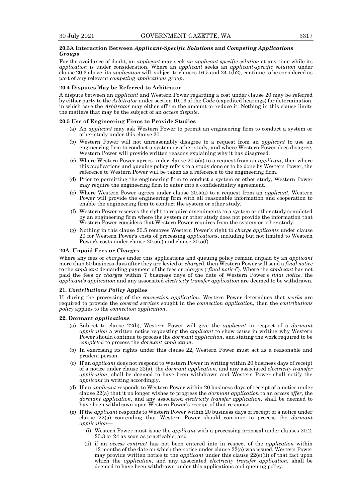# **20.3A Interaction Between** *Applicant-Specific Solutions* **and** *Competing Applications Groups*

For the avoidance of doubt, an *applicant* may seek *an applicant-specific solution* at any time while its *application* is under consideration. Where an *applicant* seeks an *applicant-specific solution* under clause 20.3 above, its *application* will, subject to clauses 16.5 and 24.1(b2), continue to be considered as part of any relevant *competing applications group*.

# **20.4 Disputes May be Referred to Arbitrator**

A dispute between an *applicant* and Western Power regarding a cost under clause 20 may be referred by either party to the *Arbitrator* under section 10.13 of the *Code* (expedited hearings) for determination, in which case the *Arbitrator* may either affirm the amount or reduce it. Nothing in this clause limits the matters that may be the subject of an *access dispute*.

#### **20.5 Use of Engineering Firms to Provide Studies**

- (a) An *applicant* may ask Western Power to permit an engineering firm to conduct a system or other study under this clause 20.
- (b) Western Power will not unreasonably disagree to a request from an *applicant* to use an engineering firm to conduct a system or other study, and where Western Power does disagree, Western Power will provide written reasons explaining why it has disagreed.
- (c) Where Western Power agrees under clause 20.5(a) to a request from an *applicant*, then where this applications and queuing policy refers to a study done or to be done by Western Power, the reference to Western Power will be taken as a reference to the engineering firm.
- (d) Prior to permitting the engineering firm to conduct a system or other study, Western Power may require the engineering firm to enter into a confidentiality agreement.
- (e) Where Western Power agrees under clause 20.5(a) to a request from an *applicant*, Western Power will provide the engineering firm with all reasonable information and cooperation to enable the engineering firm to conduct the system or other study.
- (f) Western Power reserves the right to require amendments to a system or other study completed by an engineering firm where the system or other study does not provide the information that Western Power considers that Western Power requires from the system or other study.
- (g) Nothing in this clause 20.5 removes Western Power's right to *charge applicants* under clause 20 for Western Power's costs of processing *application*s, including but not limited to Western Power's costs under clause 20.5(e) and clause 20.5(f).

#### **20A. Unpaid Fees or** *Charge***s**

Where any fees or *charge*s under this applications and queuing policy remain unpaid by an *applicant*  more than 60 business days after they are levied or *charge*d, then Western Power will send a *final notice* to the *applicant* demanding payment of the fees or *charge*s ("*final notice*"). Where the *applicant* has not paid the fees or *charge*s within 7 business days of the date of Western Power's *final notice*, the *applicant's application* and any associated *electricity transfer application* are deemed to be withdrawn.

#### **21.** *Contributions Policy* **Applies**

If, during the processing of the *connection application*, Western Power determines that *works* are required to provide the *covered services* sought in the *connection application*, then the *contributions policy* applies to the *connection application*.

#### **22. Dormant** *application***s**

- (a) Subject to clause 22(b), Western Power will give the *applicant* in respect of a *dormant application* a written notice requesting the *applicant* to show cause in writing why Western Power should continue to process the *dormant application*, and stating the work required to be *complete*d to process the *dormant application*.
- (b) In exercising its rights under this clause 22, Western Power must act as a reasonable and prudent person.
- (c) If an *applicant* does not respond to Western Power in writing within 20 business days of receipt of a notice under clause 22(a), the *dormant application*, and any associated *electricity transfer application*, shall be deemed to have been withdrawn and Western Power shall notify the *applicant* in writing accordingly.
- (d) If an *applicant* responds to Western Power within 20 business days of receipt of a notice under clause 22(a) that it no longer wishes to progress the *dormant application* to an *access offer*, the *dormant application*, and any associated *electricity transfer application*, shall be deemed to have been withdrawn upon Western Power's receipt of that response.
- (e) If the *applicant* responds to Western Power within 20 business days of receipt of a notice under clause 22(a) contending that Western Power should continue to process the *dormant application*—
	- (i) Western Power must issue the *applicant* with a processing proposal under clauses 20.2, 20.3 or 24 as soon as practicable; and
	- (ii) if an *access contract* has not been entered into in respect of the *application* within 12 months of the date on which the notice under clause 22(a) was issued, Western Power may provide written notice to the *applicant* under this clause 22(e)(ii) of that fact upon which the *application*, and any associated *electricity transfer application,* shall be deemed to have been withdrawn under this applications and queuing policy.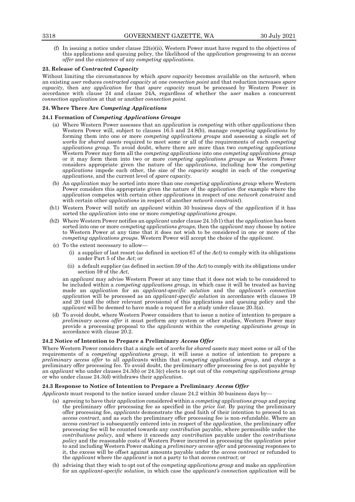(f) In issuing a notice under clause  $22(e)$ (ii), Western Power must have regard to the objectives of this applications and queuing policy, the likelihood of the *application* progressing to an *access offer* and the existence of any *competing applications*.

# **23. Release of** *Contracted Capacity*

Without limiting the circumstances by which *spare capacity* becomes available on the *network*, when an existing *user* reduces *contracted capacity* at one *connection point* and that reduction increases *spare capacity,* then any *application* for that *spare capacity* must be processed by Western Power in accordance with clause 24 and clause 24A, regardless of whether the *user* makes a concurrent *connection application* at that or another *connection point.*

# **24. Where There Are** *Competing Applications*

# **24.1 Formation of** *Competing Applications Groups*

- (a) Where Western Power assesses that an *application* is *competing* with other *applications* then Western Power will, subject to clauses 16.5 and 24.8(b), manage *competing applications* by forming them into one or more *competing applications groups* and assessing a single set of *works* for *shared assets* required to meet some or all of the requirements of each *competing applications group*. To avoid doubt, where there are more than two *competing applications* Western Power may form all the *competing applications* into one *competing applications group* or it may form them into two or more *competing applications groups* as Western Power considers appropriate given the nature of the *applications*, including how the *competing applications* impede each other, the size of the *capacity* sought in each of the *competing applications*, and the current level of *spare capacity*.
- (b) An *application* may be sorted into more than one *competing applications group* where Western Power considers this appropriate given the nature of the *application* (for example where the *application* competes with certain other *applications* in respect of one *network constraint* and with certain other *applications* in respect of another *network constraint*).
- (b1) Western Power will notify an *applicant* within 30 business days of the *application* if it has sorted the *application* into one or more *competing applications groups*.
- (b2) Where Western Power notifies an *applicant* under clause 24.1(b1) that the *application* has been sorted into one or more *competing applications groups*, then the *applicant* may choose by notice to Western Power at any time that it does not wish to be considered in one or more of the *competing applications groups*. Western Power will accept the choice of the *applicant*.
- (c) To the extent necessary to allow—
	- (i) a supplier of last resort (as defined in section 67 of the *Act*) to comply with its obligations under Part 5 of the *Act*; or
	- (ii) a default supplier (as defined in section 59 of the *Act*) to comply with its obligations under section 59 of the *Act*,

an *applicant* may advise Western Power at any time that it does not wish to be considered to be included within a *competing applications group*, in which case it will be treated as having made an *application* for an *applicant-specific solution* and the *applicant's connection application* will be processed as an *applicant-specific solution* in accordance with clauses 19 and 20 (and the other relevant provisions) of this applications and queuing policy and the *applicant* will be deemed to have made a request for a study under clause 20.3(a).

(d) To avoid doubt, where Western Power considers that to issue a notice of intention to prepare a *preliminary access offer* it must perform any system or other studies, Western Power may provide a processing proposal to the *applicants* within the *competing applications group* in accordance with clause 20.2.

# **24.2 Notice of Intention to Prepare a Preliminary** *Access Offer*

Where Western Power considers that a single set of *works* for *shared assets* may meet some or all of the requirements of a *competing applications group*, it will issue a notice of intention to prepare a *preliminary access offer* to all *applicants* within that *competing applications group*, and *charge* a preliminary offer processing fee. To avoid doubt, the preliminary offer processing fee is not payable by an *applicant* who under clauses 24.3(b) or 24.3(c) elects to opt out of the *competing applications group* or who under clause 24.3(d) withdraws their a*pplication*.

# **24.3 Response to Notice of Intention to Prepare a Preliminary** *Access Offer*

*Applicants* must respond to the notice issued under clause 24.2 within 30 business days by—

- (a) agreeing to have their *application* considered within a *competing applications group* and paying the preliminary offer processing fee as specified in the *price list*. By paying the preliminary offer processing fee, *applicants* demonstrate the good faith of their intention to proceed to an *access contract*, and as such the preliminary offer processing fee is non-refundable. Where an *access contract* is subsequently entered into in respect of the *application*, the preliminary offer processing fee will be counted towards any *contribution* payable, where permissible under the *contributions policy,* and where it exceeds any *contribution* payable under the *contributions policy* and the reasonable costs of Western Power incurred in processing the *application* prior to and including Western Power making a *preliminary access offer* and processing responses to it, the excess will be offset against amounts payable under the *access contract* or refunded to the *applicant* where the *applicant* is not a party to that *access contract*; or
- (b) advising that they wish to opt out of the *competing applications group* and make an *application* for an *applicant-specific solution*, in which case the *applicant's connection application* will be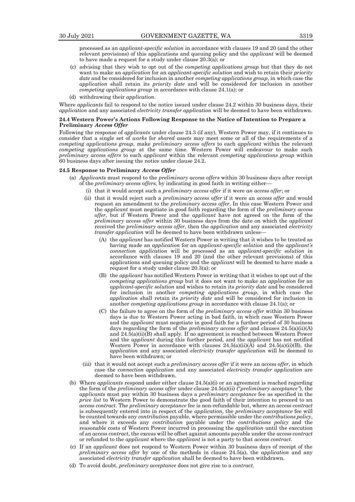processed as an *applicant-specific solution* in accordance with clauses 19 and 20 (and the other relevant provisions) of this applications and queuing policy and the *applicant* will be deemed to have made a request for a study under clause 20.3(a); or

- (c) advising that they wish to opt out of the *competing applications group* but that they do not want to make an *application* for an *applicant-specific solution* and wish to retain their *priority date* and be considered for inclusion in another *competing applications group*, in which case the *application* shall retain its *priority date* and will be considered for inclusion in another *competing applications group* in accordance with clause 24.1(a); or
- (d) withdrawing their *application*.

Where *applicants* fail to respond to the notice issued under clause 24.2 within 30 business days, their *application* and any associated *electricity transfer application* will be deemed to have been withdrawn.

#### **24.4 Western Power's Actions Following Response to the Notice of Intention to Prepare a Preliminary** *Access Offer*

Following the response of *applicants* under clause 24.3 (if any), Western Power may, if it continues to consider that a single set of *works* for *shared assets* may meet some or all of the requirements of a *competing applications group*, make *preliminary access offers* to each *applicant* within the relevant *competing applications group* at the same time. Western Power will endeavour to make such *preliminary access offers* to each *applicant* within the relevant *competing applications group* within 60 business days after issuing the notice under clause 24.2.

# **24.5 Response to Preliminary** *Access Offer*

- (a) *Applicants* must respond to the *preliminary access offers* within 30 business days after receipt of the *preliminary access offers*, by indicating in good faith in writing either—
	- (i) that it would accept such a *preliminary access offer* if it were *an access offer*; or
	- (ii) that it would reject such a *preliminary access offer* if it were an *access offer* and would request an amendment to the *preliminary access offer*. In this case Western Power and the *applicant* must negotiate in good faith regarding the form of the *preliminary access offer*, but if Western Power and the *applicant* have not agreed on the form of the *preliminary access offer* within 30 business days from the date on which the *applicant* received the *preliminary access offer*, then the *application* and any associated *electricity transfer application* will be deemed to have been withdrawn unless
		- (A) the *applicant* has notified Western Power in writing that it wishes to be treated as having made an *application* for an *applicant-specific solution* and the *applicant's connection application* will be processed as an *applicant-specific solution* in accordance with clauses 19 and 20 (and the other relevant provisions) of this applications and queuing policy and the *applicant* will be deemed to have made a request for a study under clause 20.3(a); or
		- (B) the *applicant* has notified Western Power in writing that it wishes to opt out of the *competing applications group* but it does not want to make an *application* for an *applicant-specific solution* and wishes to retain its *priority date* and be considered for inclusion in another *competing applications group*, in which case the *application* shall retain its *priority date* and will be considered for inclusion in another *competing applications group* in accordance with clause 24.1(a); or
		- (C) the failure to agree on the form of the *preliminary access offer* within 30 business days is due to Western Power acting in bad faith, in which case Western Power and the *applicant* must negotiate in good faith for a further period of 30 business days regarding the form of the *preliminary access offer* and clauses 24.5(a)(ii)(A) and 24.5(a)(ii)(B) shall apply. If no agreement is reached between Western Power and the *applicant* during this further period, and the *applicant* has not notified Western Power in accordance with clauses  $24.5(a)(ii)(A)$  and  $24.5(a)(ii)(B)$ , the *application* and any associated *electricity transfer application* will be deemed to have been withdrawn; or
	- (iii) that it would not accept such a *preliminary access offer* if it were an *access offer*, in which case the *connection application* and any associated *electricity transfer application* are deemed to have been withdrawn.
- (b) Where *applicants* respond under either clause 24.5(a)(i) or an agreement is reached regarding the form of the *preliminary access offer* under clause 24.5(a)(ii) ("*preliminary acceptance"*), the *applicants* must pay within 30 business days a *preliminary acceptance* fee as specified in the *price list* to Western Power to demonstrate the good faith of their intention to proceed to an *access contract*. The *preliminary acceptance* fee is non-refundable but, where an *access contract*  is subsequently entered into in respect of the *application*, the *preliminary acceptance* fee will be counted towards any *contribution* payable, where permissible under the *contributions policy*, and where it exceeds any *contribution* payable under the *contributions policy* and the reasonable costs of Western Power incurred in processing the *application* until the execution of an *access contract*, the excess will be offset against amounts payable under the *access contract* or refunded to the *applicant* where the *applicant* is not a party to that *access contract*.
- (c) If an *applicant* does not respond to Western Power within 30 business days of receipt of the *preliminary access offer* by one of the methods in clause 24.5(a), the *application* and any associated *electricity transfer application* shall be deemed to have been withdrawn.
- (d) To avoid doubt, *preliminary acceptance* does not give rise to a *contract*.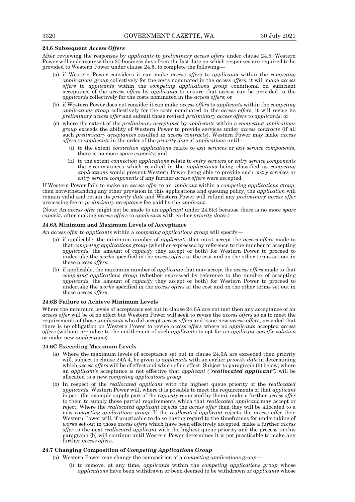#### **24.6 Subsequent** *Access Offers*

After reviewing the responses by *applicants* to *preliminary access offers* under clause 24.5, Western Power will endeavour within 30 business days from the last date on which responses are required to be provided to Western Power under clause 24.5, to complete the following—

- (a) if Western Power considers it can make *access offers* to *applicants* within the *competing applications group* collectively for the costs nominated in the *access offers*, it will make *access offers* to *applicants* within the *competing applications group* conditional on sufficient acceptance of the *access offers* by *applicants* to ensure that access can be provided to the *applicants* collectively for the costs nominated in the *access offers*; or
- (b) if Western Power does not consider it can make *access offers* to *applicants* within the *competing applications group* collectively for the costs nominated in the *access offers*, it will revise its *preliminary access offer* and submit those revised *preliminary access offers* to *applicants*; or
- (c) where the extent of the *preliminary acceptance* by *applicants* within a *competing applications group* exceeds the ability of Western Power to provide services under *access contracts* (if all such *preliminary acceptances* resulted in *access contracts*), Western Power may make *access offers* to *applicants* in the order of the *priority date* of *applications* until—
	- (i) to the extent *connection applications* relate to *exit services* or *exit service components*, there is no more *spare capacity*; and
	- (ii) to the extent *connection applications* relate to *entry services* or *entry service components*  the circumstances which resulted in the *applications* being classified as *competing applications* would prevent Western Power being able to provide such *entry services* or *entry service components* if any further *access offers* were accepted.

If Western Power fails to make an *access offer* to an *applicant* within a *competing applications group*, then notwithstanding any other provision in this applications and queuing policy, the *application* will remain valid and retain its *priority date* and Western Power will refund any *preliminary access offer* processing fee or *preliminary acceptance* fee paid by the *applicant*.

{Note: An *access offer* might not be made to an *applicant* under 24.6(c) because there is no more *spare capacity* after making *access offers* to *applicants* with earlier *priority dates*.}

# **24.6A Minimum and Maximum Levels of Acceptance**

An *access offer* to *applicants* within a *competing applications group* will specify—

- (a) if applicable, the minimum number of *applicants* that must accept the *access offers* made to that *competing applications group* (whether expressed by reference to the number of accepting *applicants*, the amount of *capacity* they accept or both) for Western Power to proceed to undertake the *works* specified in the *access offers* at the cost and on the other terms set out in those *access offers*;
- (b) if applicable, the maximum number of *applicants* that may accept the *access offers* made to that *competing applications group* (whether expressed by reference to the number of accepting *applicants*, the amount of *capacity* they accept or both) for Western Power to proceed to undertake the *works* specified in the *access offers* at the cost and on the other terms set out in those *access offers*.

#### **24.6B Failure to Achieve Minimum Levels**

Where the minimum levels of acceptance set out in clause 24.6A are not met then any acceptance of an *access offer* will be of no effect but Western Power will seek to revise the *access offers* so as to meet the requirements of those *applicants* who did accept *access offers* and issue new *access offers*, provided that there is no obligation on Western Power to revise *access offers* where no *applicants* accepted *access offers* (without prejudice to the entitlement of such *applicants* to opt for an *applicant-specific solution* or make new *applications*).

#### **24.6C Exceeding Maximum Levels**

- (a) Where the maximum levels of acceptance set out in clause 24.6A are exceeded then priority will, subject to clause 24A.4, be given to *applicants* with an earlier *priority date* in determining which *access offers* will be of effect and which of no effect. Subject to paragraph (b) below, where an *applicant's* acceptance is not effective that *applicant ("reallocated applicant")* will be allocated to a new *competing applications group*.
- (b) In respect of the *reallocated applicant* with the highest queue priority of the *reallocated applicants*, Western Power will, where it is possible to meet the requirements of that *applicant* in part (for example supply part of the *capacity* requested by them), make a further *access offer* to them to supply those partial requirements which that *reallocated applicant* may accept or reject. Where the *reallocated applicant* rejects the *access offer* then they will be allocated to a new *competing applications group*. If the *reallocated applicant* rejects the *access offer* then Western Power will, if practicable to do so having regard to the timeframes for undertaking of *works* set out in those *access offers* which have been effectively accepted, make a further *access offer* to the next *reallocated applicant* with the highest queue priority and the process in this paragraph (b) will continue until Western Power determines it is not practicable to make any further *access offers*.

# **24.7 Changing Composition of** *Competing Applications Group*

- (a) Western Power may change the composition of a *competing applications group*
	- (i) to remove, at any time, *applicants* within the *competing applications group* whose *applications* have been withdrawn or been deemed to be withdrawn or *applicants* whose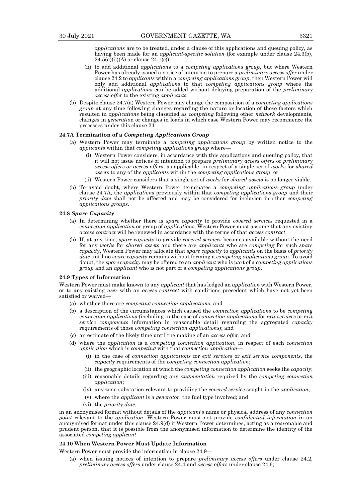*applications* are to be treated, under a clause of this applications and queuing policy, as having been made for an *applicant-specific solution* (for example under clause 24.3(b),  $24.5(a)(ii)(A)$  or clause  $24.1(c)$ ;

- (ii) to add additional *application*s to a *competing applications group*, but where Western Power has already issued a notice of intention to prepare a *preliminary access offer* under clause 24.2 to *applicants* within a *competing applications group*, then Western Power will only add additional *applications* to that *competing applications group* where the additional *applications* can be added without delaying preparation of the *preliminary access offer* to the existing *applicants.*
- (b) Despite clause 24.7(a) Western Power may change the composition of a *competing applications group* at any time following changes regarding the nature or location of those factors which resulted in *applications* being classified as *competing* following other *network* developments, changes in *generatio*n or changes in loads in which case Western Power may recommence the processes under this clause 24.

#### **24.7A Termination of a** *Competing Applications Group*

- (a) Western Power may terminate a *competing applications group* by written notice to the *applicants* within that *competing applications group* where—
	- (i) Western Power considers, in accordance with this applications and queuing policy, that it will not issue notices of intention to prepare *preliminary access offers* or *preliminary access offers or access offers*, as applicable, in respect of a single set of *works* for *shared assets* to any of the *applicants* within the *competing applications group*; or
	- (ii) Western Power considers that a single set of *works* for *shared assets* is no longer viable.
- (b) To avoid doubt, where Western Power terminates a *competing applications group* under clause 24.7A, the *applications* previously within that *competing applications group* and their *priority date* shall not be affected and may be considered for inclusion in other *competing applications groups*.

#### **24.8** *Spare Capacity*

- (a) In determining whether there is *spare capacity* to provide *covered services* requested in a *connection application* or group of *applications*, Western Power must assume that any existing *access contract* will be renewed in accordance with the terms of that *access contract*.
- (b) If, at any time, *spare capacity* to provide *covered services* becomes available without the need for any *works* for *shared assets* and there are *applicants* who are *competing* for such *spare capacity*, Western Power may allocate that *spare capacity* to *applicants* on the basis of *priority date* until no *spare capacity* remains without forming a *competing applications group*. To avoid doubt, the *spare capacity* may be offered to an *applicant* who is part of a *competing applications group* and an *applicant* who is not part of a *competing applications group*.

#### **24.9 Types of Information**

Western Power must make known to any *applicant* that has lodged an *application* with Western Power, or to any existing *user* with an *access contract* with conditions precedent which have not yet been satisfied or waived—

- (a) whether there are *competing connection application*s; and
- (b) a description of the circumstances which caused the *connection applications* to be *competing connection applications* (including in the case of *connection applications* for *exit services* or *exit service components* information in reasonable detail regarding the aggregated *capacity* requirements of those *competing connection applications*); and
- (c) an estimate of the likely time until the making of an *access offer*; and
- (d) where the *application* is a *competing connection application*, in respect of each *connection application* which is *competing* with that *connection application*—
	- (i) in the case of *connection applications* for *exit services* or *exit service components*, the *capacity* requirements of the *competing connection application*;
	- (ii) the geographic location at which the *competing connection application* seeks the *capacity*;
	- (iii) reasonable details regarding any *augmentation* required by the *competing connection application*;
	- (iv) any zone substation relevant to providing the *covered service* sought in the *application*;
	- (v) where the *applicant* is a *generator*, the fuel type involved; and
	- (vi) the *priority date*,

in an anonymised format without details of the *applicant's* name or physical address of any *connection point* relevant to the *application*. Western Power must not provide *confidential information* in an anonymised format under this clause 24.9(d) if Western Power determines, acting as a reasonable and prudent person, that it is possible from the anonymised information to determine the identity of the associated *competing applicant*.

# **24.10 When Western Power Must Update Information**

Western Power must provide the information in clause 24.9—

(a) when issuing notices of intention to prepare *preliminary access offers* under clause 24.2, *preliminary access offers* under clause 24.4 and *access offers* under clause 24.6;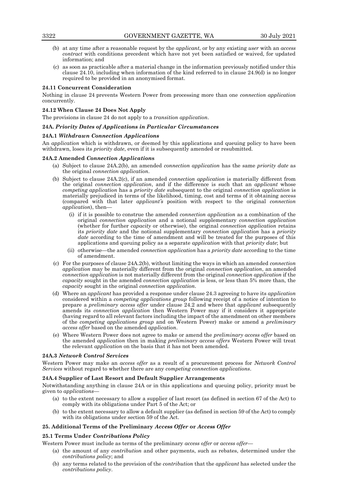- (b) at any time after a reasonable request by the *applicant*, or by any existing *user* with an *access contract* with conditions precedent which have not yet been satisfied or waived, for updated information; and
- (c) as soon as practicable after a material change in the information previously notified under this clause 24.10, including when information of the kind referred to in clause 24.9(d) is no longer required to be provided in an anonymised format.

# **24.11 Concurrent Consideration**

Nothing in clause 24 prevents Western Power from processing more than one *connection application* concurrently.

## **24.12 When Clause 24 Does Not Apply**

The provisions in clause 24 do not apply to a *transition application*.

# **24A.** *Priority Dates of Applications in Particular Circumstances*

## **24A.1** *Withdrawn Connection Applications*

An *application* which is withdrawn, or deemed by this applications and queuing policy to have been withdrawn, loses its *priority date*, even if it is subsequently amended or resubmitted.

## **24A.2 Amended** *Connection Application***s**

- (a) Subject to clause 24A.2(b), an amended *connection application* has the same *priority date* as the original *connection application*.
- (b) Subject to clause 24A.2(c), if an amended *connection application* is materially different from the original *connection application*, and if the difference is such that an *applicant* whose *competing application* has a *priority date* subsequent to the original *connection application* is materially prejudiced in terms of the likelihood, timing, cost and terms of it obtaining access (compared with that later *applicant's* position with respect to the original *connection application*), then—
	- (i) if it is possible to construe the amended *connection application* as a combination of the original *connection application* and a notional supplementary *connection application* (whether for further *capacity* or otherwise), the original *connection application* retains its *priority date* and the notional supplementary *connection application* has a *priority date* according to the time of amendment and will be treated for the purposes of this applications and queuing policy as a separate *application* with that *priority date*; but
	- (ii) otherwise—the amended *connection application* has a *priority date* according to the time of amendment.
- (c) For the purposes of clause 24A.2(b), without limiting the ways in which an amended *connection application* may be materially different from the original *connection application*, an amended *connection application* is not materially different from the original *connection application* if the *capacity* sought in the amended *connection application* is less, or less than 5% more than, the *capacity* sought in the original *connection application*.
- (d) Where an *applicant* has provided a response under clause 24.3 agreeing to have its *application* considered within a *competing applications group* following receipt of a notice of intention to prepare a *preliminary access offer* under clause 24.2 and where that *applicant* subsequently amends its *connection application* then Western Power may if it considers it appropriate (having regard to all relevant factors including the impact of the amendment on other members of the *competing applications group* and on Western Power) make or amend a *preliminary access offer* based on the amended *application*.
- (e) Where Western Power does not agree to make or amend the *preliminary access offer* based on the amended *application* then in making *preliminary access offers* Western Power will treat the relevant *application* on the basis that it has not been amended.

## **24A.3** *Network Control Services*

Western Power may make an *access offer* as a result of a procurement process for *Network Control Services* without regard to whether there are any *competing connection applications*.

## **24A.4 Supplier of Last Resort and Default Supplier Arrangements**

Notwithstanding anything in clause 24A or in this applications and queuing policy, priority must be given to *applications*—

- (a) to the extent necessary to allow a supplier of last resort (as defined in section 67 of the Act) to comply with its obligations under Part 5 of the Act; or
- (b) to the extent necessary to allow a default supplier (as defined in section 59 of the Act) to comply with its obligations under section 59 of the Act.

## **25. Additional Terms of the Preliminary** *Access Offer* **or** *Access Offer*

## **25.1 Terms Under** *Contributions Policy*

Western Power must include as terms of the preliminary *access offer* or *access offer*—

- (a) the amount of any *contribution* and other payments, such as rebates, determined under the *contributions policy*; and
- (b) any terms related to the provision of the *contribution* that the *applicant* has selected under the *contributions policy*.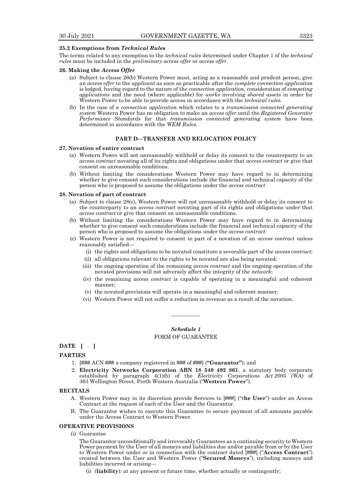## **25.2 Exemptions from** *Technical Rules*

The terms related to any exemption to the *technical rules* determined under Chapter 1 of the *technical rules* must be included in the *preliminary access offer* or *access offer*.

#### **26. Making the** *Access Offer*

- (a) Subject to clause 26(b) Western Power must, acting as a reasonable and prudent person, give an *access offer* to the *applicant* as soon as practicable after the *complete connection application* is lodged, having regard to the nature of the *connection application*, consideration of *competing applications* and the need (where applicable) for *works* involving *shared assets* in order for Western Power to be able to provide access in accordance with the *technical rules.*
- (b) In the case of a *connection application* which relates to a *transmission connected generating system* Western Power has no obligation to make an *access offer* until the *Registered Generator Performance Standards* for that *transmission connected generating system* have been determined in accordance with the *WEM Rules*.

## **PART D—TRANSFER AND RELOCATION POLICY**

## **27. Novation of entire contract**

- (a) Western Power will not unreasonably withhold or delay its consent to the counterparty to an *access contract* novating all of its rights and obligations under that *access contract* or give that consent on unreasonable conditions.
- (b) Without limiting the considerations Western Power may have regard to in determining whether to give consent such considerations include the financial and technical capacity of the person who is proposed to assume the obligations under the *access contract*.

#### **28. Novation of part of contract**

- (a) Subject to clause 28(c), Western Power will not unreasonably withhold or delay its consent to the counterparty to an *access contract* novating part of its rights and obligations under that *access contract* or give that consent on unreasonable conditions.
- (b) Without limiting the considerations Western Power may have regard to in determining whether to give consent such considerations include the financial and technical capacity of the person who is proposed to assume the obligations under the *access contract*.
- (c) Western Power is not required to consent to part of a novation of an *access contract* unless reasonably satisfied—
	- (i) the rights and obligations to be novated constitute a severable part of the *access contract*;
	- (ii) all obligations relevant to the rights to be novated are also being novated;
	- (iii) the ongoing operation of the remaining *access contract* and the ongoing operation of the novated provisions will not adversely affect the integrity of the *network*;
	- (iv) the remaining *access contract* is capable of operating in a meaningful and coherent manner;
	- (v) the novated provisions will operate in a meaningful and coherent manner;
	- (vi) Western Power will not suffer a reduction in revenue as a result of the novation.

# *Schedule 1*

————

# FORM OF GUARANTEE

# **DATE [ ]**

# **PARTIES**

- 1. [### ACN ### a company registered in ### of ###] (**"Guarantor"**); and
- 2. **Electricity Networks Corporation ABN 18 540 492 861**, a statutory body corporate established by paragraph 4(1)(b) of the *Electricity Corporations Act 2005 (WA)* of 363 Wellington Street, Perth Western Australia ("**Western Power**").

#### **RECITALS**

- A. Western Power may in its discretion provide Services to [###] ("t**he User**") under an Access Contract at the request of each of the User and the Guarantor.
- B. The Guarantor wishes to execute this Guarantee to secure payment of all amounts payable under the Access Contract to Western Power.

#### **OPERATIVE PROVISIONS**

(i) Guarantee

The Guarantor unconditionally and irrevocably Guarantees as a continuing security to Western Power payment by the User of all moneys and liabilities due and/or payable from or by the User to Western Power under or in connection with the contract dated [###] ("**Access Contract**") created between the User and Western Power ("**Secured Moneys**"), including moneys and liabilities incurred or arising—

(i) (**liability**): at any present or future time, whether actually or contingently;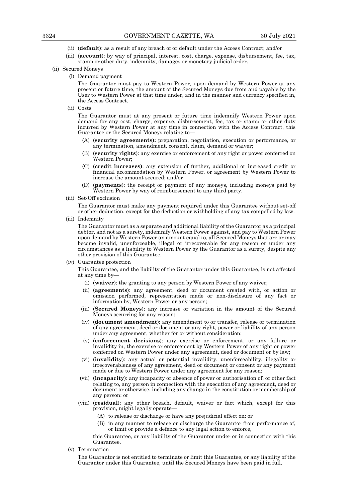- (ii) (**default**): as a result of any breach of or default under the Access Contract; and/or
- (iii) (**account**): by way of principal, interest, cost, charge, expense, disbursement, fee, tax, stamp or other duty, indemnity, damages or monetary judicial order.
- (ii) Secured Moneys
	- (i) Demand payment

The Guarantor must pay to Western Power, upon demand by Western Power at any present or future time, the amount of the Secured Moneys due from and payable by the User to Western Power at that time under, and in the manner and currency specified in, the Access Contract.

(ii) Costs

The Guarantor must at any present or future time indemnify Western Power upon demand for any cost, charge, expense, disbursement, fee, tax or stamp or other duty incurred by Western Power at any time in connection with the Access Contract, this Guarantee or the Secured Moneys relating to—

- (A) (**security agreements):** preparation, negotiation, execution or performance, or any termination, amendment, consent, claim, demand or waiver;
- (B) (**security rights**): any exercise or enforcement of any right or power conferred on Western Power;
- (C) (**credit increases)**: any extension of further, additional or increased credit or financial accommodation by Western Power, or agreement by Western Power to increase the amount secured; and/or
- (D) (**payments**): the receipt or payment of any moneys, including moneys paid by Western Power by way of reimbursement to any third party.
- (iii) Set-Off exclusion

The Guarantor must make any payment required under this Guarantee without set-off or other deduction, except for the deduction or withholding of any tax compelled by law.

(iii) Indemnity

The Guarantor must as a separate and additional liability of the Guarantor as a principal debtor, and not as a surety, indemnify Western Power against, and pay to Western Power upon demand by Western Power an amount equal to, all Secured Moneys that are or may become invalid, unenforceable, illegal or irrecoverable for any reason or under any circumstances as a liability to Western Power by the Guarantor as a surety, despite any other provision of this Guarantee.

(iv) Guarantee protection

This Guarantee, and the liability of the Guarantor under this Guarantee, is not affected at any time by—

- (i) (**waiver**): the granting to any person by Western Power of any waiver;
- (ii) (**agreements**): any agreement, deed or document created with, or action or omission performed, representation made or non-disclosure of any fact or information by, Western Power or any person;
- (iii) (**Secured Moneys**): any increase or variation in the amount of the Secured Moneys occurring for any reason;
- (iv) (**document amendment**): any amendment to or transfer, release or termination of any agreement, deed or document or any right, power or liability of any person under any agreement, whether for or without consideration;
- (v) (**enforcement decisions**): any exercise or enforcement, or any failure or invalidity in, the exercise or enforcement by Western Power of any right or power conferred on Western Power under any agreement, deed or document or by law;
- (vi) (**invalidity**): any actual or potential invalidity, unenforceability, illegality or irrecoverableness of any agreement, deed or document or consent or any payment made or due to Western Power under any agreement for any reason;
- (vii) (**incapacity**): any incapacity or absence of power or authorisation of, or other fact relating to, any person in connection with the execution of any agreement, deed or document or otherwise, including any change in the constitution or membership of any person; or
- (viii) (**residual**): any other breach, default, waiver or fact which, except for this provision, might legally operate—
	- (A) to release or discharge or have any prejudicial effect on; or
	- (B) in any manner to release or discharge the Guarantor from performance of, or limit or provide a defence to any legal action to enforce,

this Guarantee, or any liability of the Guarantor under or in connection with this Guarantee.

(v) Termination

The Guarantor is not entitled to terminate or limit this Guarantee, or any liability of the Guarantor under this Guarantee, until the Secured Moneys have been paid in full.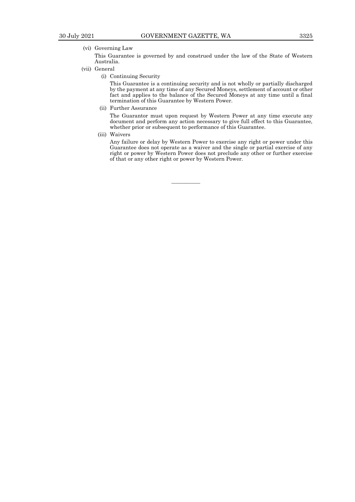————

# (vi) Governing Law

This Guarantee is governed by and construed under the law of the State of Western Australia.

#### (vii) General

(i) Continuing Security

This Guarantee is a continuing security and is not wholly or partially discharged by the payment at any time of any Secured Moneys, settlement of account or other fact and applies to the balance of the Secured Moneys at any time until a final termination of this Guarantee by Western Power.

(ii) Further Assurance

The Guarantor must upon request by Western Power at any time execute any document and perform any action necessary to give full effect to this Guarantee, whether prior or subsequent to performance of this Guarantee.

(iii) Waivers

Any failure or delay by Western Power to exercise any right or power under this Guarantee does not operate as a waiver and the single or partial exercise of any right or power by Western Power does not preclude any other or further exercise of that or any other right or power by Western Power.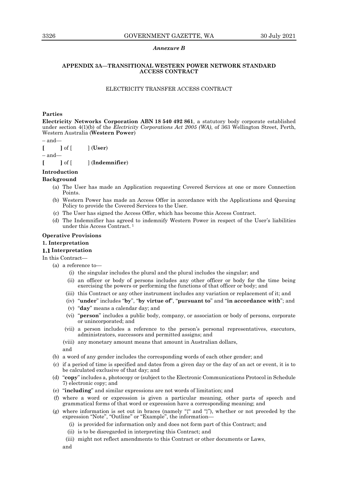## *Annexure B*

## **APPENDIX 3A—TRANSITIONAL WESTERN POWER NETWORK STANDARD ACCESS CONTRACT**

# ELECTRICITY TRANSFER ACCESS CONTRACT

# **Parties**

**Electricity Networks Corporation ABN 18 540 492 861**, a statutory body corporate established under section 4(1)(b) of the *Electricity Corporations Act 2005 (WA)*, of 363 Wellington Street, Perth, Western Australia (**Western Power**)

 $-$  and-

**[ ]** of [ ] (**User**)

– and—

**[ ]** of [ ] (**Indemnifier**)

# **Introduction**

# **Background**

- (a) The User has made an Application requesting Covered Services at one or more Connection Points.
- (b) Western Power has made an Access Offer in accordance with the Applications and Queuing Policy to provide the Covered Services to the User.
- (c) The User has signed the Access Offer, which has become this Access Contract.
- (d) The Indemnifier has agreed to indemnify Western Power in respect of the User's liabilities under this Access Contract. <sup>1</sup>

## **Operative Provisions**

# **1. Interpretation**

# **Interpretation**

In this Contract—

- (a) a reference to—
	- (i) the singular includes the plural and the plural includes the singular; and
	- (ii) an officer or body of persons includes any other officer or body for the time being exercising the powers or performing the functions of that officer or body; and
	- (iii) this Contract or any other instrument includes any variation or replacement of it; and
	- (iv) "**under**" includes "**by**", "**by virtue of**", "**pursuant to**" and "**in accordance with**"; and
	- (v) "**day**" means a calendar day; and
	- (vi) "**person**" includes a public body, company, or association or body of persons, corporate or unincorporated; and
	- (vii) a person includes a reference to the person's personal representatives, executors, administrators, successors and permitted assigns; and
	- (viii) any monetary amount means that amount in Australian dollars, and
- (b) a word of any gender includes the corresponding words of each other gender; and
- (c) if a period of time is specified and dates from a given day or the day of an act or event, it is to be calculated exclusive of that day; and
- (d) "**copy**" includes a, photocopy or (subject to the Electronic Communications Protocol in Schedule 7) electronic copy; and
- (e) "**including**" and similar expressions are not words of limitation; and
- (f) where a word or expression is given a particular meaning, other parts of speech and grammatical forms of that word or expression have a corresponding meaning; and
- (g) where information is set out in braces (namely " ${^{\prime\prime}}$ " and " ${^{\prime\prime}}$ "), whether or not preceded by the expression "Note", "Outline" or "Example", the information—
	- (i) is provided for information only and does not form part of this Contract; and
	- (ii) is to be disregarded in interpreting this Contract; and
	- (iii) might not reflect amendments to this Contract or other documents or Laws,
	- and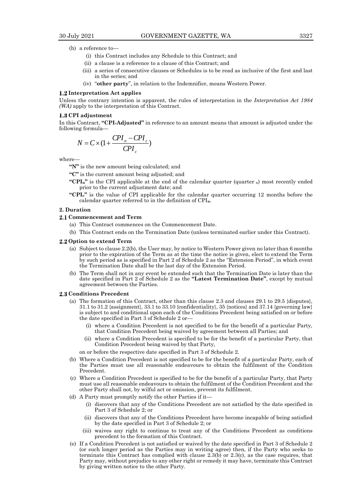- (h) a reference to—
	- (i) this Contract includes any Schedule to this Contract; and
	- (ii) a clause is a reference to a clause of this Contract; and
	- (iii) a series of consecutive clauses or Schedules is to be read as inclusive of the first and last in the series; and
	- (iv) "**other party**", in relation to the Indemnifier, means Western Power.

#### **Interpretation Act applies**

Unless the contrary intention is apparent, the rules of interpretation in the *Interpretation Act 1984 (WA)* apply to the interpretation of this Contract.

## **CPI adjustment**

In this Contract, **"CPI-Adjusted"** in reference to an amount means that amount is adjusted under the following formula—

$$
N = C \times (1 + \frac{CPI_n - CPI_c}{CPI_c})
$$

where—

**"N"** is the new amount being calculated; and

**"C"** is the current amount being adjusted; and

- **"CPIn"** is the CPI applicable at the end of the calendar quarter (quarter <sup>n</sup>) most recently ended prior to the current adjustment date; and
- **"CPIc"** is the value of CPI applicable for the calendar quarter occurring 12 months before the calendar quarter referred to in the definition of CPI**n**.

## **2. Duration**

#### **Commencement and Term**

- (a) This Contract commences on the Commencement Date.
- (b) This Contract ends on the Termination Date (unless terminated earlier under this Contract).

#### **2.2 Option to extend Term**

- (a) Subject to clause 2.2(b), the User may, by notice to Western Power given no later than 6 months prior to the expiration of the Term as at the time the notice is given, elect to extend the Term by such period as is specified in Part 2 of Schedule 2 as the "Extension Period", in which event the Termination Date shall be the last day of the Extension Period.
- (b) The Term shall not in any event be extended such that the Termination Date is later than the date specified in Part 2 of Schedule 2 as the **"Latest Termination Date"**, except by mutual agreement between the Parties.

#### **2.3 Conditions Precedent**

- (a) The formation of this Contract, other than this clause 2.3 and clauses 29.1 to 29.5 {disputes}, 31.1 to 31.2 {assignment}, 33.1 to 33.10 {confidentiality}, 35 {notices} and 37.14 {governing law} is subject to and conditional upon each of the Conditions Precedent being satisfied on or before the date specified in Part 3 of Schedule 2 or
	- where a Condition Precedent is not specified to be for the benefit of a particular Party, that Condition Precedent being waived by agreement between all Parties; and
	- (ii) where a Condition Precedent is specified to be for the benefit of a particular Party, that Condition Precedent being waived by that Party,

on or before the respective date specified in Part 3 of Schedule 2.

- (b) Where a Condition Precedent is not specified to be for the benefit of a particular Party, each of the Parties must use all reasonable endeavours to obtain the fulfilment of the Condition Precedent.
- (c) Where a Condition Precedent is specified to be for the benefit of a particular Party, that Party must use all reasonable endeavours to obtain the fulfilment of the Condition Precedent and the other Party shall not, by wilful act or omission, prevent its fulfilment.
- (d) A Party must promptly notify the other Parties if it—
	- (i) discovers that any of the Conditions Precedent are not satisfied by the date specified in Part 3 of Schedule 2; or
	- (ii) discovers that any of the Conditions Precedent have become incapable of being satisfied by the date specified in Part 3 of Schedule 2; or
	- (iii) waives any right to continue to treat any of the Conditions Precedent as conditions precedent to the formation of this Contract.
- (e) If a Condition Precedent is not satisfied or waived by the date specified in Part 3 of Schedule 2 (or such longer period as the Parties may in writing agree) then, if the Party who seeks to terminate this Contract has complied with clause  $2.3(b)$  or  $2.3(c)$ , as the case requires, that Party may, without prejudice to any other right or remedy it may have, terminate this Contract by giving written notice to the other Party.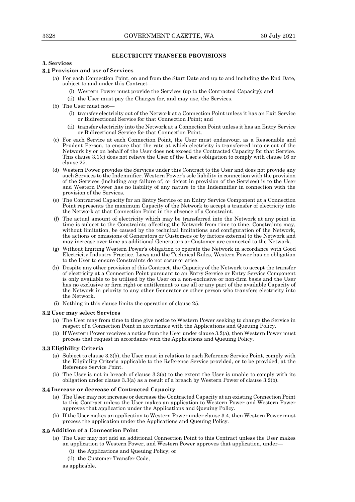# **ELECTRICITY TRANSFER PROVISIONS**

# **3. Services**

## **Provision and use of Services**

- (a) For each Connection Point, on and from the Start Date and up to and including the End Date, subject to and under this Contract—
	- (i) Western Power must provide the Services (up to the Contracted Capacity); and
	- (ii) the User must pay the Charges for, and may use, the Services.
- (b) The User must not—
	- (i) transfer electricity out of the Network at a Connection Point unless it has an Exit Service or Bidirectional Service for that Connection Point; and
	- (ii) transfer electricity into the Network at a Connection Point unless it has an Entry Service or Bidirectional Service for that Connection Point.
- (c) For each Service at each Connection Point, the User must endeavour, as a Reasonable and Prudent Person, to ensure that the rate at which electricity is transferred into or out of the Network by or on behalf of the User does not exceed the Contracted Capacity for that Service. This clause 3.1(c) does not relieve the User of the User's obligation to comply with clause 16 or clause 25.
- (d) Western Power provides the Services under this Contract to the User and does not provide any such Services to the Indemnifier. Western Power's sole liability in connection with the provision of the Services (including any failure of, or defect in provision of the Services) is to the User and Western Power has no liability of any nature to the Indemnifier in connection with the provision of the Services.
- (e) The Contracted Capacity for an Entry Service or an Entry Service Component at a Connection Point represents the maximum Capacity of the Network to accept a transfer of electricity into the Network at that Connection Point in the absence of a Constraint.
- (f) The actual amount of electricity which may be transferred into the Network at any point in time is subject to the Constraints affecting the Network from time to time. Constraints may, without limitation, be caused by the technical limitations and configuration of the Network, the actions or omissions of Generators or Customers or by factors external to the Network and may increase over time as additional Generators or Customer are connected to the Network.
- (g) Without limiting Western Power's obligation to operate the Network in accordance with Good Electricity Industry Practice, Laws and the Technical Rules, Western Power has no obligation to the User to ensure Constraints do not occur or arise.
- (h) Despite any other provision of this Contract, the Capacity of the Network to accept the transfer of electricity at a Connection Point pursuant to an Entry Service or Entry Service Component is only available to be utilised by the User on a non-exclusive or non-firm basis and the User has no exclusive or firm right or entitlement to use all or any part of the available Capacity of the Network in priority to any other Generator or other person who transfers electricity into the Network.
- (i) Nothing in this clause limits the operation of clause 25.

## **User may select Services**

- (a) The User may from time to time give notice to Western Power seeking to change the Service in respect of a Connection Point in accordance with the Applications and Queuing Policy.
- (b) If Western Power receives a notice from the User under clause 3.2(a), then Western Power must process that request in accordance with the Applications and Queuing Policy.

# **Eligibility Criteria**

- (a) Subject to clause 3.3(b), the User must in relation to each Reference Service Point, comply with the Eligibility Criteria applicable to the Reference Service provided, or to be provided, at the Reference Service Point.
- (b) The User is not in breach of clause 3.3(a) to the extent the User is unable to comply with its obligation under clause 3.3(a) as a result of a breach by Western Power of clause  $3.2(b)$ .

#### **Increase or decrease of Contracted Capacity**

- (a) The User may not increase or decrease the Contracted Capacity at an existing Connection Point to this Contract unless the User makes an application to Western Power and Western Power approves that application under the Applications and Queuing Policy.
- (b) If the User makes an application to Western Power under clause 3.4, then Western Power must process the application under the Applications and Queuing Policy.

## **Addition of a Connection Point**

- (a) The User may not add an additional Connection Point to this Contract unless the User makes an application to Western Power, and Western Power approves that application, under—
	- (i) the Applications and Queuing Policy; or
	- (ii) the Customer Transfer Code,

as applicable.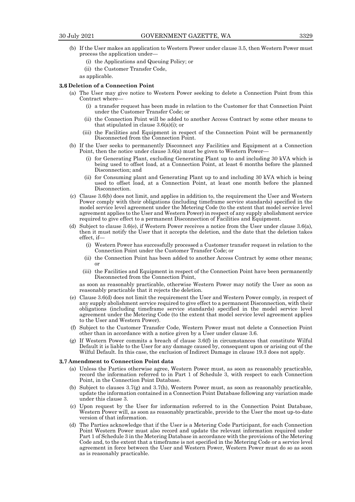- (b) If the User makes an application to Western Power under clause 3.5, then Western Power must process the application under—
	- (i) the Applications and Queuing Policy; or
	- (ii) the Customer Transfer Code,
	- as applicable.

## **Deletion of a Connection Point**

- (a) The User may give notice to Western Power seeking to delete a Connection Point from this Contract where—
	- (i) a transfer request has been made in relation to the Customer for that Connection Point under the Customer Transfer Code; or
	- (ii) the Connection Point will be added to another Access Contract by some other means to that stipulated in clause 3.6(a)(i); or
	- (iii) the Facilities and Equipment in respect of the Connection Point will be permanently Disconnected from the Connection Point.
- (b) If the User seeks to permanently Disconnect any Facilities and Equipment at a Connection Point, then the notice under clause 3.6(a) must be given to Western Power—
	- (i) for Generating Plant, excluding Generating Plant up to and including 30 kVA which is being used to offset load, at a Connection Point, at least 6 months before the planned Disconnection; and
	- (ii) for Consuming plant and Generating Plant up to and including 30 kVA which is being used to offset load, at a Connection Point, at least one month before the planned Disconnection.
- (c) Clause 3.6(b) does not limit, and applies in addition to, the requirement the User and Western Power comply with their obligations (including timeframe service standards) specified in the model service level agreement under the Metering Code (to the extent that model service level agreement applies to the User and Western Power) in respect of any supply abolishment service required to give effect to a permanent Disconnection of Facilities and Equipment.
- (d) Subject to clause 3.6(e), if Western Power receives a notice from the User under clause 3.6(a), then it must notify the User that it accepts the deletion, and the date that the deletion takes effect, if—
	- (i) Western Power has successfully processed a Customer transfer request in relation to the Connection Point under the Customer Transfer Code; or
	- (ii) the Connection Point has been added to another Access Contract by some other means; or
	- (iii) the Facilities and Equipment in respect of the Connection Point have been permanently Disconnected from the Connection Point,

as soon as reasonably practicable, otherwise Western Power may notify the User as soon as reasonably practicable that it rejects the deletion.

- (e) Clause 3.6(d) does not limit the requirement the User and Western Power comply, in respect of any supply abolishment service required to give effect to a permanent Disconnection, with their obligations (including timeframe service standards) specified in the model service level agreement under the Metering Code (to the extent that model service level agreement applies to the User and Western Power).
- (f) Subject to the Customer Transfer Code, Western Power must not delete a Connection Point other than in accordance with a notice given by a User under clause 3.6.
- (g) If Western Power commits a breach of clause 3.6(f) in circumstances that constitute Wilful Default it is liable to the User for any damage caused by, consequent upon or arising out of the Wilful Default. In this case, the exclusion of Indirect Damage in clause 19.3 does not apply.

#### **Amendment to Connection Point data**

- (a) Unless the Parties otherwise agree, Western Power must, as soon as reasonably practicable, record the information referred to in Part 1 of Schedule 3, with respect to each Connection Point, in the Connection Point Database.
- (b) Subject to clauses 3.7(g) and 3.7(h), Western Power must, as soon as reasonably practicable, update the information contained in a Connection Point Database following any variation made under this clause 3.
- (c) Upon request by the User for information referred to in the Connection Point Database, Western Power will, as soon as reasonably practicable, provide to the User the most up-to-date version of that information.
- (d) The Parties acknowledge that if the User is a Metering Code Participant, for each Connection Point Western Power must also record and update the relevant information required under Part 1 of Schedule 3 in the Metering Database in accordance with the provisions of the Metering Code and, to the extent that a timeframe is not specified in the Metering Code or a service level agreement in force between the User and Western Power, Western Power must do so as soon as is reasonably practicable.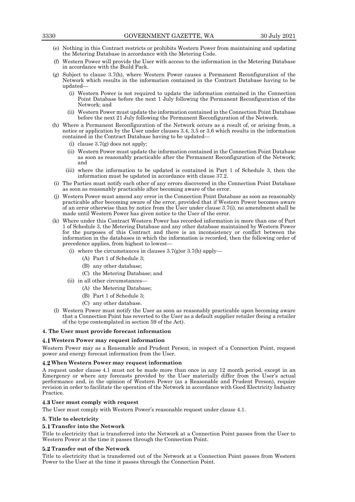- (e) Nothing in this Contract restricts or prohibits Western Power from maintaining and updating the Metering Database in accordance with the Metering Code.
- (f) Western Power will provide the User with access to the information in the Metering Database in accordance with the Build Pack.
- (g) Subject to clause 3.7(h), where Western Power causes a Permanent Reconfiguration of the Network which results in the information contained in the Contract Database having to be updated—
	- (i) Western Power is not required to update the information contained in the Connection Point Database before the next 1 July following the Permanent Reconfiguration of the Network; and
	- (ii) Western Power must update the information contained in the Connection Point Database before the next 21 July following the Permanent Reconfiguration of the Network.
- (h) Where a Permanent Reconfiguration of the Network occurs as a result of, or arising from, a notice or application by the User under clauses 3.4, 3.5 or 3.6 which results in the information contained in the Contract Database having to be updated—
	- (i) clause 3.7(g) does not apply;
	- (ii) Western Power must update the information contained in the Connection Point Database as soon as reasonably practicable after the Permanent Reconfiguration of the Network; and
	- (iii) where the information to be updated is contained in Part 1 of Schedule 3, then the information must be updated in accordance with clause 37.2.
- (i) The Parties must notify each other of any errors discovered in the Connection Point Database as soon as reasonably practicable after becoming aware of the error.
- (j) Western Power must amend any error in the Connection Point Database as soon as reasonably practicable after becoming aware of the error, provided that if Western Power becomes aware of an error otherwise than by notice from the User under clause 3.7(i), no amendment shall be made until Western Power has given notice to the User of the error.
- (k) Where under this Contract Western Power has recorded information in more than one of Part 1 of Schedule 3, the Metering Database and any other database maintained by Western Power for the purposes of this Contract and there is an inconsistency or conflict between the information in the databases in which the information is recorded, then the following order of precedence applies, from highest to lowest—
	- (i) where the circumstances in clauses  $3.7(g)$ or  $3.7(h)$  apply—
		- (A) Part 1 of Schedule 3;
			- (B) any other database;
		- (C) the Metering Database; and
	- (ii) in all other circumstances—
		- (A) the Metering Database;
		- (B) Part 1 of Schedule 3;
		- (C) any other database.
- (l) Western Power must notify the User as soon as reasonably practicable upon becoming aware that a Connection Point has reverted to the User as a default supplier retailer (being a retailer of the type contemplated in section 59 of the Act).

#### **4. The User must provide forecast information**

#### **Western Power may request information**

Western Power may as a Reasonable and Prudent Person, in respect of a Connection Point, request power and energy forecast information from the User.

#### **When Western Power may request information**

A request under clause 4.1 must not be made more than once in any 12 month period, except in an Emergency or where any forecasts provided by the User materially differ from the User's actual performance and, in the opinion of Western Power (as a Reasonable and Prudent Person), require revision in order to facilitate the operation of the Network in accordance with Good Electricity Industry Practice.

## **User must comply with request**

The User must comply with Western Power's reasonable request under clause 4.1.

## **5. Title to electricity**

## **Transfer into the Network**

Title to electricity that is transferred into the Network at a Connection Point passes from the User to Western Power at the time it passes through the Connection Point.

## **Transfer out of the Network**

Title to electricity that is transferred out of the Network at a Connection Point passes from Western Power to the User at the time it passes through the Connection Point.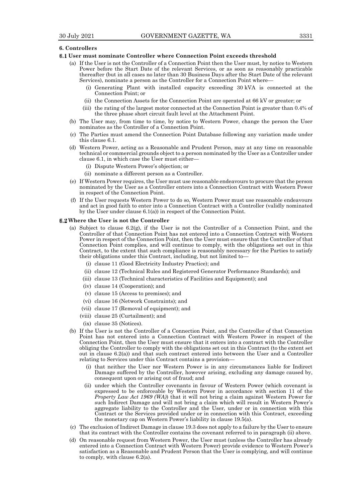## **6. Controllers**

## **User must nominate Controller where Connection Point exceeds threshold**

- (a) If the User is not the Controller of a Connection Point then the User must, by notice to Western Power before the Start Date of the relevant Services, or as soon as reasonably practicable thereafter (but in all cases no later than 30 Business Days after the Start Date of the relevant Services), nominate a person as the Controller for a Connection Point where—
	- (i) Generating Plant with installed capacity exceeding 30 kVA is connected at the Connection Point; or
	- (ii) the Connection Assets for the Connection Point are operated at 66 kV or greater; or
	- (iii) the rating of the largest motor connected at the Connection Point is greater than 0.4% of the three phase short circuit fault level at the Attachment Point.
- (b) The User may, from time to time, by notice to Western Power, change the person the User nominates as the Controller of a Connection Point.
- (c) The Parties must amend the Connection Point Database following any variation made under this clause 6.1.
- (d) Western Power, acting as a Reasonable and Prudent Person, may at any time on reasonable technical or commercial grounds object to a person nominated by the User as a Controller under clause 6.1, in which case the User must either—
	- (i) Dispute Western Power's objection; or
	- (ii) nominate a different person as a Controller.
- (e) If Western Power requires, the User must use reasonable endeavours to procure that the person nominated by the User as a Controller enters into a Connection Contract with Western Power in respect of the Connection Point.
- (f) If the User requests Western Power to do so, Western Power must use reasonable endeavours and act in good faith to enter into a Connection Contract with a Controller (validly nominated by the User under clause 6.1(a)) in respect of the Connection Point.

#### **Where the User is not the Controller**

- (a) Subject to clause  $6.2(g)$ , if the User is not the Controller of a Connection Point, and the Controller of that Connection Point has not entered into a Connection Contract with Western Power in respect of the Connection Point, then the User must ensure that the Controller of that Connection Point complies, and will continue to comply, with the obligations set out in this Contract, to the extent that such compliance is reasonably necessary for the Parties to satisfy their obligations under this Contract, including, but not limited to—
	- (i) clause 11 (Good Electricity Industry Practice); and
	- (ii) clause 12 (Technical Rules and Registered Generator Performance Standards); and
	- (iii) clause 13 (Technical characteristics of Facilities and Equipment); and
	- (iv) clause 14 (Cooperation); and
	- (v) clause 15 (Access to premises); and
	- (vi) clause 16 (Network Constraints); and
	- (vii) clause 17 (Removal of equipment); and
	- (viii) clause 25 (Curtailment); and

(ix) clause 35 (Notices).

- (b) If the User is not the Controller of a Connection Point, and the Controller of that Connection Point has not entered into a Connection Contract with Western Power in respect of the Connection Point, then the User must ensure that it enters into a contract with the Controller obliging the Controller to comply with the obligations set out in this Contract (to the extent set out in clause 6.2(a)) and that such contract entered into between the User and a Controller relating to Services under this Contract contains a provision—
	- (i) that neither the User nor Western Power is in any circumstances liable for Indirect Damage suffered by the Controller, however arising, excluding any damage caused by, consequent upon or arising out of fraud; and
	- (ii) under which the Controller covenants in favour of Western Power (which covenant is expressed to be enforceable by Western Power in accordance with section 11 of the *Property Law Act 1969 (WA)*) that it will not bring a claim against Western Power for such Indirect Damage and will not bring a claim which will result in Western Power's aggregate liability to the Controller and the User, under or in connection with this Contract or the Services provided under or in connection with this Contract, exceeding the monetary cap on Western Power's liability in clause 19.5(a).
- (c) The exclusion of Indirect Damage in clause 19.3 does not apply to a failure by the User to ensure that its contract with the Controller contains the covenant referred to in paragraph (ii) above.
- (d) On reasonable request from Western Power, the User must (unless the Controller has already entered into a Connection Contract with Western Power) provide evidence to Western Power's satisfaction as a Reasonable and Prudent Person that the User is complying, and will continue to comply, with clause 6.2(a).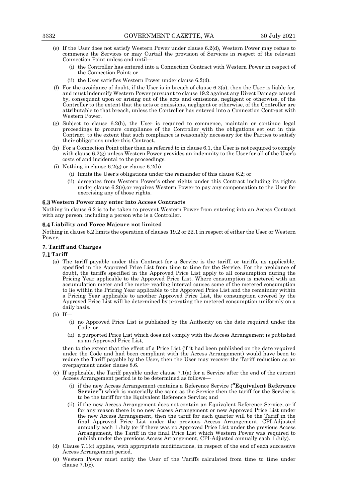- (e) If the User does not satisfy Western Power under clause 6.2(d), Western Power may refuse to commence the Services or may Curtail the provision of Services in respect of the relevant Connection Point unless and until—
	- (i) the Controller has entered into a Connection Contract with Western Power in respect of the Connection Point; or
	- (ii) the User satisfies Western Power under clause 6.2(d).
- (f) For the avoidance of doubt, if the User is in breach of clause 6.2(a), then the User is liable for, and must indemnify Western Power pursuant to clause 19.2 against any Direct Damage caused by, consequent upon or arising out of the acts and omissions, negligent or otherwise, of the Controller to the extent that the acts or omissions, negligent or otherwise, of the Controller are attributable to that breach, unless the Controller has entered into a Connection Contract with Western Power.
- (g) Subject to clause 6.2(h), the User is required to commence, maintain or continue legal proceedings to procure compliance of the Controller with the obligations set out in this Contract, to the extent that such compliance is reasonably necessary for the Parties to satisfy their obligations under this Contract.
- (h) For a Connection Point other than as referred to in clause 6.1, the User is not required to comply with clause 6.2(g) unless Western Power provides an indemnity to the User for all of the User's costs of and incidental to the proceedings.
- (i) Nothing in clause  $6.2$ (g) or clause  $6.2$ (h)
	- (i) limits the User's obligations under the remainder of this clause 6.2; or
	- (ii) derogates from Western Power's other rights under this Contract including its rights under clause 6.2(e),or requires Western Power to pay any compensation to the User for exercising any of those rights.

## **Western Power may enter into Access Contracts**

Nothing in clause 6.2 is to be taken to prevent Western Power from entering into an Access Contract with any person, including a person who is a Controller.

## **Liability and Force Majeure not limited**

Nothing in clause 6.2 limits the operation of clauses 19.2 or 22.1 in respect of either the User or Western Power.

## **7. Tariff and Charges**

# **Tariff**

- (a) The tariff payable under this Contract for a Service is the tariff, or tariffs, as applicable, specified in the Approved Price List from time to time for the Service. For the avoidance of doubt, the tariffs specified in the Approved Price List apply to all consumption during the Pricing Year applicable to the Approved Price List. Where consumption is metered with an accumulation meter and the meter reading interval causes some of the metered consumption to lie within the Pricing Year applicable to the Approved Price List and the remainder within a Pricing Year applicable to another Approved Price List, the consumption covered by the Approved Price List will be determined by prorating the metered consumption uniformly on a daily basis.
- (b) If—
	- (i) no Approved Price List is published by the Authority on the date required under the Code; or
	- (ii) a purported Price List which does not comply with the Access Arrangement is published as an Approved Price List,

then to the extent that the effect of a Price List (if it had been published on the date required under the Code and had been compliant with the Access Arrangement) would have been to reduce the Tariff payable by the User, then the User may recover the Tariff reduction as an overpayment under clause 8.6.

- (c) If applicable, the Tariff payable under clause  $7.1(a)$  for a Service after the end of the current Access Arrangement period is to be determined as follows—
	- (i) if the new Access Arrangement contains a Reference Service (**"Equivalent Reference Service"**) which is materially the same as the Service then the tariff for the Service is to be the tariff for the Equivalent Reference Service; and
	- (ii) if the new Access Arrangement does not contain an Equivalent Reference Service, or if for any reason there is no new Access Arrangement or new Approved Price List under the new Access Arrangement, then the tariff for each quarter will be the Tariff in the final Approved Price List under the previous Access Arrangement, CPI-Adjusted annually each 1 July (or if there was no Approved Price List under the previous Access Arrangement, the Tariff in the final Price List which Western Power was required to publish under the previous Access Arrangement, CPI-Adjusted annually each 1 July).
- (d) Clause 7.1(c) applies, with appropriate modifications, in respect of the end of each successive Access Arrangement period.
- (e) Western Power must notify the User of the Tariffs calculated from time to time under clause 7.1(c).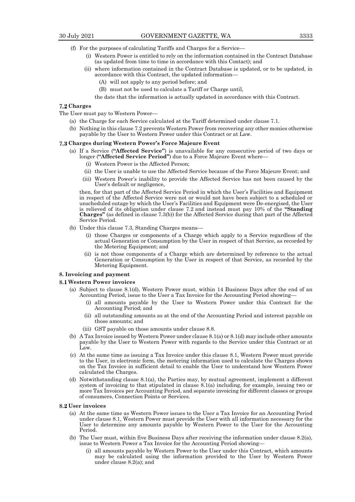- (f) For the purposes of calculating Tariffs and Charges for a Service—
	- (i) Western Power is entitled to rely on the information contained in the Contract Database (as updated from time to time in accordance with this Contact); and
	- (ii) where information contained in the Contract Database is updated, or to be updated, in accordance with this Contract, the updated information—
		- (A) will not apply to any period before; and
		- (B) must not be used to calculate a Tariff or Charge until,
		- the date that the information is actually updated in accordance with this Contract.

## **Charges**

- The User must pay to Western Power—
	- (a) the Charge for each Service calculated at the Tariff determined under clause 7.1.
	- (b) Nothing in this clause 7.2 prevents Western Power from recovering any other monies otherwise payable by the User to Western Power under this Contract or at Law.

#### **Charges during Western Power's Force Majeure Event**

- (a) If a Service (**"Affected Service"**) is unavailable for any consecutive period of two days or longer (**"Affected Service Period"**) due to a Force Majeure Event where—
	- (i) Western Power is the Affected Person;
	- (ii) the User is unable to use the Affected Service because of the Force Majeure Event; and
	- (iii) Western Power's inability to provide the Affected Service has not been caused by the User's default or negligence,

then, for that part of the Affected Service Period in which the User's Facilities and Equipment in respect of the Affected Service were not or would not have been subject to a scheduled or unscheduled outage by which the User's Facilities and Equipment were De-energised, the User is relieved of its obligation under clause 7.2 and instead must pay 10% of the **"Standing Charges"** (as defined in clause 7.3(b)) for the Affected Service during that part of the Affected Service Period.

- (b) Under this clause 7.3, Standing Charges means—
	- (i) those Charges or components of a Charge which apply to a Service regardless of the actual Generation or Consumption by the User in respect of that Service, as recorded by the Metering Equipment; and
	- (ii) is not those components of a Charge which are determined by reference to the actual Generation or Consumption by the User in respect of that Service, as recorded by the Metering Equipment.

## **8. Invoicing and payment**

#### **Western Power invoices**

- (a) Subject to clause 8.1(d), Western Power must, within 14 Business Days after the end of an Accounting Period, issue to the User a Tax Invoice for the Accounting Period showing—
	- (i) all amounts payable by the User to Western Power under this Contract for the Accounting Period; and
	- (ii) all outstanding amounts as at the end of the Accounting Period and interest payable on those amounts; and
	- (iii) GST payable on those amounts under clause 8.8.
- (b) A Tax Invoice issued by Western Power under clause 8.1(a) or 8.1(d) may include other amounts payable by the User to Western Power with regards to the Service under this Contract or at Law.
- (c) At the same time as issuing a Tax Invoice under this clause 8.1, Western Power must provide to the User, in electronic form, the metering information used to calculate the Charges shown on the Tax Invoice in sufficient detail to enable the User to understand how Western Power calculated the Charges.
- (d) Notwithstanding clause 8.1(a), the Parties may, by mutual agreement, implement a different system of invoicing to that stipulated in clause 8.1(a) including, for example, issuing two or more Tax Invoices per Accounting Period, and separate invoicing for different classes or groups of consumers, Connection Points or Services.

#### **User invoices**

- (a) At the same time as Western Power issues to the User a Tax Invoice for an Accounting Period under clause 8.1, Western Power must provide the User with all information necessary for the User to determine any amounts payable by Western Power to the User for the Accounting Period.
- (b) The User must, within five Business Days after receiving the information under clause 8.2(a), issue to Western Power a Tax Invoice for the Accounting Period showing—
	- (i) all amounts payable by Western Power to the User under this Contract, which amounts may be calculated using the information provided to the User by Western Power under clause 8.2(a); and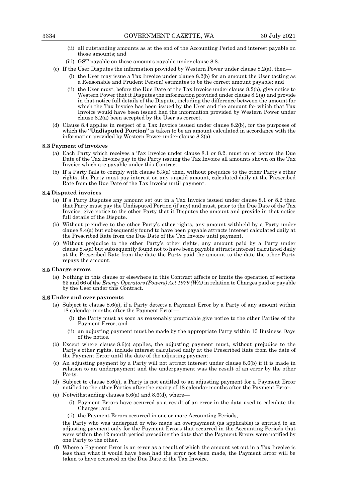- (ii) all outstanding amounts as at the end of the Accounting Period and interest payable on those amounts; and
- (iii) GST payable on those amounts payable under clause 8.8.
- (c) If the User Disputes the information provided by Western Power under clause 8.2(a), then—
	- (i) the User may issue a Tax Invoice under clause 8.2(b) for an amount the User (acting as a Reasonable and Prudent Person) estimates to be the correct amount payable; and
	- (ii) the User must, before the Due Date of the Tax Invoice under clause 8.2(b), give notice to Western Power that it Disputes the information provided under clause 8.2(a) and provide in that notice full details of the Dispute, including the difference between the amount for which the Tax Invoice has been issued by the User and the amount for which that Tax Invoice would have been issued had the information provided by Western Power under clause 8.2(a) been accepted by the User as correct.
- (d) Clause 8.4 applies in respect of a Tax Invoice issued under clause 8.2(b), for the purposes of which the **"Undisputed Portion"** is taken to be an amount calculated in accordance with the information provided by Western Power under clause 8.2(a).

## **Payment of invoices**

- (a) Each Party which receives a Tax Invoice under clause 8.1 or 8.2, must on or before the Due Date of the Tax Invoice pay to the Party issuing the Tax Invoice all amounts shown on the Tax Invoice which are payable under this Contract.
- (b) If a Party fails to comply with clause 8.3(a) then, without prejudice to the other Party's other rights, the Party must pay interest on any unpaid amount, calculated daily at the Prescribed Rate from the Due Date of the Tax Invoice until payment.

## **Disputed invoices**

- (a) If a Party Disputes any amount set out in a Tax Invoice issued under clause 8.1 or 8.2 then that Party must pay the Undisputed Portion (if any) and must, prior to the Due Date of the Tax Invoice, give notice to the other Party that it Disputes the amount and provide in that notice full details of the Dispute.
- (b) Without prejudice to the other Party's other rights, any amount withheld by a Party under clause 8.4(a) but subsequently found to have been payable attracts interest calculated daily at the Prescribed Rate from the Due Date of the Tax Invoice until payment.
- (c) Without prejudice to the other Party's other rights, any amount paid by a Party under clause 8.4(a) but subsequently found not to have been payable attracts interest calculated daily at the Prescribed Rate from the date the Party paid the amount to the date the other Party repays the amount.

# **Charge errors**

(a) Nothing in this clause or elsewhere in this Contract affects or limits the operation of sections 65 and 66 of the *Energy Operators (Powers) Act 1979 (WA)* in relation to Charges paid or payable by the User under this Contract.

#### **Under and over payments**

- (a) Subject to clause 8.6(e), if a Party detects a Payment Error by a Party of any amount within 18 calendar months after the Payment Error
	- the Party must as soon as reasonably practicable give notice to the other Parties of the Payment Error; and
	- (ii) an adjusting payment must be made by the appropriate Party within 10 Business Days of the notice.
- (b) Except where clause 8.6(c) applies, the adjusting payment must, without prejudice to the Party's other rights, include interest calculated daily at the Prescribed Rate from the date of the Payment Error until the date of the adjusting payment.
- (c) An adjusting payment by a Party will not attract interest under clause 8.6(b) if it is made in relation to an underpayment and the underpayment was the result of an error by the other Party.
- (d) Subject to clause 8.6(e), a Party is not entitled to an adjusting payment for a Payment Error notified to the other Parties after the expiry of 18 calendar months after the Payment Error.
- (e) Notwithstanding clauses 8.6(a) and 8.6(d), where—
	- (i) Payment Errors have occurred as a result of an error in the data used to calculate the Charges; and
	- (ii) the Payment Errors occurred in one or more Accounting Periods,

the Party who was underpaid or who made an overpayment (as applicable) is entitled to an adjusting payment only for the Payment Errors that occurred in the Accounting Periods that were within the 12 month period preceding the date that the Payment Errors were notified by one Party to the other.

(f) Where a Payment Error is an error as a result of which the amount set out in a Tax Invoice is less than what it would have been had the error not been made, the Payment Error will be taken to have occurred on the Due Date of the Tax Invoice.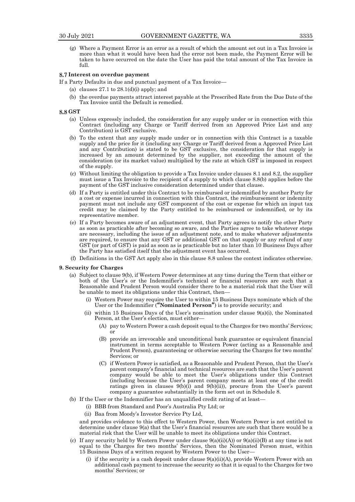(g) Where a Payment Error is an error as a result of which the amount set out in a Tax Invoice is more than what it would have been had the error not been made, the Payment Error will be taken to have occurred on the date the User has paid the total amount of the Tax Invoice in full.

## **Interest on overdue payment**

- If a Party Defaults in due and punctual payment of a Tax Invoice—
	- (a) clauses 27.1 to 28.1(d)(i) apply; and
	- (b) the overdue payments attract interest payable at the Prescribed Rate from the Due Date of the Tax Invoice until the Default is remedied.

#### **GST**

- (a) Unless expressly included, the consideration for any supply under or in connection with this Contract (including any Charge or Tariff derived from an Approved Price List and any Contribution) is GST exclusive.
- (b) To the extent that any supply made under or in connection with this Contract is a taxable supply and the price for it (including any Charge or Tariff derived from a Approved Price List and any Contribution) is stated to be GST exclusive, the consideration for that supply is increased by an amount determined by the supplier, not exceeding the amount of the consideration (or its market value) multiplied by the rate at which GST is imposed in respect of the supply.
- (c) Without limiting the obligation to provide a Tax Invoice under clauses 8.1 and 8.2, the supplier must issue a Tax Invoice to the recipient of a supply to which clause 8.8(b) applies before the payment of the GST inclusive consideration determined under that clause.
- (d) If a Party is entitled under this Contract to be reimbursed or indemnified by another Party for a cost or expense incurred in connection with this Contract, the reimbursement or indemnity payment must not include any GST component of the cost or expense for which an input tax credit may be claimed by the Party entitled to be reimbursed or indemnified, or by its representative member.
- (e) If a Party becomes aware of an adjustment event, that Party agrees to notify the other Party as soon as practicable after becoming so aware, and the Parties agree to take whatever steps are necessary, including the issue of an adjustment note, and to make whatever adjustments are required, to ensure that any GST or additional GST on that supply or any refund of any GST (or part of GST) is paid as soon as is practicable but no later than 10 Business Days after the Party has satisfied itself that the adjustment event has occurred.
- (f) Definitions in the GST Act apply also in this clause 8.8 unless the context indicates otherwise.

#### **9. Security for Charges**

- (a) Subject to clause 9(b), if Western Power determines at any time during the Term that either or both of the User's or the Indemnifier's technical or financial resources are such that a Reasonable and Prudent Person would consider there to be a material risk that the User will be unable to meet its obligations under this Contract, then—
	- (i) Western Power may require the User to within 15 Business Days nominate which of the User or the Indemnifier (**"Nominated Person"**) is to provide security; and
	- (ii) within 15 Business Days of the User's nomination under clause  $9(a)(i)$ , the Nominated Person, at the User's election, must either—
		- (A) pay to Western Power a cash deposit equal to the Charges for two months' Services; or
		- (B) provide an irrevocable and unconditional bank guarantee or equivalent financial instrument in terms acceptable to Western Power (acting as a Reasonable and Prudent Person), guaranteeing or otherwise securing the Charges for two months' Services; or
		- (C) if Western Power is satisfied, as a Reasonable and Prudent Person, that the User's parent company's financial and technical resources are such that the User's parent company would be able to meet the User's obligations under this Contract (including because the User's parent company meets at least one of the credit ratings given in clauses 9(b)(i) and 9(b)(ii)), procure from the User's parent company a guarantee substantially in the form set out in Schedule 8.
- (b) If the User or the Indemnifier has an unqualified credit rating of at least—
	- (i) BBB from Standard and Poor's Australia Pty Ltd; or
	- (ii) Baa from Moody's Investor Service Pty Ltd,

and provides evidence to this effect to Western Power, then Western Power is not entitled to determine under clause 9(a) that the User's financial resources are such that there would be a material risk that the User will be unable to meet its obligations under this Contract.

- (c) If any security held by Western Power under clause 9(a)(ii)(A)) or 9(a)(ii)(B) at any time is not equal to the Charges for two months' Services, then the Nominated Person must, within 15 Business Days of a written request by Western Power to the User—
	- (i) if the security is a cash deposit under clause  $9(a)(ii)(A)$ , provide Western Power with an additional cash payment to increase the security so that it is equal to the Charges for two months' Services; or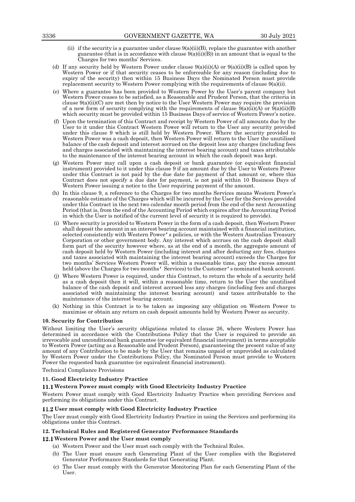- (ii) if the security is a guarantee under clause  $9(a)(ii)(B)$ , replace the guarantee with another guarantee (that is in accordance with clause  $9(a)(ii)(B)$ ) in an amount that is equal to the Charges for two months' Services.
- (d) If any security held by Western Power under clause  $9(a)(ii)(A)$  or  $9(a)(ii)(B)$  is called upon by Western Power or if that security ceases to be enforceable for any reason (including due to expiry of the security) then within 15 Business Days the Nominated Person must provide replacement security to Western Power complying with the requirements of clause  $9(a)(ii)$ .
- (e) Where a guarantee has been provided to Western Power by the User's parent company but Western Power ceases to be satisfied, as a Reasonable and Prudent Person, that the criteria in clause  $9(a)(ii)(C)$  are met then by notice to the User Western Power may require the provision of a new form of security complying with the requirements of clause  $9(a)(ii)(A)$  or  $9(a)(ii)(B)$ which security must be provided within 15 Business Days of service of Western Power's notice.
- (f) Upon the termination of this Contract and receipt by Western Power of all amounts due by the User to it under this Contract Western Power will return to the User any security provided under this clause 9 which is still held by Western Power. Where the security provided to Western Power was a cash deposit, then Western Power will return to the User the unutilised balance of the cash deposit and interest accrued on the deposit less any charges (including fees and charges associated with maintaining the interest bearing account) and taxes attributable to the maintenance of the interest bearing account in which the cash deposit was kept.
- (g) Western Power may call upon a cash deposit or bank guarantee (or equivalent financial instrument) provided to it under this clause 9 if an amount due by the User to Western Power under this Contract is not paid by the due date for payment of that amount or, where this Contract does not specify a due date for payment, is not paid within 10 Business Days of Western Power issuing a notice to the User requiring payment of the amount.
- (h) In this clause 9, a reference to the Charges for two months Services means Western Power's reasonable estimate of the Charges which will be incurred by the User for the Services provided under this Contract in the next two calendar month period from the end of the next Accounting Period (that is, from the end of the Accounting Period which expires after the Accounting Period in which the User is notified of the current level of security it is required to provide).
- (i) Where security is provided to Western Power in the form of a cash deposit, then Western Power shall deposit the amount in an interest bearing account maintained with a financial institution, selected consistently with Western Power's policies, or with the Western Australian Treasury Corporation or other government body. Any interest which accrues on the cash deposit shall form part of the security however where, as at the end of a month, the aggregate amount of cash deposit held by Western Power (including interest and after deducting any fees, charges and taxes associated with maintaining the interest bearing account) exceeds the Charges for two months' Services Western Power will, within a reasonable time, pay the excess amount held (above the Charges for two months' Services) to the Customer's nominated bank account.
- (j) Where Western Power is required, under this Contract, to return the whole of a security held as a cash deposit then it will, within a reasonable time, return to the User the unutilised balance of the cash deposit and interest accrued less any charges (including fees and charges associated with maintaining the interest bearing account) and taxes attributable to the maintenance of the interest bearing account.
- (k) Nothing in this Contract is to be taken as imposing any obligation on Western Power to maximise or obtain any return on cash deposit amounts held by Western Power as security.

## **10. Security for Contribution**

Without limiting the User's security obligations related to clause 26, where Western Power has determined in accordance with the Contributions Policy that the User is required to provide an irrevocable and unconditional bank guarantee (or equivalent financial instrument) in terms acceptable to Western Power (acting as a Reasonable and Prudent Person), guaranteeing the present value of any amount of any Contribution to be made by the User that remains unpaid or unprovided as calculated by Western Power under the Contributions Policy, the Nominated Person must provide to Western Power the requested bank guarantee (or equivalent financial instrument).

Technical Compliance Provisions

## **11. Good Electricity Industry Practice**

## **Western Power must comply with Good Electricity Industry Practice**

Western Power must comply with Good Electricity Industry Practice when providing Services and performing its obligations under this Contract.

## **User must comply with Good Electricity Industry Practice**

The User must comply with Good Electricity Industry Practice in using the Services and performing its obligations under this Contract.

## **12. Technical Rules and Registered Generator Performance Standards**

# **Western Power and the User must comply**

- (a) Western Power and the User must each comply with the Technical Rules.
- (b) The User must ensure each Generating Plant of the User complies with the Registered Generator Performance Standards for that Generating Plant.
- (c) The User must comply with the Generator Monitoring Plan for each Generating Plant of the User.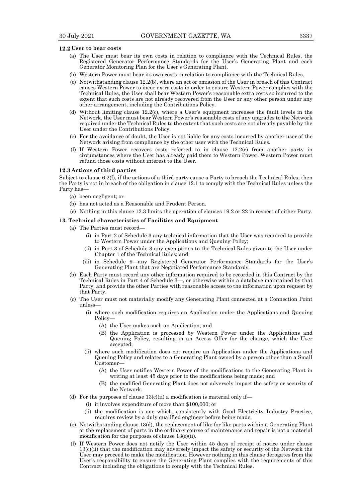#### **User to bear costs**

- (a) The User must bear its own costs in relation to compliance with the Technical Rules, the Registered Generator Performance Standards for the User's Generating Plant and each Generator Monitoring Plan for the User's Generating Plant.
- (b) Western Power must bear its own costs in relation to compliance with the Technical Rules.
- (c) Notwithstanding clause 12.2(b), where an act or omission of the User in breach of this Contract causes Western Power to incur extra costs in order to ensure Western Power complies with the Technical Rules, the User shall bear Western Power's reasonable extra costs so incurred to the extent that such costs are not already recovered from the User or any other person under any other arrangement, including the Contributions Policy.
- (d) Without limiting clause 12.2(c), where a User's equipment increases the fault levels in the Network, the User must bear Western Power's reasonable costs of any upgrades to the Network required under the Technical Rules to the extent that such costs are not already payable by the User under the Contributions Policy.
- (e) For the avoidance of doubt, the User is not liable for any costs incurred by another user of the Network arising from compliance by the other user with the Technical Rules.
- (f) If Western Power recovers costs referred to in clause 12.2(c) from another party in circumstances where the User has already paid them to Western Power, Western Power must refund those costs without interest to the User.

#### **Actions of third parties**

Subject to clause 6.2(f), if the actions of a third party cause a Party to breach the Technical Rules, then the Party is not in breach of the obligation in clause 12.1 to comply with the Technical Rules unless the Party has—

- (a) been negligent; or
- (b) has not acted as a Reasonable and Prudent Person.
- (c) Nothing in this clause 12.3 limits the operation of clauses 19.2 or 22 in respect of either Party.

#### **13. Technical characteristics of Facilities and Equipment**

- (a) The Parties must record—
	- (i) in Part 2 of Schedule 3 any technical information that the User was required to provide to Western Power under the Applications and Queuing Policy;
	- (ii) in Part 3 of Schedule 3 any exemptions to the Technical Rules given to the User under Chapter 1 of the Technical Rules; and
	- (iii) in Schedule 9—any Registered Generator Performance Standards for the User's Generating Plant that are Negotiated Performance Standards.
- (b) Each Party must record any other information required to be recorded in this Contract by the Technical Rules in Part 4 of Schedule 3—, or otherwise within a database maintained by that Party, and provide the other Parties with reasonable access to the information upon request by that Party.
- (c) The User must not materially modify any Generating Plant connected at a Connection Point unless—
	- (i) where such modification requires an Application under the Applications and Queuing Policy—
		- (A) the User makes such an Application; and
		- (B) the Application is processed by Western Power under the Applications and Queuing Policy, resulting in an Access Offer for the change, which the User accepted;
	- (ii) where such modification does not require an Application under the Applications and Queuing Policy and relates to a Generating Plant owned by a person other than a Small Customer
		- (A) the User notifies Western Power of the modifications to the Generating Plant in writing at least 45 days prior to the modifications being made; and
		- (B) the modified Generating Plant does not adversely impact the safety or security of the Network.
- (d) For the purposes of clause  $13(c)(ii)$  a modification is material only if—
	- (i) it involves expenditure of more than \$100,000; or
	- (ii) the modification is one which, consistently with Good Electricity Industry Practice, requires review by a duly qualified engineer before being made.
- (e) Notwithstanding clause 13(d), the replacement of like for like parts within a Generating Plant or the replacement of parts in the ordinary course of maintenance and repair is not a material modification for the purposes of clause 13(c)(ii).
- (f) If Western Power does not notify the User within 45 days of receipt of notice under clause 13(c)(ii) that the modification may adversely impact the safety or security of the Network the User may proceed to make the modification. However nothing in this clause derogates from the User's responsibility to ensure the Generating Plant complies with the requirements of this Contract including the obligations to comply with the Technical Rules.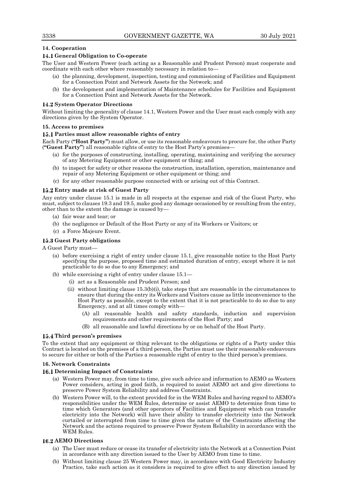# **14. Cooperation**

# **General Obligation to Co-operate**

The User and Western Power (each acting as a Reasonable and Prudent Person) must cooperate and coordinate with each other where reasonably necessary in relation to—

- (a) the planning, development, inspection, testing and commissioning of Facilities and Equipment for a Connection Point and Network Assets for the Network; and
- (b) the development and implementation of Maintenance schedules for Facilities and Equipment for a Connection Point and Network Assets for the Network.

## **System Operator Directions**

Without limiting the generality of clause 14.1, Western Power and the User must each comply with any directions given by the System Operator.

## **15. Access to premises**

## **Parties must allow reasonable rights of entry**

Each Party (**"Host Party"**) must allow, or use its reasonable endeavours to procure for, the other Party (**"Guest Party"**) all reasonable rights of entry to the Host Party's premises—

- (a) for the purposes of constructing, installing, operating, maintaining and verifying the accuracy of any Metering Equipment or other equipment or thing; and
- (b) to inspect for safety or other reasons the construction, installation, operation, maintenance and repair of any Metering Equipment or other equipment or thing; and
- (c) for any other reasonable purpose connected with or arising out of this Contract.

## **Entry made at risk of Guest Party**

Any entry under clause 15.1 is made in all respects at the expense and risk of the Guest Party, who must, subject to clauses 19.3 and 19.5, make good any damage occasioned by or resulting from the entry, other than to the extent the damage is caused by—

- (a) fair wear and tear; or
- (b) the negligence or Default of the Host Party or any of its Workers or Visitors; or
- (c) a Force Majeure Event.

## **Guest Party obligations**

A Guest Party must—

- (a) before exercising a right of entry under clause 15.1, give reasonable notice to the Host Party specifying the purpose, proposed time and estimated duration of entry, except where it is not practicable to do so due to any Emergency; and
- (b) while exercising a right of entry under clause 15.1—
	- (i) act as a Reasonable and Prudent Person; and
	- (ii) without limiting clause  $15.3(b)(i)$ , take steps that are reasonable in the circumstances to ensure that during the entry its Workers and Visitors cause as little inconvenience to the Host Party as possible, except to the extent that it is not practicable to do so due to any Emergency, and at all times comply with—
		- (A) all reasonable health and safety standards, induction and supervision requirements and other requirements of the Host Party; and
		- (B) all reasonable and lawful directions by or on behalf of the Host Party.

## **Third person's premises**

To the extent that any equipment or thing relevant to the obligations or rights of a Party under this Contract is located on the premises of a third person, the Parties must use their reasonable endeavours to secure for either or both of the Parties a reasonable right of entry to the third person's premises.

## **16. Network Constraints**

# **Determining Impact of Constraints**

- (a) Western Power may, from time to time, give such advice and information to AEMO as Western Power considers, acting in good faith, is required to assist AEMO act and give directions to preserve Power System Reliability and address Constraints.
- (b) Western Power will, to the extent provided for in the WEM Rules and having regard to AEMO's responsibilities under the WEM Rules, determine or assist AEMO to determine from time to time which Generators (and other operators of Facilities and Equipment which can transfer electricity into the Network) will have their ability to transfer electricity into the Network curtailed or interrupted from time to time given the nature of the Constraints affecting the Network and the actions required to preserve Power System Reliability in accordance with the WEM Rules.

# **AEMO Directions**

- (a) The User must reduce or cease its transfer of electricity into the Network at a Connection Point in accordance with any direction issued to the User by AEMO from time to time.
- (b) Without limiting clause 25 Western Power may, in accordance with Good Electricity Industry Practice, take such action as it considers is required to give effect to any direction issued by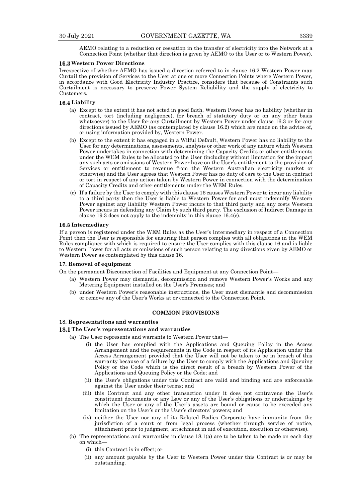AEMO relating to a reduction or cessation in the transfer of electricity into the Network at a Connection Point (whether that direction is given by AEMO to the User or to Western Power).

#### **Western Power Directions**

Irrespective of whether AEMO has issued a direction referred to in clause 16.2 Western Power may Curtail the provision of Services to the User at one or more Connection Points where Western Power, in accordance with Good Electricity Industry Practice, considers that because of Constraints such Curtailment is necessary to preserve Power System Reliability and the supply of electricity to Customers.

#### **Liability**

- (a) Except to the extent it has not acted in good faith, Western Power has no liability (whether in contract, tort (including negligence), for breach of statutory duty or on any other basis whatsoever) to the User for any Curtailment by Western Power under clause 16.3 or for any directions issued by AEMO (as contemplated by clause 16.2) which are made on the advice of, or using information provided by, Western Power.
- (b) Except to the extent it has engaged in a Wilful Default, Western Power has no liability to the User for any determinations, assessments, analysis or other work of any nature which Western Power undertakes in connection with determining the Capacity Credits or other entitlements under the WEM Rules to be allocated to the User (including without limitation for the impact any such acts or omissions of Western Power have on the User's entitlement to the provision of Services or entitlement to revenue from the Western Australian electricity market or otherwise) and the User agrees that Western Power has no duty of care to the User in contract or tort in respect of any action taken by Western Power in connection with the determination of Capacity Credits and other entitlements under the WEM Rules.
- (c) If a failure by the User to comply with this clause 16 causes Western Power to incur any liability to a third party then the User is liable to Western Power for and must indemnify Western Power against any liability Western Power incurs to that third party and any costs Western Power incurs in defending any Claim by such third party. The exclusion of Indirect Damage in clause 19.3 does not apply to the indemnity in this clause 16.4(c).

#### **Intermediary**

If a person is registered under the WEM Rules as the User's Intermediary in respect of a Connection Point then the User is responsible for ensuring that person complies with all obligations in the WEM Rules compliance with which is required to ensure the User complies with this clause 16 and is liable to Western Power for all acts or omissions of such person relating to any directions given by AEMO or Western Power as contemplated by this clause 16.

#### **17. Removal of equipment**

On the permanent Disconnection of Facilities and Equipment at any Connection Point—

- (a) Western Power may dismantle, decommission and remove Western Power's Works and any Metering Equipment installed on the User's Premises; and
- (b) under Western Power's reasonable instructions, the User must dismantle and decommission or remove any of the User's Works at or connected to the Connection Point.

#### **COMMON PROVISIONS**

## **18. Representations and warranties**

#### **The User's representations and warranties**

- (a) The User represents and warrants to Western Power that—
	- (i) the User has complied with the Applications and Queuing Policy in the Access Arrangement and the requirements in the Code in respect of its Application under the Access Arrangement provided that the User will not be taken to be in breach of this warranty because of a failure by the User to comply with the Applications and Queuing Policy or the Code which is the direct result of a breach by Western Power of the Applications and Queuing Policy or the Code; and
	- (ii) the User's obligations under this Contract are valid and binding and are enforceable against the User under their terms; and
	- (iii) this Contract and any other transaction under it does not contravene the User's constituent documents or any Law or any of the User's obligations or undertakings by which the User or any of the User's assets are bound or cause to be exceeded any limitation on the User's or the User's directors' powers; and
	- (iv) neither the User nor any of its Related Bodies Corporate have immunity from the jurisdiction of a court or from legal process (whether through service of notice, attachment prior to judgment, attachment in aid of execution, execution or otherwise).
- (b) The representations and warranties in clause 18.1(a) are to be taken to be made on each day on which—
	- (i) this Contract is in effect; or
	- (ii) any amount payable by the User to Western Power under this Contract is or may be outstanding.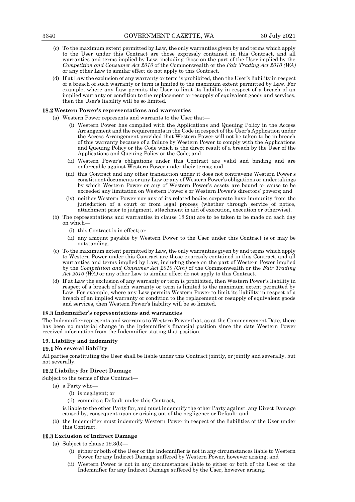- (c) To the maximum extent permitted by Law, the only warranties given by and terms which apply to the User under this Contract are those expressly contained in this Contract, and all warranties and terms implied by Law, including those on the part of the User implied by the *Competition and Consumer Act 2010* of the Commonwealth or the *Fair Trading Act 2010 (WA)* or any other Law to similar effect do not apply to this Contract.
- (d) If at Law the exclusion of any warranty or term is prohibited, then the User's liability in respect of a breach of such warranty or term is limited to the maximum extent permitted by Law. For example, where any Law permits the User to limit its liability in respect of a breach of an implied warranty or condition to the replacement or resupply of equivalent goods and services, then the User's liability will be so limited.

## **Western Power's representations and warranties**

- (a) Western Power represents and warrants to the User that—
	- (i) Western Power has complied with the Applications and Queuing Policy in the Access Arrangement and the requirements in the Code in respect of the User's Application under the Access Arrangement provided that Western Power will not be taken to be in breach of this warranty because of a failure by Western Power to comply with the Applications and Queuing Policy or the Code which is the direct result of a breach by the User of the Applications and Queuing Policy or the Code; and
	- (ii) Western Power's obligations under this Contract are valid and binding and are enforceable against Western Power under their terms; and
	- (iii) this Contract and any other transaction under it does not contravene Western Power's constituent documents or any Law or any of Western Power's obligations or undertakings by which Western Power or any of Western Power's assets are bound or cause to be exceeded any limitation on Western Power's or Western Power's directors' powers; and
	- (iv) neither Western Power nor any of its related bodies corporate have immunity from the jurisdiction of a court or from legal process (whether through service of notice, attachment prior to judgment, attachment in aid of execution, execution or otherwise).
- (b) The representations and warranties in clause 18.2(a) are to be taken to be made on each day on which—
	- (i) this Contract is in effect; or
	- (ii) any amount payable by Western Power to the User under this Contract is or may be outstanding.
- (c) To the maximum extent permitted by Law, the only warranties given by and terms which apply to Western Power under this Contract are those expressly contained in this Contract, and all warranties and terms implied by Law, including those on the part of Western Power implied by the *Competition and Consumer Act 2010 (Cth)* of the Commonwealth or the *Fair Trading Act 2010 (WA)* or any other Law to similar effect do not apply to this Contract.
- (d) If at Law the exclusion of any warranty or term is prohibited, then Western Power's liability in respect of a breach of such warranty or term is limited to the maximum extent permitted by Law. For example, where any Law permits Western Power to limit its liability in respect of a breach of an implied warranty or condition to the replacement or resupply of equivalent goods and services, then Western Power's liability will be so limited.

## **Indemnifier's representations and warranties**

The Indemnifier represents and warrants to Western Power that, as at the Commencement Date, there has been no material change in the Indemnifier's financial position since the date Western Power received information from the Indemnifier stating that position.

## **19. Liability and indemnity**

## **No several liability**

All parties constituting the User shall be liable under this Contract jointly, or jointly and severally, but not severally.

# **Liability for Direct Damage**

Subject to the terms of this Contract—

- (a) a Party who—
	- (i) is negligent; or
	- (ii) commits a Default under this Contract,
	- is liable to the other Party for, and must indemnify the other Party against, any Direct Damage caused by, consequent upon or arising out of the negligence or Default; and
- (b) the Indemnifier must indemnify Western Power in respect of the liabilities of the User under this Contract.

## **Exclusion of Indirect Damage**

- (a) Subject to clause 19.3(b)—
	- (i) either or both of the User or the Indemnifier is not in any circumstances liable to Western Power for any Indirect Damage suffered by Western Power, however arising; and
	- (ii) Western Power is not in any circumstances liable to either or both of the User or the Indemnifier for any Indirect Damage suffered by the User, however arising.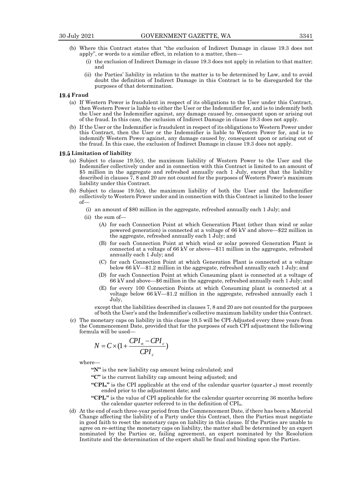- (b) Where this Contract states that "the exclusion of Indirect Damage in clause 19.3 does not apply", or words to a similar effect, in relation to a matter, then—
	- (i) the exclusion of Indirect Damage in clause 19.3 does not apply in relation to that matter; and
	- (ii) the Parties' liability in relation to the matter is to be determined by Law, and to avoid doubt the definition of Indirect Damage in this Contract is to be disregarded for the purposes of that determination.

# 19.4 Fraud

- (a) If Western Power is fraudulent in respect of its obligations to the User under this Contract, then Western Power is liable to either the User or the Indemnifier for, and is to indemnify both the User and the Indemnifier against, any damage caused by, consequent upon or arising out of the fraud. In this case, the exclusion of Indirect Damage in clause 19.3 does not apply.
- (b) If the User or the Indemnifier is fraudulent in respect of its obligations to Western Power under this Contract, then the User or the Indemnifier is liable to Western Power for, and is to indemnify Western Power against, any damage caused by, consequent upon or arising out of the fraud. In this case, the exclusion of Indirect Damage in clause 19.3 does not apply.

#### **Limitation of liability**

- (a) Subject to clause 19.5(c), the maximum liability of Western Power to the User and the Indemnifier collectively under and in connection with this Contract is limited to an amount of \$5 million in the aggregate and refreshed annually each 1 July, except that the liability described in clauses 7, 8 and 20 are not counted for the purposes of Western Power's maximum liability under this Contract.
- (b) Subject to clause 19.5(c), the maximum liability of both the User and the Indemnifier collectively to Western Power under and in connection with this Contract is limited to the lesser of—
	- (i) an amount of \$80 million in the aggregate, refreshed annually each 1 July; and
	- (ii) the sum of—
		- (A) for each Connection Point at which Generation Plant (other than wind or solar powered generation) is connected at a voltage of 66 kV and above—\$22 million in the aggregate, refreshed annually each 1 July; and
		- (B) for each Connection Point at which wind or solar powered Generation Plant is connected at a voltage of 66 kV or above—\$11 million in the aggregate, refreshed annually each 1 July; and
		- (C) for each Connection Point at which Generation Plant is connected at a voltage below 66 kV—\$1.2 million in the aggregate, refreshed annually each 1 July; and
		- (D) for each Connection Point at which Consuming plant is connected at a voltage of 66 kV and above—\$6 million in the aggregate, refreshed annually each 1 July; and
		- (E) for every 100 Connection Points at which Consuming plant is connected at a voltage below 66 kV—\$1.2 million in the aggregate, refreshed annually each 1 July,

except that the liabilities described in clauses 7, 8 and 20 are not counted for the purposes of both the User's and the Indemnifier's collective maximum liability under this Contract.

(c) The monetary caps on liability in this clause 19.5 will be CPI-Adjusted every three years from the Commencement Date, provided that for the purposes of such CPI adjustment the following formula will be used—

$$
N = C \times (1 + \frac{CPI_n - CPI_c}{CPI_c})
$$

where—

**"N"** is the new liability cap amount being calculated; and

**"C"** is the current liability cap amount being adjusted; and

- "**CPI**<sub>n</sub>" is the CPI applicable at the end of the calendar quarter (quarter  $n$ ) most recently ended prior to the adjustment date; and
- **"CPIc"** is the value of CPI applicable for the calendar quarter occurring 36 months before the calendar quarter referred to in the definition of CPIn.
- (d) At the end of each three-year period from the Commencement Date, if there has been a Material Change affecting the liability of a Party under this Contract, then the Parties must negotiate in good faith to reset the monetary caps on liability in this clause. If the Parties are unable to agree on re-setting the monetary caps on liability, the matter shall be determined by an expert nominated by the Parties or, failing agreement, an expert nominated by the Resolution Institute and the determination of the expert shall be final and binding upon the Parties.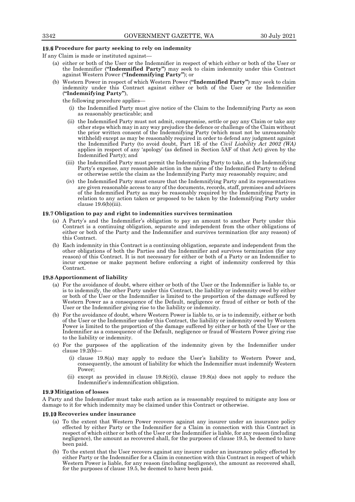## **Procedure for party seeking to rely on indemnity**

If any Claim is made or instituted against—

- (a) either or both of the User or the Indemnifier in respect of which either or both of the User or the Indemnifier (**"Indemnified Party"**) may seek to claim indemnity under this Contract against Western Power (**"Indemnifying Party"**); or
- (b) Western Power in respect of which Western Power (**"Indemnified Party"**) may seek to claim indemnity under this Contract against either or both of the User or the Indemnifier (**"Indemnifying Party"**),

the following procedure applies—

- (i) the Indemnified Party must give notice of the Claim to the Indemnifying Party as soon as reasonably practicable; and
- (ii) the Indemnified Party must not admit, compromise, settle or pay any Claim or take any other steps which may in any way prejudice the defence or challenge of the Claim without the prior written consent of the Indemnifying Party (which must not be unreasonably withheld) except as may be reasonably required in order to defend any judgment against the Indemnified Party (to avoid doubt, Part 1E of the *Civil Liability Act 2002 (WA)* applies in respect of any 'apology' (as defined in Section 5AF of that Act) given by the Indemnified Party); and
- (iii) the Indemnified Party must permit the Indemnifying Party to take, at the Indemnifying Party's expense, any reasonable action in the name of the Indemnified Party to defend or otherwise settle the claim as the Indemnifying Party may reasonably require; and
- (iv) the Indemnified Party must ensure that the Indemnifying Party and its representatives are given reasonable access to any of the documents, records, staff, premises and advisers of the Indemnified Party as may be reasonably required by the Indemnifying Party in relation to any action taken or proposed to be taken by the Indemnifying Party under clause 19.6(b)(iii).

#### **Obligation to pay and right to indemnities survives termination**

- (a) A Party's and the Indemnifier's obligation to pay an amount to another Party under this Contract is a continuing obligation, separate and independent from the other obligations of either or both of the Party and the Indemnifier and survives termination (for any reason) of this Contract.
- (b) Each indemnity in this Contract is a continuing obligation, separate and independent from the other obligations of both the Parties and the Indemnifier and survives termination (for any reason) of this Contract. It is not necessary for either or both of a Party or an Indemnifier to incur expense or make payment before enforcing a right of indemnity conferred by this Contract.

#### **Apportionment of liability**

- (a) For the avoidance of doubt, where either or both of the User or the Indemnifier is liable to, or is to indemnify, the other Party under this Contract, the liability or indemnity owed by either or both of the User or the Indemnifier is limited to the proportion of the damage suffered by Western Power as a consequence of the Default, negligence or fraud of either or both of the User or the Indemnifier giving rise to the liability or indemnity.
- (b) For the avoidance of doubt, where Western Power is liable to, or is to indemnify, either or both of the User or the Indemnifier under this Contract, the liability or indemnity owed by Western Power is limited to the proportion of the damage suffered by either or both of the User or the Indemnifier as a consequence of the Default, negligence or fraud of Western Power giving rise to the liability or indemnity.
- (c) For the purposes of the application of the indemnity given by the Indemnifier under clause  $19.2(b)$ 
	- (i) clause 19.8(a) may apply to reduce the User's liability to Western Power and, consequently, the amount of liability for which the Indemnifier must indemnify Western Power;
	- (ii) except as provided in clause  $19.8(c)$ (i), clause  $19.8(a)$  does not apply to reduce the Indemnifier's indemnification obligation.

# **Mitigation of losses**

A Party and the Indemnifier must take such action as is reasonably required to mitigate any loss or damage to it for which indemnity may be claimed under this Contract or otherwise.

#### **19.10 Recoveries under insurance**

- (a) To the extent that Western Power recovers against any insurer under an insurance policy effected by either Party or the Indemnifier for a Claim in connection with this Contract in respect of which either or both of the User or the Indemnifier is liable, for any reason (including negligence), the amount as recovered shall, for the purposes of clause 19.5, be deemed to have been paid.
- (b) To the extent that the User recovers against any insurer under an insurance policy effected by either Party or the Indemnifier for a Claim in connection with this Contract in respect of which Western Power is liable, for any reason (including negligence), the amount as recovered shall, for the purposes of clause 19.5, be deemed to have been paid.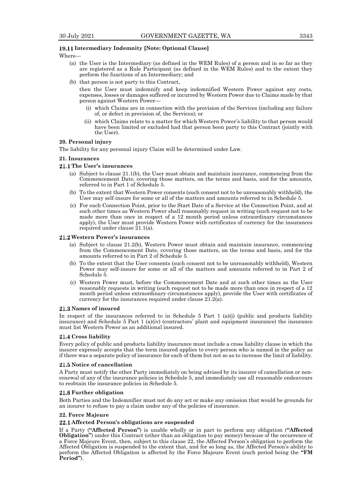# **Intermediary Indemnity [Note: Optional Clause]**

## Where—

- (a) the User is the Intermediary (as defined in the WEM Rules) of a person and in so far as they are registered as a Rule Participant (as defined in the WEM Rules) and to the extent they perform the functions of an Intermediary; and
- (b) that person is not party to this Contract,

then the User must indemnify and keep indemnified Western Power against any costs, expenses, losses or damages suffered or incurred by Western Power due to Claims made by that person against Western Power—

- (i) which Claims are in connection with the provision of the Services (including any failure of, or defect in provision of, the Services); or
- (ii) which Claims relate to a matter for which Western Power's liability to that person would have been limited or excluded had that person been party to this Contract (jointly with the User).

#### **20. Personal injury**

The liability for any personal injury Claim will be determined under Law.

#### **21. Insurances**

#### **The User's insurances**

- (a) Subject to clause 21.1(b), the User must obtain and maintain insurance, commencing from the Commencement Date, covering those matters, on the terms and basis, and for the amounts, referred to in Part 1 of Schedule 5.
- (b) To the extent that Western Power consents (such consent not to be unreasonably withheld), the User may self-insure for some or all of the matters and amounts referred to in Schedule 5.
- (c) For each Connection Point, prior to the Start Date of a Service at the Connection Point, and at such other times as Western Power shall reasonably request in writing (such request not to be made more than once in respect of a 12 month period unless extraordinary circumstances apply), the User must provide Western Power with certificates of currency for the insurances required under clause  $21.1(a)$ .

## **Western Power's insurances**

- (a) Subject to clause 21.2(b), Western Power must obtain and maintain insurance, commencing from the Commencement Date, covering those matters, on the terms and basis, and for the amounts referred to in Part 2 of Schedule 5.
- (b) To the extent that the User consents (such consent not to be unreasonably withheld), Western Power may self-insure for some or all of the matters and amounts referred to in Part 2 of Schedule 5.
- (c) Western Power must, before the Commencement Date and at such other times as the User reasonably requests in writing (such request not to be made more than once in respect of a 12 month period unless extraordinary circumstances apply), provide the User with certificates of currency for the insurances required under clause 21.2(a).

#### **Names of insured**

In respect of the insurances referred to in Schedule  $5$  Part  $1$  (a)(i) (public and products liability insurance) and Schedule 5 Part 1 (a)(iv) (contractors' plant and equipment insurance) the insurance must list Western Power as an additional insured.

## **21.4 Cross liability**

Every policy of public and products liability insurance must include a cross liability clause in which the insurer expressly accepts that the term insured applies to every person who is named in the policy as if there was a separate policy of insurance for each of them but not so as to increase the limit of liability.

#### **Notice of cancellation**

A Party must notify the other Party immediately on being advised by its insurer of cancellation or nonrenewal of any of the insurance policies in Schedule 5, and immediately use all reasonable endeavours to reobtain the insurance policies in Schedule 5.

#### **Further obligation**

Both Parties and the Indemnifier must not do any act or make any omission that would be grounds for an insurer to refuse to pay a claim under any of the policies of insurance.

#### **22. Force Majeure**

#### **Affected Person's obligations are suspended**

If a Party (**"Affected Person"**) is unable wholly or in part to perform any obligation (**"Affected Obligation"**) under this Contract (other than an obligation to pay money) because of the occurrence of a Force Majeure Event, then, subject to this clause 22, the Affected Person's obligation to perform the Affected Obligation is suspended to the extent that, and for so long as, the Affected Person's ability to perform the Affected Obligation is affected by the Force Majeure Event (such period being the **"FM Period"**).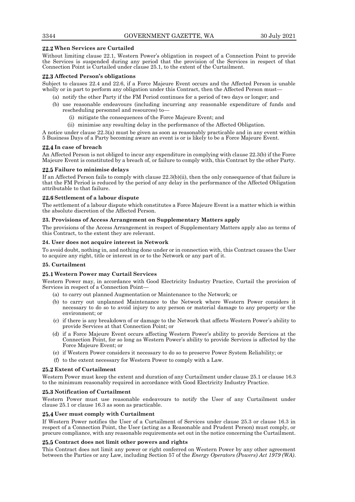# **When Services are Curtailed**

Without limiting clause 22.1, Western Power's obligation in respect of a Connection Point to provide the Services is suspended during any period that the provision of the Services in respect of that Connection Point is Curtailed under clause 25.1, to the extent of the Curtailment.

## **Affected Person's obligations**

Subject to clauses 22.4 and 22.6, if a Force Majeure Event occurs and the Affected Person is unable wholly or in part to perform any obligation under this Contract, then the Affected Person must—

- (a) notify the other Party if the FM Period continues for a period of two days or longer; and
- (b) use reasonable endeavours (including incurring any reasonable expenditure of funds and rescheduling personnel and resources) to—
	- (i) mitigate the consequences of the Force Majeure Event; and
	- (ii) minimise any resulting delay in the performance of the Affected Obligation.

A notice under clause 22.3(a) must be given as soon as reasonably practicable and in any event within 5 Business Days of a Party becoming aware an event is or is likely to be a Force Majeure Event.

## **In case of breach**

An Affected Person is not obliged to incur any expenditure in complying with clause 22.3(b) if the Force Majeure Event is constituted by a breach of, or failure to comply with, this Contract by the other Party.

## **Failure to minimise delays**

If an Affected Person fails to comply with clause 22.3(b)(ii), then the only consequence of that failure is that the FM Period is reduced by the period of any delay in the performance of the Affected Obligation attributable to that failure.

## **Settlement of a labour dispute**

The settlement of a labour dispute which constitutes a Force Majeure Event is a matter which is within the absolute discretion of the Affected Person.

## **23. Provisions of Access Arrangement on Supplementary Matters apply**

The provisions of the Access Arrangement in respect of Supplementary Matters apply also as terms of this Contract, to the extent they are relevant.

## **24. User does not acquire interest in Network**

To avoid doubt, nothing in, and nothing done under or in connection with, this Contract causes the User to acquire any right, title or interest in or to the Network or any part of it.

## **25. Curtailment**

# **Western Power may Curtail Services**

Western Power may, in accordance with Good Electricity Industry Practice, Curtail the provision of Services in respect of a Connection Point—

- (a) to carry out planned Augmentation or Maintenance to the Network; or
- (b) to carry out unplanned Maintenance to the Network where Western Power considers it necessary to do so to avoid injury to any person or material damage to any property or the environment; or
- (c) if there is any breakdown of or damage to the Network that affects Western Power's ability to provide Services at that Connection Point; or
- (d) if a Force Majeure Event occurs affecting Western Power's ability to provide Services at the Connection Point, for so long as Western Power's ability to provide Services is affected by the Force Majeure Event; or
- (e) if Western Power considers it necessary to do so to preserve Power System Reliability; or
- (f) to the extent necessary for Western Power to comply with a Law.

## **Extent of Curtailment**

Western Power must keep the extent and duration of any Curtailment under clause 25.1 or clause 16.3 to the minimum reasonably required in accordance with Good Electricity Industry Practice.

# **Notification of Curtailment**

Western Power must use reasonable endeavours to notify the User of any Curtailment under clause 25.1 or clause 16.3 as soon as practicable.

## **User must comply with Curtailment**

If Western Power notifies the User of a Curtailment of Services under clause 25.3 or clause 16.3 in respect of a Connection Point, the User (acting as a Reasonable and Prudent Person) must comply, or procure compliance, with any reasonable requirements set out in the notice concerning the Curtailment.

## **Contract does not limit other powers and rights**

This Contract does not limit any power or right conferred on Western Power by any other agreement between the Parties or any Law, including Section 57 of the *Energy Operators (Powers) Act 1979 (WA)*.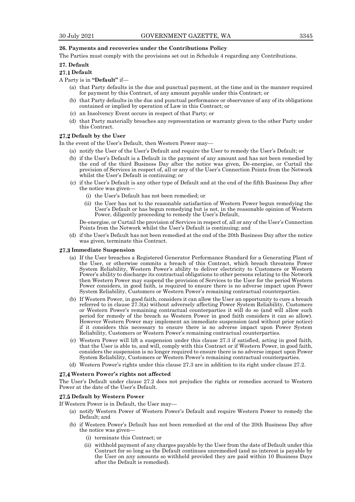## **26. Payments and recoveries under the Contributions Policy**

The Parties must comply with the provisions set out in Schedule 4 regarding any Contributions.

## **27. Default**

## 27.1 Default

## A Party is in **"Default"** if—

- (a) that Party defaults in the due and punctual payment, at the time and in the manner required for payment by this Contract, of any amount payable under this Contract; or
- (b) that Party defaults in the due and punctual performance or observance of any of its obligations contained or implied by operation of Law in this Contract; or
- (c) an Insolvency Event occurs in respect of that Party; or
- (d) that Party materially breaches any representation or warranty given to the other Party under this Contract.

# **Default by the User**

In the event of the User's Default, then Western Power may—

- (a) notify the User of the User's Default and require the User to remedy the User's Default; or
- (b) if the User's Default is a Default in the payment of any amount and has not been remedied by the end of the third Business Day after the notice was given, De-energise, or Curtail the provision of Services in respect of, all or any of the User's Connection Points from the Network whilst the User's Default is continuing; or
- (c) if the User's Default is any other type of Default and at the end of the fifth Business Day after the notice was given—
	- (i) the User's Default has not been remedied; or
	- (ii) the User has not to the reasonable satisfaction of Western Power begun remedying the User's Default or has begun remedying but is not, in the reasonable opinion of Western Power, diligently proceeding to remedy the User's Default,

De-energise, or Curtail the provision of Services in respect of, all or any of the User's Connection Points from the Network whilst the User's Default is continuing; and

(d) if the User's Default has not been remedied at the end of the 20th Business Day after the notice was given, terminate this Contract.

#### **Immediate Suspension**

- (a) If the User breaches a Registered Generator Performance Standard for a Generating Plant of the User, or otherwise commits a breach of this Contract, which breach threatens Power System Reliability, Western Power's ability to deliver electricity to Customers or Western Power's ability to discharge its contractual obligations to other persons relating to the Network then Western Power may suspend the provision of Services to the User for the period Western Power considers, in good faith, is required to ensure there is no adverse impact upon Power System Reliability, Customers or Western Power's remaining contractual counterparties.
- (b) If Western Power, in good faith, considers it can allow the User an opportunity to cure a breach referred to in clause 27.3(a) without adversely affecting Power System Reliability, Customers or Western Power's remaining contractual counterparties it will do so (and will allow such period for remedy of the breach as Western Power in good faith considers it can so allow). However Western Power may implement an immediate suspension (and without prior notice) if it considers this necessary to ensure there is no adverse impact upon Power System Reliability, Customers or Western Power's remaining contractual counterparties.
- (c) Western Power will lift a suspension under this clause 27.3 if satisfied, acting in good faith, that the User is able to, and will, comply with this Contract or if Western Power, in good faith, considers the suspension is no longer required to ensure there is no adverse impact upon Power System Reliability, Customers or Western Power's remaining contractual counterparties.
- (d) Western Power's rights under this clause 27.3 are in addition to its right under clause 27.2.

#### **Western Power's rights not affected**

The User's Default under clause 27.2 does not prejudice the rights or remedies accrued to Western Power at the date of the User's Default.

## **Default by Western Power**

If Western Power is in Default, the User may—

- (a) notify Western Power of Western Power's Default and require Western Power to remedy the Default; and
- (b) if Western Power's Default has not been remedied at the end of the 20th Business Day after the notice was given—
	- (i) terminate this Contract; or
	- (ii) withhold payment of any charges payable by the User from the date of Default under this Contract for so long as the Default continues unremedied (and no interest is payable by the User on any amounts so withheld provided they are paid within 10 Business Days after the Default is remedied).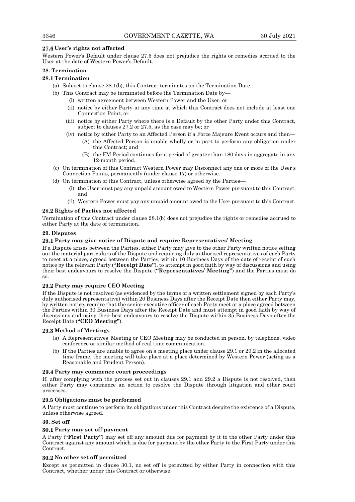# **User's rights not affected**

Western Power's Default under clause 27.5 does not prejudice the rights or remedies accrued to the User at the date of Western Power's Default.

# **28. Termination**

# **Termination**

- (a) Subject to clause 28.1(b), this Contract terminates on the Termination Date.
- (b) This Contract may be terminated before the Termination Date by—
	- (i) written agreement between Western Power and the User; or
	- (ii) notice by either Party at any time at which this Contract does not include at least one Connection Point; or
	- (iii) notice by either Party where there is a Default by the other Party under this Contract, subject to clauses 27.2 or 27.5, as the case may be; or
	- (iv) notice by either Party to an Affected Person if a Force Majeure Event occurs and then—
		- (A) the Affected Person is unable wholly or in part to perform any obligation under this Contract; and
		- (B) the FM Period continues for a period of greater than 180 days in aggregate in any 12-month period.
- (c) On termination of this Contract Western Power may Disconnect any one or more of the User's Connection Points, permanently (under clause 17) or otherwise.
- (d) On termination of this Contract, unless otherwise agreed by the Parties—
	- (i) the User must pay any unpaid amount owed to Western Power pursuant to this Contract; and
	- (ii) Western Power must pay any unpaid amount owed to the User pursuant to this Contract.

# **Rights of Parties not affected**

Termination of this Contract under clause 28.1(b) does not prejudice the rights or remedies accrued to either Party at the date of termination.

# **29. Disputes**

# **Party may give notice of Dispute and require Representatives' Meeting**

If a Dispute arises between the Parties, either Party may give to the other Party written notice setting out the material particulars of the Dispute and requiring duly authorised representatives of each Party to meet at a place, agreed between the Parties, within 10 Business Days of the date of receipt of such notice by the relevant Party (**"Receipt Date"**), to attempt in good faith by way of discussions and using their best endeavours to resolve the Dispute (**"Representatives' Meeting"**) and the Parties must do so.

# **Party may require CEO Meeting**

If the Dispute is not resolved (as evidenced by the terms of a written settlement signed by each Party's duly authorised representative) within 20 Business Days after the Receipt Date then either Party may, by written notice, require that the senior executive officer of each Party meet at a place agreed between the Parties within 30 Business Days after the Receipt Date and must attempt in good faith by way of discussions and using their best endeavours to resolve the Dispute within 35 Business Days after the Receipt Date (**"CEO Meeting"**).

# **Method of Meetings**

- (a) A Representatives' Meeting or CEO Meeting may be conducted in person, by telephone, video conference or similar method of real time communication.
- If the Parties are unable to agree on a meeting place under clause 29.1 or 29.2 in the allocated time frame, the meeting will take place at a place determined by Western Power (acting as a Reasonable and Prudent Person).

# **Party may commence court proceedings**

If, after complying with the process set out in clauses 29.1 and 29.2 a Dispute is not resolved, then either Party may commence an action to resolve the Dispute through litigation and other court processes.

# **Obligations must be performed**

A Party must continue to perform its obligations under this Contract despite the existence of a Dispute, unless otherwise agreed.

# **30. Set off**

# **Party may set off payment**

A Party (**"First Party"**) may set off any amount due for payment by it to the other Party under this Contract against any amount which is due for payment by the other Party to the First Party under this Contract.

# **No other set off permitted**

Except as permitted in clause 30.1, no set off is permitted by either Party in connection with this Contract, whether under this Contract or otherwise.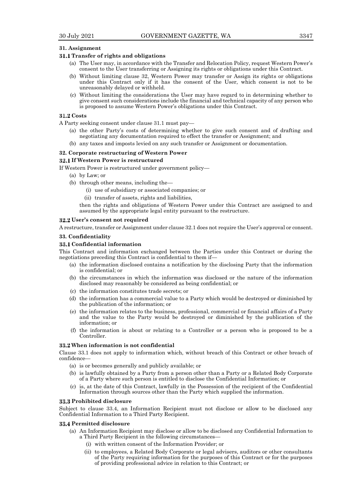## **31. Assignment**

## **Transfer of rights and obligations**

- (a) The User may, in accordance with the Transfer and Relocation Policy, request Western Power's consent to the User transferring or Assigning its rights or obligations under this Contract.
- (b) Without limiting clause 32, Western Power may transfer or Assign its rights or obligations under this Contract only if it has the consent of the User, which consent is not to be unreasonably delayed or withheld.
- (c) Without limiting the considerations the User may have regard to in determining whether to give consent such considerations include the financial and technical capacity of any person who is proposed to assume Western Power's obligations under this Contract.

## **Costs**

- A Party seeking consent under clause 31.1 must pay—
	- (a) the other Party's costs of determining whether to give such consent and of drafting and negotiating any documentation required to effect the transfer or Assignment; and
	- (b) any taxes and imposts levied on any such transfer or Assignment or documentation.

## **32. Corporate restructuring of Western Power**

## **If Western Power is restructured**

If Western Power is restructured under government policy—

- (a) by Law; or
- (b) through other means, including the—
	- (i) use of subsidiary or associated companies; or
	- (ii) transfer of assets, rights and liabilities,

then the rights and obligations of Western Power under this Contract are assigned to and assumed by the appropriate legal entity pursuant to the restructure.

## **User's consent not required**

A restructure, transfer or Assignment under clause 32.1 does not require the User's approval or consent.

## **33. Confidentiality**

## **Confidential information**

This Contract and information exchanged between the Parties under this Contract or during the negotiations preceding this Contract is confidential to them if—

- (a) the information disclosed contains a notification by the disclosing Party that the information is confidential; or
- (b) the circumstances in which the information was disclosed or the nature of the information disclosed may reasonably be considered as being confidential; or
- (c) the information constitutes trade secrets; or
- (d) the information has a commercial value to a Party which would be destroyed or diminished by the publication of the information; or
- (e) the information relates to the business, professional, commercial or financial affairs of a Party and the value to the Party would be destroyed or diminished by the publication of the information; or
- (f) the information is about or relating to a Controller or a person who is proposed to be a Controller.

## **When information is not confidential**

Clause 33.1 does not apply to information which, without breach of this Contract or other breach of confidence—

- (a) is or becomes generally and publicly available; or
- (b) is lawfully obtained by a Party from a person other than a Party or a Related Body Corporate of a Party where such person is entitled to disclose the Confidential Information; or
- (c) is, at the date of this Contract, lawfully in the Possession of the recipient of the Confidential Information through sources other than the Party which supplied the information.

## **Prohibited disclosure**

Subject to clause 33.4, an Information Recipient must not disclose or allow to be disclosed any Confidential Information to a Third Party Recipient.

## **Permitted disclosure**

- (a) An Information Recipient may disclose or allow to be disclosed any Confidential Information to a Third Party Recipient in the following circumstances—
	- (i) with written consent of the Information Provider; or
	- (ii) to employees, a Related Body Corporate or legal advisers, auditors or other consultants of the Party requiring information for the purposes of this Contract or for the purposes of providing professional advice in relation to this Contract; or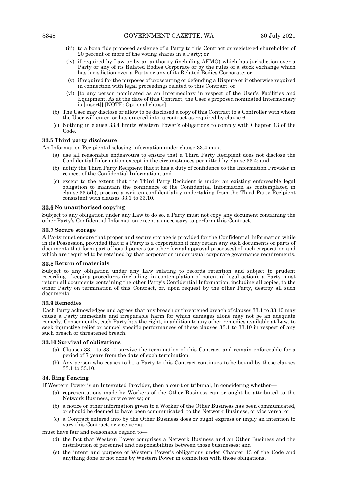- (iii) to a bona fide proposed assignee of a Party to this Contract or registered shareholder of 20 percent or more of the voting shares in a Party; or
- (iv) if required by Law or by an authority (including AEMO) which has jurisdiction over a Party or any of its Related Bodies Corporate or by the rules of a stock exchange which has jurisdiction over a Party or any of its Related Bodies Corporate; or
- (v) if required for the purposes of prosecuting or defending a Dispute or if otherwise required in connection with legal proceedings related to this Contract; or
- (vi) [to any person nominated as an Intermediary in respect of the User's Facilities and Equipment. As at the date of this Contract, the User's proposed nominated Intermediary is [insert]] [NOTE: Optional clause].
- (b) The User may disclose or allow to be disclosed a copy of this Contract to a Controller with whom the User will enter, or has entered into, a contract as required by clause 6.
- (c) Nothing in clause 33.4 limits Western Power's obligations to comply with Chapter 13 of the Code.

# **Third party disclosure**

An Information Recipient disclosing information under clause 33.4 must—

- (a) use all reasonable endeavours to ensure that a Third Party Recipient does not disclose the Confidential Information except in the circumstances permitted by clause 33.4; and
- (b) notify the Third Party Recipient that it has a duty of confidence to the Information Provider in respect of the Confidential Information; and
- (c) except to the extent that the Third Party Recipient is under an existing enforceable legal obligation to maintain the confidence of the Confidential Information as contemplated in clause 33.5(b), procure a written confidentiality undertaking from the Third Party Recipient consistent with clauses 33.1 to 33.10.

#### **No unauthorised copying**

Subject to any obligation under any Law to do so, a Party must not copy any document containing the other Party's Confidential Information except as necessary to perform this Contract.

#### **Secure storage**

A Party must ensure that proper and secure storage is provided for the Confidential Information while in its Possession, provided that if a Party is a corporation it may retain any such documents or parts of documents that form part of board papers (or other formal approval processes) of such corporation and which are required to be retained by that corporation under usual corporate governance requirements.

## **Return of materials**

Subject to any obligation under any Law relating to records retention and subject to prudent recording—keeping procedures (including, in contemplation of potential legal action), a Party must return all documents containing the other Party's Confidential Information, including all copies, to the other Party on termination of this Contract, or, upon request by the other Party, destroy all such documents.

## **Remedies**

Each Party acknowledges and agrees that any breach or threatened breach of clauses 33.1 to 33.10 may cause a Party immediate and irreparable harm for which damages alone may not be an adequate remedy. Consequently, each Party has the right, in addition to any other remedies available at Law, to seek injunctive relief or compel specific performances of these clauses 33.1 to 33.10 in respect of any such breach or threatened breach.

## **Survival of obligations**

- (a) Clauses 33.1 to 33.10 survive the termination of this Contract and remain enforceable for a period of 7 years from the date of such termination.
- (b) Any person who ceases to be a Party to this Contract continues to be bound by these clauses 33.1 to 33.10.

## **34. Ring Fencing**

If Western Power is an Integrated Provider, then a court or tribunal, in considering whether—

- (a) representations made by Workers of the Other Business can or ought be attributed to the Network Business, or vice versa; or
- (b) a notice or other information given to a Worker of the Other Business has been communicated, or should be deemed to have been communicated, to the Network Business, or vice versa; or
- (c) a Contract entered into by the Other Business does or ought express or imply an intention to vary this Contract, or vice versa,

must have fair and reasonable regard to—

- (d) the fact that Western Power comprises a Network Business and an Other Business and the distribution of personnel and responsibilities between those businesses; and
- (e) the intent and purpose of Western Power's obligations under Chapter 13 of the Code and anything done or not done by Western Power in connection with those obligations.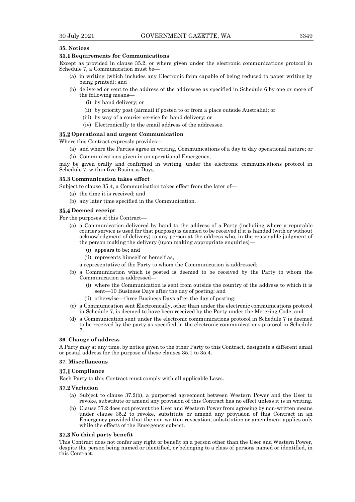## **35. Notices**

#### **Requirements for Communications**

Except as provided in clause 35.2, or where given under the electronic communications protocol in Schedule 7, a Communication must be—

- (a) in writing (which includes any Electronic form capable of being reduced to paper writing by being printed); and
- (b) delivered or sent to the address of the addressee as specified in Schedule 6 by one or more of the following means—
	- (i) by hand delivery; or
	- (ii) by priority post (airmail if posted to or from a place outside Australia); or
	- (iii) by way of a courier service for hand delivery; or
	- (iv) Electronically to the email address of the addressee.

#### **Operational and urgent Communication**

Where this Contract expressly provides—

(a) and where the Parties agree in writing, Communications of a day to day operational nature; or (b) Communications given in an operational Emergency,

may be given orally and confirmed in writing, under the electronic communications protocol in Schedule 7, within five Business Days.

## **Communication takes effect**

Subject to clause 35.4, a Communication takes effect from the later of—

- (a) the time it is received; and
- (b) any later time specified in the Communication.

# **Deemed receipt**

For the purposes of this Contract—

- (a) a Communication delivered by hand to the address of a Party (including where a reputable courier service is used for that purpose) is deemed to be received if it is handed (with or without acknowledgment of delivery) to any person at the address who, in the reasonable judgment of the person making the delivery (upon making appropriate enquiries)—
	- (i) appears to be; and
	- (ii) represents himself or herself as,
	- a representative of the Party to whom the Communication is addressed;
- (b) a Communication which is posted is deemed to be received by the Party to whom the Communication is addressed—
	- (i) where the Communication is sent from outside the country of the address to which it is sent—10 Business Days after the day of posting; and
	- (ii) otherwise—three Business Days after the day of posting;
- (c) a Communication sent Electronically, other than under the electronic communications protocol in Schedule 7, is deemed to have been received by the Party under the Metering Code; and
- (d) a Communication sent under the electronic communications protocol in Schedule 7 is deemed to be received by the party as specified in the electronic communications protocol in Schedule 7.

#### **36. Change of address**

A Party may at any time, by notice given to the other Party to this Contract, designate a different email or postal address for the purpose of these clauses 35.1 to 35.4.

#### **37. Miscellaneous**

#### **37.1 Compliance**

Each Party to this Contract must comply with all applicable Laws.

## **Variation**

- (a) Subject to clause 37.2(b), a purported agreement between Western Power and the User to revoke, substitute or amend any provision of this Contract has no effect unless it is in writing.
- (b) Clause 37.2 does not prevent the User and Western Power from agreeing by non-written means under clause 35.2 to revoke, substitute or amend any provision of this Contract in an Emergency provided that the non-written revocation, substitution or amendment applies only while the effects of the Emergency subsist.

#### **No third party benefit**

This Contract does not confer any right or benefit on a person other than the User and Western Power, despite the person being named or identified, or belonging to a class of persons named or identified, in this Contract.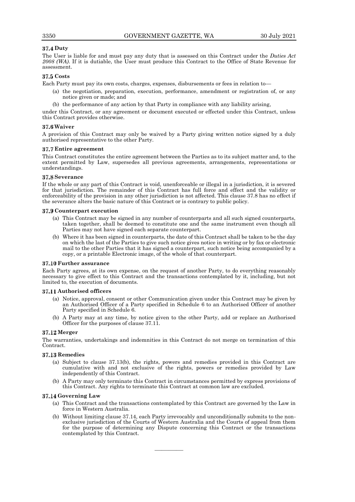# **Duty**

The User is liable for and must pay any duty that is assessed on this Contract under the *Duties Act 2008 (WA)*. If it is dutiable, the User must produce this Contract to the Office of State Revenue for assessment.

# **Costs**

Each Party must pay its own costs, charges, expenses, disbursements or fees in relation to—

- (a) the negotiation, preparation, execution, performance, amendment or registration of, or any notice given or made; and
- (b) the performance of any action by that Party in compliance with any liability arising,

under this Contract, or any agreement or document executed or effected under this Contract, unless this Contract provides otherwise.

# **Waiver**

A provision of this Contract may only be waived by a Party giving written notice signed by a duly authorised representative to the other Party.

# **Entire agreement**

This Contract constitutes the entire agreement between the Parties as to its subject matter and, to the extent permitted by Law, supersedes all previous agreements, arrangements, representations or understandings.

# **Severance**

If the whole or any part of this Contract is void, unenforceable or illegal in a jurisdiction, it is severed for that jurisdiction. The remainder of this Contract has full force and effect and the validity or enforceability of the provision in any other jurisdiction is not affected. This clause 37.8 has no effect if the severance alters the basic nature of this Contract or is contrary to public policy.

## **Counterpart execution**

- (a) This Contract may be signed in any number of counterparts and all such signed counterparts, taken together, shall be deemed to constitute one and the same instrument even though all Parties may not have signed each separate counterpart.
- (b) Where it has been signed in counterparts, the date of this Contract shall be taken to be the day on which the last of the Parties to give such notice gives notice in writing or by fax or electronic mail to the other Parties that it has signed a counterpart, such notice being accompanied by a copy, or a printable Electronic image, of the whole of that counterpart.

# **Further assurance**

Each Party agrees, at its own expense, on the request of another Party, to do everything reasonably necessary to give effect to this Contract and the transactions contemplated by it, including, but not limited to, the execution of documents.

## **Authorised officers**

- (a) Notice, approval, consent or other Communication given under this Contract may be given by an Authorised Officer of a Party specified in Schedule 6 to an Authorised Officer of another Party specified in Schedule 6.
- (b) A Party may at any time, by notice given to the other Party, add or replace an Authorised Officer for the purposes of clause 37.11.

# **Merger**

The warranties, undertakings and indemnities in this Contract do not merge on termination of this Contract.

# **Remedies**

- (a) Subject to clause 37.13(b), the rights, powers and remedies provided in this Contract are cumulative with and not exclusive of the rights, powers or remedies provided by Law independently of this Contract.
- (b) A Party may only terminate this Contract in circumstances permitted by express provisions of this Contract. Any rights to terminate this Contract at common law are excluded.

## **Governing Law**

- (a) This Contract and the transactions contemplated by this Contract are governed by the Law in force in Western Australia.
- (b) Without limiting clause 37.14, each Party irrevocably and unconditionally submits to the nonexclusive jurisdiction of the Courts of Western Australia and the Courts of appeal from them for the purpose of determining any Dispute concerning this Contract or the transactions contemplated by this Contract.

————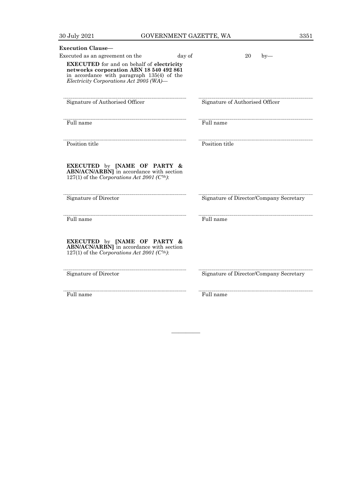| <b>Execution Clause-</b>                                                                                                                                                             |                                         |
|--------------------------------------------------------------------------------------------------------------------------------------------------------------------------------------|-----------------------------------------|
| day of<br>Executed as an agreement on the                                                                                                                                            | 20<br>$by-$                             |
| <b>EXECUTED</b> for and on behalf of electricity<br>networks corporation ABN 18 540 492 861<br>in accordance with paragraph 135(4) of the<br>Electricity Corporations Act 2005 (WA)— |                                         |
| Signature of Authorised Officer                                                                                                                                                      | Signature of Authorised Officer         |
| Full name                                                                                                                                                                            | Full name                               |
| Position title                                                                                                                                                                       | Position title                          |
| <b>EXECUTED</b> by [NAME OF PARTY &<br>ABN/ACN/ARBN] in accordance with section<br>127(1) of the Corporations Act 2001 ( $Cth$ ):<br>Signature of Director                           | Signature of Director/Company Secretary |
| Full name                                                                                                                                                                            | Full name                               |
| EXECUTED by [NAME OF PARTY &<br>ABN/ACN/ARBN] in accordance with section<br>127(1) of the Corporations Act 2001 ( $Cth$ ):                                                           |                                         |
| Signature of Director                                                                                                                                                                | Signature of Director/Company Secretary |
| Full name                                                                                                                                                                            | Full name                               |

————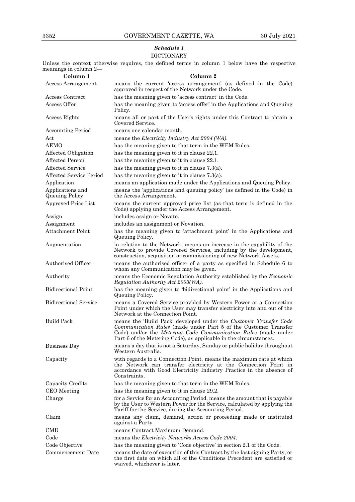# *Schedule 1* DICTIONARY

Unless the context otherwise requires, the defined terms in column 1 below have the respective meanings in column 2—

| Column 1                                  | Column 2                                                                                                                                                                                                                                                                    |
|-------------------------------------------|-----------------------------------------------------------------------------------------------------------------------------------------------------------------------------------------------------------------------------------------------------------------------------|
| Access Arrangement                        | means the current 'access arrangement' (as defined in the Code)<br>approved in respect of the Network under the Code.                                                                                                                                                       |
| Access Contract                           | has the meaning given to 'access contract' in the Code.                                                                                                                                                                                                                     |
| Access Offer                              | has the meaning given to 'access offer' in the Applications and Queuing<br>Policy.                                                                                                                                                                                          |
| Access Rights                             | means all or part of the User's rights under this Contract to obtain a<br>Covered Service.                                                                                                                                                                                  |
| <b>Accounting Period</b>                  | means one calendar month.                                                                                                                                                                                                                                                   |
| Act                                       | means the <i>Electricity Industry Act 2004 (WA)</i> .                                                                                                                                                                                                                       |
| <b>AEMO</b>                               | has the meaning given to that term in the WEM Rules.                                                                                                                                                                                                                        |
| Affected Obligation                       | has the meaning given to it in clause 22.1.                                                                                                                                                                                                                                 |
| Affected Person                           | has the meaning given to it in clause 22.1.                                                                                                                                                                                                                                 |
| <b>Affected Service</b>                   | has the meaning given to it in clause $7.3(a)$ .                                                                                                                                                                                                                            |
| Affected Service Period                   | has the meaning given to it in clause $7.3(a)$ .                                                                                                                                                                                                                            |
| Application                               | means an application made under the Applications and Queuing Policy.                                                                                                                                                                                                        |
| Applications and<br><b>Queuing Policy</b> | means the 'applications and queuing policy' (as defined in the Code) in<br>the Access Arrangement.                                                                                                                                                                          |
| Approved Price List                       | means the current approved price list (as that term is defined in the<br>Code) applying under the Access Arrangement.                                                                                                                                                       |
| Assign                                    | includes assign or Novate.                                                                                                                                                                                                                                                  |
| Assignment                                | includes an assignment or Novation.                                                                                                                                                                                                                                         |
| Attachment Point                          | has the meaning given to 'attachment point' in the Applications and<br>Queuing Policy.                                                                                                                                                                                      |
| Augmentation                              | in relation to the Network, means an increase in the capability of the<br>Network to provide Covered Services, including by the development,<br>construction, acquisition or commissioning of new Network Assets.                                                           |
| Authorised Officer                        | means the authorised officer of a party as specified in Schedule 6 to<br>whom any Communication may be given.                                                                                                                                                               |
| Authority                                 | means the Economic Regulation Authority established by the Economic<br>Regulation Authority Act 2003(WA).                                                                                                                                                                   |
| <b>Bidirectional Point</b>                | has the meaning given to 'bidirectional point' in the Applications and<br>Queuing Policy.                                                                                                                                                                                   |
| <b>Bidirectional Service</b>              | means a Covered Service provided by Western Power at a Connection<br>Point under which the User may transfer electricity into and out of the<br>Network at the Connection Point.                                                                                            |
| <b>Build Pack</b>                         | means the 'Build Pack' developed under the Customer Transfer Code<br>Communication Rules (made under Part 5 of the Customer Transfer<br>Code) and/or the Metering Code Communication Rules (made under<br>Part 6 of the Metering Code), as applicable in the circumstances. |
| Business Day                              | means a day that is not a Saturday, Sunday or public holiday throughout<br>Western Australia.                                                                                                                                                                               |
| Capacity                                  | with regards to a Connection Point, means the maximum rate at which<br>the Network can transfer electricity at the Connection Point in<br>accordance with Good Electricity Industry Practice in the absence of<br>Constraints.                                              |
| Capacity Credits                          | has the meaning given to that term in the WEM Rules.                                                                                                                                                                                                                        |
| CEO Meeting                               | has the meaning given to it in clause 29.2.                                                                                                                                                                                                                                 |
| Charge                                    | for a Service for an Accounting Period, means the amount that is payable<br>by the User to Western Power for the Service, calculated by applying the<br>Tariff for the Service, during the Accounting Period.                                                               |
| Claim                                     | means any claim, demand, action or proceeding made or instituted<br>against a Party.                                                                                                                                                                                        |
| <b>CMD</b>                                | means Contract Maximum Demand.                                                                                                                                                                                                                                              |
| Code                                      | means the <i>Electricity Networks Access Code 2004</i> .                                                                                                                                                                                                                    |
| Code Objective                            | has the meaning given to 'Code objective' in section 2.1 of the Code.                                                                                                                                                                                                       |
| Commencement Date                         | means the date of execution of this Contract by the last signing Party, or<br>the first date on which all of the Conditions Precedent are satisfied or<br>waived, whichever is later.                                                                                       |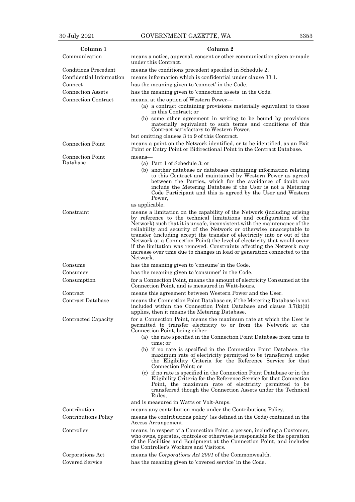| Column 1                            | Column 2                                                                                                                                                                                                                                                                                                                                                                                                                                                                                                                                         |
|-------------------------------------|--------------------------------------------------------------------------------------------------------------------------------------------------------------------------------------------------------------------------------------------------------------------------------------------------------------------------------------------------------------------------------------------------------------------------------------------------------------------------------------------------------------------------------------------------|
| Communication                       | means a notice, approval, consent or other communication given or made<br>under this Contract.                                                                                                                                                                                                                                                                                                                                                                                                                                                   |
| <b>Conditions Precedent</b>         | means the conditions precedent specified in Schedule 2.                                                                                                                                                                                                                                                                                                                                                                                                                                                                                          |
| Confidential Information            | means information which is confidential under clause 33.1.                                                                                                                                                                                                                                                                                                                                                                                                                                                                                       |
| Connect                             | has the meaning given to 'connect' in the Code.                                                                                                                                                                                                                                                                                                                                                                                                                                                                                                  |
| <b>Connection Assets</b>            | has the meaning given to 'connection assets' in the Code.                                                                                                                                                                                                                                                                                                                                                                                                                                                                                        |
| Connection Contract                 | means, at the option of Western Power—                                                                                                                                                                                                                                                                                                                                                                                                                                                                                                           |
|                                     | (a) a contract containing provisions materially equivalent to those<br>in this Contract; or<br>(b) some other agreement in writing to be bound by provisions                                                                                                                                                                                                                                                                                                                                                                                     |
|                                     | materially equivalent to such terms and conditions of this<br>Contract satisfactory to Western Power,                                                                                                                                                                                                                                                                                                                                                                                                                                            |
|                                     | but omitting clauses 3 to 9 of this Contract.                                                                                                                                                                                                                                                                                                                                                                                                                                                                                                    |
| <b>Connection Point</b>             | means a point on the Network identified, or to be identified, as an Exit<br>Point or Entry Point or Bidirectional Point in the Contract Database.                                                                                                                                                                                                                                                                                                                                                                                                |
| <b>Connection Point</b><br>Database | means-                                                                                                                                                                                                                                                                                                                                                                                                                                                                                                                                           |
|                                     | (a) Part 1 of Schedule 3; or<br>(b) another database or databases containing information relating                                                                                                                                                                                                                                                                                                                                                                                                                                                |
|                                     | to this Contract and maintained by Western Power as agreed<br>between the Parties, which for the avoidance of doubt can<br>include the Metering Database if the User is not a Metering<br>Code Participant and this is agreed by the User and Western<br>Power,<br>as applicable.                                                                                                                                                                                                                                                                |
| Constraint                          | means a limitation on the capability of the Network (including arising                                                                                                                                                                                                                                                                                                                                                                                                                                                                           |
|                                     | by reference to the technical limitations and configuration of the<br>Network) such that it is unsafe, inconsistent with the maintenance of the<br>reliability and security of the Network or otherwise unacceptable to<br>transfer (including accept the transfer of electricity into or out of the<br>Network at a Connection Point) the level of electricity that would occur<br>if the limitation was removed. Constraints affecting the Network may<br>increase over time due to changes in load or generation connected to the<br>Network. |
| Consume                             | has the meaning given to 'consume' in the Code.                                                                                                                                                                                                                                                                                                                                                                                                                                                                                                  |
| Consumer                            | has the meaning given to 'consumer' in the Code.                                                                                                                                                                                                                                                                                                                                                                                                                                                                                                 |
| Consumption                         | for a Connection Point, means the amount of electricity Consumed at the<br>Connection Point, and is measured in Watt-hours.                                                                                                                                                                                                                                                                                                                                                                                                                      |
| Contract                            | means this agreement between Western Power and the User.                                                                                                                                                                                                                                                                                                                                                                                                                                                                                         |
| Contract Database                   | means the Connection Point Database or, if the Metering Database is not<br>included within the Connection Point Database and clause $3.7(k)(ii)$<br>applies, then it means the Metering Database.                                                                                                                                                                                                                                                                                                                                                |
| Contracted Capacity                 | for a Connection Point, means the maximum rate at which the User is<br>permitted to transfer electricity to or from the Network at the<br>Connection Point, being either—<br>(a) the rate specified in the Connection Point Database from time to                                                                                                                                                                                                                                                                                                |
|                                     | time; or<br>(b) if no rate is specified in the Connection Point Database, the<br>maximum rate of electricity permitted to be transferred under<br>the Eligibility Criteria for the Reference Service for that                                                                                                                                                                                                                                                                                                                                    |
|                                     | Connection Point; or<br>(c) if no rate is specified in the Connection Point Database or in the<br>Eligibility Criteria for the Reference Service for that Connection<br>Point, the maximum rate of electricity permitted to be<br>transferred though the Connection Assets under the Technical<br>Rules,                                                                                                                                                                                                                                         |
|                                     | and is measured in Watts or Volt-Amps.                                                                                                                                                                                                                                                                                                                                                                                                                                                                                                           |
| Contribution                        | means any contribution made under the Contributions Policy.                                                                                                                                                                                                                                                                                                                                                                                                                                                                                      |
| Contributions Policy                | means the contributions policy' (as defined in the Code) contained in the<br>Access Arrangement.                                                                                                                                                                                                                                                                                                                                                                                                                                                 |
| Controller                          | means, in respect of a Connection Point, a person, including a Customer,<br>who owns, operates, controls or otherwise is responsible for the operation<br>of the Facilities and Equipment at the Connection Point, and includes<br>the Controller's Workers and Visitors.                                                                                                                                                                                                                                                                        |
| Corporations Act                    | means the Corporations Act 2001 of the Commonwealth.                                                                                                                                                                                                                                                                                                                                                                                                                                                                                             |
| Covered Service                     | has the meaning given to 'covered service' in the Code.                                                                                                                                                                                                                                                                                                                                                                                                                                                                                          |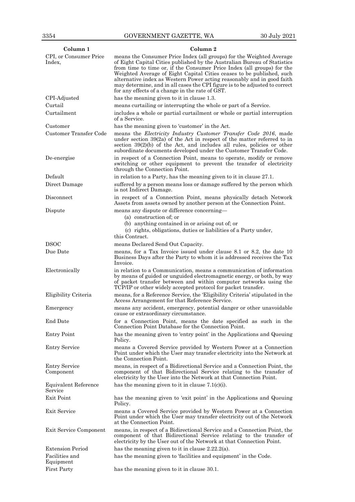| Column 1                          | Column 2                                                                                                                                                                                                                                                                                                                                                                                                                                                                                                        |
|-----------------------------------|-----------------------------------------------------------------------------------------------------------------------------------------------------------------------------------------------------------------------------------------------------------------------------------------------------------------------------------------------------------------------------------------------------------------------------------------------------------------------------------------------------------------|
| CPI, or Consumer Price<br>Index,  | means the Consumer Price Index (all groups) for the Weighted Average<br>of Eight Capital Cities published by the Australian Bureau of Statistics<br>from time to time or, if the Consumer Price Index (all groups) for the<br>Weighted Average of Eight Capital Cities ceases to be published, such<br>alternative index as Western Power acting reasonably and in good faith<br>may determine, and in all cases the CPI figure is to be adjusted to correct<br>for any effects of a change in the rate of GST. |
| CPI-Adjusted                      | has the meaning given to it in clause 1.3.                                                                                                                                                                                                                                                                                                                                                                                                                                                                      |
| Curtail                           | means curtailing or interrupting the whole or part of a Service.                                                                                                                                                                                                                                                                                                                                                                                                                                                |
| Curtailment                       | includes a whole or partial curtailment or whole or partial interruption<br>of a Service.                                                                                                                                                                                                                                                                                                                                                                                                                       |
| Customer                          | has the meaning given to 'customer' in the Act.                                                                                                                                                                                                                                                                                                                                                                                                                                                                 |
| Customer Transfer Code            | means the <i>Electricity Industry Customer Transfer Code 2016</i> , made<br>under section $39(2a)$ of the Act in respect of the matter referred to in<br>section $39(2)(b)$ of the Act, and includes all rules, policies or other<br>subordinate documents developed under the Customer Transfer Code.                                                                                                                                                                                                          |
| De-energise                       | in respect of a Connection Point, means to operate, modify or remove<br>switching or other equipment to prevent the transfer of electricity<br>through the Connection Point.                                                                                                                                                                                                                                                                                                                                    |
| Default                           | in relation to a Party, has the meaning given to it in clause 27.1.                                                                                                                                                                                                                                                                                                                                                                                                                                             |
| Direct Damage                     | suffered by a person means loss or damage suffered by the person which<br>is not Indirect Damage.                                                                                                                                                                                                                                                                                                                                                                                                               |
| Disconnect                        | in respect of a Connection Point, means physically detach Network<br>Assets from assets owned by another person at the Connection Point.                                                                                                                                                                                                                                                                                                                                                                        |
| Dispute                           | means any dispute or difference concerning—<br>(a) construction of; or<br>(b) anything contained in or arising out of; or<br>(c) rights, obligations, duties or liabilities of a Party under,                                                                                                                                                                                                                                                                                                                   |
|                                   | this Contract.                                                                                                                                                                                                                                                                                                                                                                                                                                                                                                  |
| <b>DSOC</b><br>Due Date           | means Declared Send Out Capacity.<br>means, for a Tax Invoice issued under clause 8.1 or 8.2, the date 10                                                                                                                                                                                                                                                                                                                                                                                                       |
|                                   | Business Days after the Party to whom it is addressed receives the Tax<br>Invoice.                                                                                                                                                                                                                                                                                                                                                                                                                              |
| Electronically                    | in relation to a Communication, means a communication of information<br>by means of guided or unguided electromagnetic energy, or both, by way<br>of packet transfer between and within computer networks using the<br>TCP/IP or other widely accepted protocol for packet transfer.                                                                                                                                                                                                                            |
| Eligibility Criteria              | means, for a Reference Service, the 'Eligibility Criteria' stipulated in the<br>Access Arrangement for that Reference Service.                                                                                                                                                                                                                                                                                                                                                                                  |
| Emergency                         | means any accident, emergency, potential danger or other unavoidable<br>cause or extraordinary circumstance.                                                                                                                                                                                                                                                                                                                                                                                                    |
| End Date                          | for a Connection Point, means the date specified as such in the<br>Connection Point Database for the Connection Point.                                                                                                                                                                                                                                                                                                                                                                                          |
| <b>Entry Point</b>                | has the meaning given to 'entry point' in the Applications and Queuing<br>Policy.                                                                                                                                                                                                                                                                                                                                                                                                                               |
| <b>Entry Service</b>              | means a Covered Service provided by Western Power at a Connection<br>Point under which the User may transfer electricity into the Network at<br>the Connection Point.                                                                                                                                                                                                                                                                                                                                           |
| <b>Entry Service</b><br>Component | means, in respect of a Bidirectional Service and a Connection Point, the<br>component of that Bidirectional Service relating to the transfer of<br>electricity by the User into the Network at that Connection Point.                                                                                                                                                                                                                                                                                           |
| Equivalent Reference<br>Service   | has the meaning given to it in clause $7.1(c)(i)$ .                                                                                                                                                                                                                                                                                                                                                                                                                                                             |
| Exit Point                        | has the meaning given to 'exit point' in the Applications and Queuing<br>Policy.                                                                                                                                                                                                                                                                                                                                                                                                                                |
| Exit Service                      | means a Covered Service provided by Western Power at a Connection<br>Point under which the User may transfer electricity out of the Network<br>at the Connection Point.                                                                                                                                                                                                                                                                                                                                         |
| Exit Service Component            | means, in respect of a Bidirectional Service and a Connection Point, the<br>component of that Bidirectional Service relating to the transfer of<br>electricity by the User out of the Network at that Connection Point.                                                                                                                                                                                                                                                                                         |
| <b>Extension Period</b>           | has the meaning given to it in clause $2.22.2(a)$ .                                                                                                                                                                                                                                                                                                                                                                                                                                                             |
| Facilities and<br>Equipment       | has the meaning given to 'facilities and equipment' in the Code.                                                                                                                                                                                                                                                                                                                                                                                                                                                |
| <b>First Party</b>                | has the meaning given to it in clause 30.1.                                                                                                                                                                                                                                                                                                                                                                                                                                                                     |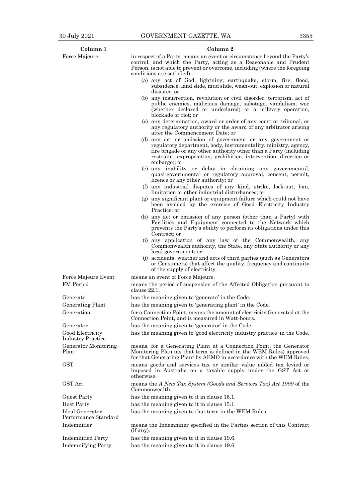| Column 1                                     | Column 2                                                                                                                                                                                                                                                                                |
|----------------------------------------------|-----------------------------------------------------------------------------------------------------------------------------------------------------------------------------------------------------------------------------------------------------------------------------------------|
| Force Majeure                                | in respect of a Party, means an event or circumstance beyond the Party's<br>control, and which the Party, acting as a Reasonable and Prudent<br>Person, is not able to prevent or overcome, including (where the foregoing<br>conditions are satisfied)—                                |
|                                              | (a) any act of God, lightning, earthquake, storm, fire, flood,<br>subsidence, land slide, mud slide, wash-out, explosion or natural<br>disaster; or                                                                                                                                     |
|                                              | (b) any insurrection, revolution or civil disorder, terrorism, act of<br>public enemies, malicious damage, sabotage, vandalism, war<br>(whether declared or undeclared) or a military operation,<br>blockade or riot: or                                                                |
|                                              | (c) any determination, award or order of any court or tribunal, or<br>any regulatory authority or the award of any arbitrator arising<br>after the Commencement Date; or                                                                                                                |
|                                              | (d) any act or omission of government or any government or<br>regulatory department, body, instrumentality, ministry, agency,<br>fire brigade or any other authority other than a Party (including<br>restraint, expropriation, prohibition, intervention, direction or<br>embargo); or |
|                                              | (e) any inability or delay in obtaining any governmental,<br>quasi-governmental or regulatory approval, consent, permit,<br>licence or any other authority; or                                                                                                                          |
|                                              | (f) any industrial disputes of any kind, strike, lock-out, ban,<br>limitation or other industrial disturbances; or                                                                                                                                                                      |
|                                              | (g) any significant plant or equipment failure which could not have<br>been avoided by the exercise of Good Electricity Industry<br>Practice; or                                                                                                                                        |
|                                              | (h) any act or omission of any person (other than a Party) with<br>Facilities and Equipment connected to the Network which<br>prevents the Party's ability to perform its obligations under this<br>Contract; or                                                                        |
|                                              | (i) any application of any law of the Commonwealth, any<br>Commonwealth authority, the State, any State authority or any<br>local government; or                                                                                                                                        |
|                                              | (j) accidents, weather and acts of third parties (such as Generators<br>or Consumers) that affect the quality, frequency and continuity<br>of the supply of electricity.                                                                                                                |
| Force Majeure Event                          | means an event of Force Majeure.                                                                                                                                                                                                                                                        |
| <b>FM</b> Period                             | means the period of suspension of the Affected Obligation pursuant to<br>clause 22.1.                                                                                                                                                                                                   |
| Generate                                     | has the meaning given to 'generate' in the Code.                                                                                                                                                                                                                                        |
| Generating Plant                             | has the meaning given to 'generating plant' in the Code.                                                                                                                                                                                                                                |
| Generation                                   | for a Connection Point, means the amount of electricity Generated at the<br>Connection Point, and is measured in Watt-hours.                                                                                                                                                            |
| Generator                                    | has the meaning given to 'generator' in the Code.                                                                                                                                                                                                                                       |
| Good Electricity<br><b>Industry Practice</b> | has the meaning given to 'good electricity industry practice' in the Code.                                                                                                                                                                                                              |
| Generator Monitoring<br>Plan                 | means, for a Generating Plant at a Connection Point, the Generator<br>Monitoring Plan (as that term is defined in the WEM Rules) approved<br>for that Generating Plant by AEMO in accordance with the WEM Rules.                                                                        |
| <b>GST</b>                                   | means goods and services tax or similar value added tax levied or<br>imposed in Australia on a taxable supply under the GST Act or<br>otherwise.                                                                                                                                        |
| <b>GST</b> Act                               | means the A New Tax System (Goods and Services Tax) Act 1999 of the<br>Commonwealth.                                                                                                                                                                                                    |
| Guest Party                                  | has the meaning given to it in clause 15.1.                                                                                                                                                                                                                                             |
| <b>Host Party</b>                            | has the meaning given to it in clause 15.1.                                                                                                                                                                                                                                             |
| Ideal Generator<br>Performance Standard      | has the meaning given to that term in the WEM Rules.                                                                                                                                                                                                                                    |
| Indemnifier                                  | means the Indemnifier specified in the Parties section of this Contract<br>(if any).                                                                                                                                                                                                    |
| <b>Indemnified Party</b>                     | has the meaning given to it in clause 19.6.                                                                                                                                                                                                                                             |
| <b>Indemnifying Party</b>                    | has the meaning given to it in clause 19.6.                                                                                                                                                                                                                                             |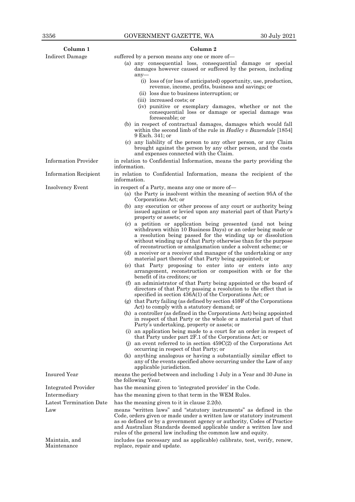| Column <sub>1</sub>          | Column 2                                                                                                                                                                                                                                                                                                                                                       |
|------------------------------|----------------------------------------------------------------------------------------------------------------------------------------------------------------------------------------------------------------------------------------------------------------------------------------------------------------------------------------------------------------|
| Indirect Damage              | suffered by a person means any one or more of-                                                                                                                                                                                                                                                                                                                 |
|                              | (a) any consequential loss, consequential damage or special<br>damages however caused or suffered by the person, including<br>$any-$                                                                                                                                                                                                                           |
|                              | (i) loss of (or loss of anticipated) opportunity, use, production,<br>revenue, income, profits, business and savings; or                                                                                                                                                                                                                                       |
|                              | (ii) loss due to business interruption; or                                                                                                                                                                                                                                                                                                                     |
|                              | (iii) increased costs; or                                                                                                                                                                                                                                                                                                                                      |
|                              | (iv) punitive or exemplary damages, whether or not the<br>consequential loss or damage or special damage was<br>foreseeable; or                                                                                                                                                                                                                                |
|                              | (b) in respect of contractual damages, damages which would fall<br>within the second limb of the rule in Hadley v Baxendale [1854]<br>9 Exch. 341; or                                                                                                                                                                                                          |
|                              | (c) any liability of the person to any other person, or any Claim<br>brought against the person by any other person, and the costs<br>and expenses connected with the Claim.                                                                                                                                                                                   |
| <b>Information Provider</b>  | in relation to Confidential Information, means the party providing the<br>information.                                                                                                                                                                                                                                                                         |
| <b>Information Recipient</b> | in relation to Confidential Information, means the recipient of the<br>information.                                                                                                                                                                                                                                                                            |
| <b>Insolvency Event</b>      | in respect of a Party, means any one or more of—                                                                                                                                                                                                                                                                                                               |
|                              | (a) the Party is insolvent within the meaning of section 95A of the<br>Corporations Act; or                                                                                                                                                                                                                                                                    |
|                              | (b) any execution or other process of any court or authority being<br>issued against or levied upon any material part of that Party's<br>property or assets; or                                                                                                                                                                                                |
|                              | (c) a petition or application being presented (and not being<br>withdrawn within 10 Business Days) or an order being made or                                                                                                                                                                                                                                   |
|                              | a resolution being passed for the winding up or dissolution<br>without winding up of that Party otherwise than for the purpose<br>of reconstruction or amalgamation under a solvent scheme; or                                                                                                                                                                 |
|                              | (d) a receiver or a receiver and manager of the undertaking or any<br>material part thereof of that Party being appointed; or                                                                                                                                                                                                                                  |
|                              | (e) that Party proposing to enter into or enters into any<br>arrangement, reconstruction or composition with or for the<br>benefit of its creditors: or                                                                                                                                                                                                        |
|                              | (f) an administrator of that Party being appointed or the board of<br>directors of that Party passing a resolution to the effect that is<br>specified in section $436A(1)$ of the Corporations Act; or                                                                                                                                                         |
|                              | $(g)$ that Party failing (as defined by section 459F of the Corporations<br>Act) to comply with a statutory demand; or                                                                                                                                                                                                                                         |
|                              | (h) a controller (as defined in the Corporations Act) being appointed<br>in respect of that Party or the whole or a material part of that<br>Party's undertaking, property or assets; or                                                                                                                                                                       |
|                              | (i) an application being made to a court for an order in respect of<br>that Party under part 2F.1 of the Corporations Act; or                                                                                                                                                                                                                                  |
|                              | (j) an event referred to in section $459C(2)$ of the Corporations Act<br>occurring in respect of that Party; or                                                                                                                                                                                                                                                |
|                              | (k) anything analogous or having a substantially similar effect to<br>any of the events specified above occurring under the Law of any<br>applicable jurisdiction.                                                                                                                                                                                             |
| <b>Insured Year</b>          | means the period between and including 1 July in a Year and 30 June in<br>the following Year.                                                                                                                                                                                                                                                                  |
| Integrated Provider          | has the meaning given to 'integrated provider' in the Code.                                                                                                                                                                                                                                                                                                    |
| Intermediary                 | has the meaning given to that term in the WEM Rules.                                                                                                                                                                                                                                                                                                           |
| Latest Termination Date      | has the meaning given to it in clause $2.2(b)$ .                                                                                                                                                                                                                                                                                                               |
| Law                          | means "written laws" and "statutory instruments" as defined in the<br>Code, orders given or made under a written law or statutory instrument<br>as so defined or by a government agency or authority, Codes of Practice<br>and Australian Standards deemed applicable under a written law and<br>rules of the general law including the common law and equity. |
| Maintain, and<br>Maintenance | includes (as necessary and as applicable) calibrate, test, verify, renew,<br>replace, repair and update.                                                                                                                                                                                                                                                       |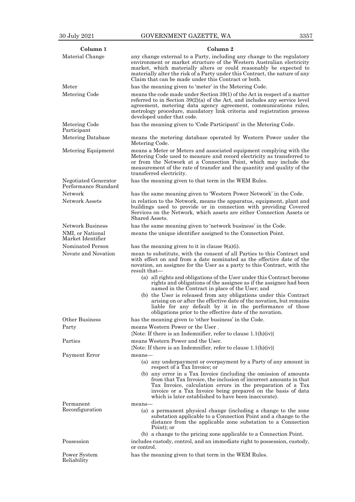| Column <sub>1</sub>                          | Column 2                                                                                                                                                                                                                                                                                                                                                    |
|----------------------------------------------|-------------------------------------------------------------------------------------------------------------------------------------------------------------------------------------------------------------------------------------------------------------------------------------------------------------------------------------------------------------|
| Material Change                              | any change external to a Party, including any change to the regulatory<br>environment or market structure of the Western Australian electricity<br>market, which materially alters or could reasonably be expected to<br>materially alter the risk of a Party under this Contract, the nature of any<br>Claim that can be made under this Contract or both. |
| ${\rm Meter}$                                | has the meaning given to 'meter' in the Metering Code.                                                                                                                                                                                                                                                                                                      |
| Metering Code                                | means the code made under Section 39(1) of the Act in respect of a matter<br>referred to in Section $39(2)(a)$ of the Act, and includes any service level<br>agreement, metering data agency agreement, communications rules,<br>metrology procedure, mandatory link criteria and registration process<br>developed under that code.                        |
| Metering Code<br>Participant                 | has the meaning given to 'Code Participant' in the Metering Code.                                                                                                                                                                                                                                                                                           |
| Metering Database                            | means the metering database operated by Western Power under the<br>Metering Code.                                                                                                                                                                                                                                                                           |
| Metering Equipment                           | means a Meter or Meters and associated equipment complying with the<br>Metering Code used to measure and record electricity as transferred to<br>or from the Network at a Connection Point, which may include the<br>measurement of the rate of transfer and the quantity and quality of the<br>transferred electricity.                                    |
| Negotiated Generator<br>Performance Standard | has the meaning given to that term in the WEM Rules.                                                                                                                                                                                                                                                                                                        |
| Network                                      | has the same meaning given to 'Western Power Network' in the Code.                                                                                                                                                                                                                                                                                          |
| <b>Network Assets</b>                        | in relation to the Network, means the apparatus, equipment, plant and<br>buildings used to provide or in connection with providing Covered<br>Services on the Network, which assets are either Connection Assets or<br>Shared Assets.                                                                                                                       |
| <b>Network Business</b>                      | has the same meaning given to 'network business' in the Code.                                                                                                                                                                                                                                                                                               |
| NMI, or National<br>Market Identifier        | means the unique identifier assigned to the Connection Point.                                                                                                                                                                                                                                                                                               |
| Nominated Person                             | has the meaning given to it in clause $9(a)(i)$ .                                                                                                                                                                                                                                                                                                           |
| Novate and Novation                          | mean to substitute, with the consent of all Parties to this Contract and<br>with effect on and from a date nominated as the effective date of the<br>novation, an assignee for the User as a party to this Contract, with the<br>result that—                                                                                                               |
|                                              | (a) all rights and obligations of the User under this Contract become<br>rights and obligations of the assignee as if the assignee had been<br>named in the Contract in place of the User; and                                                                                                                                                              |
|                                              | (b) the User is released from any obligations under this Contract<br>arising on or after the effective date of the novation, but remains<br>liable for any default by it in the performance of those<br>obligations prior to the effective date of the novation.                                                                                            |
| Other Business                               | has the meaning given to 'other business' in the Code.                                                                                                                                                                                                                                                                                                      |
| Party                                        | means Western Power or the User.<br>{Note: If there is an Indemnifier, refer to clause $1.1(h)(iv)$ }                                                                                                                                                                                                                                                       |
| Parties                                      | means Western Power and the User.                                                                                                                                                                                                                                                                                                                           |
|                                              | {Note: If there is an Indemnifier, refer to clause $1.1(h)(iv)$ }                                                                                                                                                                                                                                                                                           |
| Payment Error                                | means-                                                                                                                                                                                                                                                                                                                                                      |
|                                              | (a) any underpayment or overpayment by a Party of any amount in<br>respect of a Tax Invoice; or                                                                                                                                                                                                                                                             |
|                                              | (b) any error in a Tax Invoice (including the omission of amounts<br>from that Tax Invoice, the inclusion of incorrect amounts in that<br>Tax Invoice, calculation errors in the preparation of a Tax<br>invoice or a Tax Invoice being prepared on the basis of data<br>which is later established to have been inaccurate).                               |
| Permanent<br>Reconfiguration                 | means-<br>(a) a permanent physical change (including a change to the zone<br>substation applicable to a Connection Point and a change to the<br>distance from the applicable zone substation to a Connection<br>Point); or                                                                                                                                  |
| Possession                                   | (b) a change to the pricing zone applicable to a Connection Point.<br>includes custody, control, and an immediate right to possession, custody,                                                                                                                                                                                                             |
| Power System<br>Reliability                  | or control.<br>has the meaning given to that term in the WEM Rules.                                                                                                                                                                                                                                                                                         |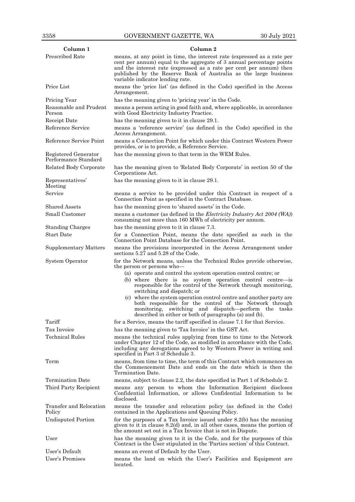| Column 1                                     | Column 2                                                                                                                                                                                                                                                                                                                       |
|----------------------------------------------|--------------------------------------------------------------------------------------------------------------------------------------------------------------------------------------------------------------------------------------------------------------------------------------------------------------------------------|
| <b>Prescribed Rate</b>                       | means, at any point in time, the interest rate (expressed as a rate per<br>cent per annum) equal to the aggregate of 3 annual percentage points<br>and the interest rate (expressed as a rate per cent per annum) then<br>published by the Reserve Bank of Australia as the large business<br>variable indicator lending rate. |
| Price List                                   | means the 'price list' (as defined in the Code) specified in the Access<br>Arrangement.                                                                                                                                                                                                                                        |
| Pricing Year                                 | has the meaning given to 'pricing year' in the Code.                                                                                                                                                                                                                                                                           |
| Reasonable and Prudent<br>Person             | means a person acting in good faith and, where applicable, in accordance<br>with Good Electricity Industry Practice.                                                                                                                                                                                                           |
| Receipt Date                                 | has the meaning given to it in clause 29.1.                                                                                                                                                                                                                                                                                    |
| Reference Service                            | means a 'reference service' (as defined in the Code) specified in the<br>Access Arrangement.                                                                                                                                                                                                                                   |
| Reference Service Point                      | means a Connection Point for which under this Contract Western Power<br>provides, or is to provide, a Reference Service.                                                                                                                                                                                                       |
| Registered Generator<br>Performance Standard | has the meaning given to that term in the WEM Rules.                                                                                                                                                                                                                                                                           |
| Related Body Corporate                       | has the meaning given to 'Related Body Corporate' in section 50 of the<br>Corporations Act.                                                                                                                                                                                                                                    |
| Representatives'<br>Meeting                  | has the meaning given to it in clause 29.1.                                                                                                                                                                                                                                                                                    |
| Service                                      | means a service to be provided under this Contract in respect of a<br>Connection Point as specified in the Contract Database.                                                                                                                                                                                                  |
| Shared Assets                                | has the meaning given to 'shared assets' in the Code.                                                                                                                                                                                                                                                                          |
| Small Customer                               | means a customer (as defined in the <i>Electricity Industry Act 2004 (WA)</i> )<br>consuming not more than 160 MWh of electricity per annum.                                                                                                                                                                                   |
| <b>Standing Charges</b>                      | has the meaning given to it in clause 7.3.                                                                                                                                                                                                                                                                                     |
| <b>Start Date</b>                            | for a Connection Point, means the date specified as such in the<br>Connection Point Database for the Connection Point.                                                                                                                                                                                                         |
| <b>Supplementary Matters</b>                 | means the provisions incorporated in the Access Arrangement under<br>sections 5.27 and 5.28 of the Code.                                                                                                                                                                                                                       |
| System Operator                              | for the Network means, unless the Technical Rules provide otherwise,<br>the person or persons who-<br>(a) operate and control the system operation control centre; or                                                                                                                                                          |
|                                              | (b) where there is no system operation control centre-is<br>responsible for the control of the Network through monitoring,<br>switching and dispatch; or                                                                                                                                                                       |
|                                              | (c) where the system operation control centre and another party are<br>both responsible for the control of the Network through<br>monitoring, switching and dispatch—perform the tasks<br>described in either or both of paragraphs (a) and (b).                                                                               |
| Tariff                                       | for a Service, means the tariff specified in clause 7.1 for that Service.                                                                                                                                                                                                                                                      |
| Tax Invoice                                  | has the meaning given to 'Tax Invoice' in the GST Act.                                                                                                                                                                                                                                                                         |
| <b>Technical Rules</b>                       | means the technical rules applying from time to time to the Network<br>under Chapter 12 of the Code, as modified in accordance with the Code,<br>including any derogations agreed to by Western Power in writing and<br>specified in Part 3 of Schedule 3.                                                                     |
| Term                                         | means, from time to time, the term of this Contract which commences on<br>the Commencement Date and ends on the date which is then the<br>Termination Date.                                                                                                                                                                    |
| Termination Date                             | means, subject to clause 2.2, the date specified in Part 1 of Schedule 2.                                                                                                                                                                                                                                                      |
| Third Party Recipient                        | means any person to whom the Information Recipient discloses<br>Confidential Information, or allows Confidential Information to be<br>disclosed.                                                                                                                                                                               |
| Transfer and Relocation<br>Policy            | means the transfer and relocation policy (as defined in the Code)<br>contained in the Applications and Queuing Policy.                                                                                                                                                                                                         |
| <b>Undisputed Portion</b>                    | for the purposes of a Tax Invoice issued under $8.2(b)$ has the meaning<br>given to it in clause $8.2(d)$ and, in all other cases, means the portion of<br>the amount set out in a Tax Invoice that is not in Dispute.                                                                                                         |
| User                                         | has the meaning given to it in the Code, and for the purposes of this<br>Contract is the User stipulated in the 'Parties section' of this Contract.                                                                                                                                                                            |
| User's Default                               | means an event of Default by the User.                                                                                                                                                                                                                                                                                         |
| User's Premises                              | means the land on which the User's Facilities and Equipment are<br>located.                                                                                                                                                                                                                                                    |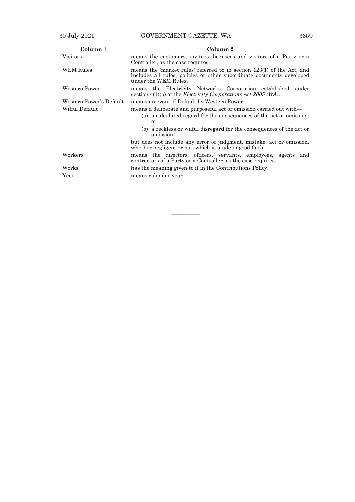| Column 1                | Column 2                                                                                                                                                                |  |  |  |
|-------------------------|-------------------------------------------------------------------------------------------------------------------------------------------------------------------------|--|--|--|
| <b>Visitors</b>         | means the customers, invitees, licensees and visitors of a Party or a<br>Controller, as the case requires.                                                              |  |  |  |
| WEM Rules               | means the 'market rules' referred to in section 123(1) of the Act, and<br>includes all rules, policies or other subordinate documents developed<br>under the WEM Rules. |  |  |  |
| Western Power           | means the Electricity Networks Corporation established under<br>section $4(1)(b)$ of the <i>Electricity Corporations Act 2005 (WA)</i> .                                |  |  |  |
| Western Power's Default | means an event of Default by Western Power.                                                                                                                             |  |  |  |
| Wilful Default          | means a deliberate and purposeful act or omission carried out with—<br>(a) a calculated regard for the consequences of the act or omission;<br>or                       |  |  |  |
|                         | (b) a reckless or wilful disregard for the consequences of the act or<br>omission,                                                                                      |  |  |  |
|                         | but does not include any error of judgment, mistake, act or omission,<br>whether negligent or not, which is made in good faith.                                         |  |  |  |
| Workers                 | means the directors, officers, servants, employees, agents and<br>contractors of a Party or a Controller, as the case requires.                                         |  |  |  |
| Works                   | has the meaning given to it in the Contributions Policy.                                                                                                                |  |  |  |
| Year                    | means calendar year.                                                                                                                                                    |  |  |  |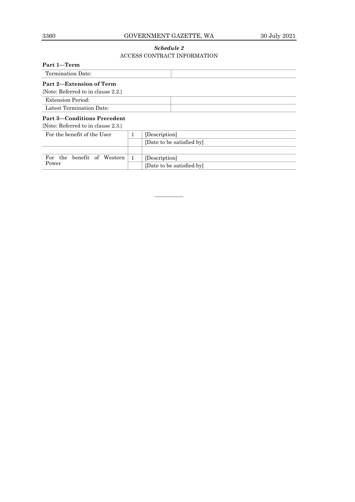# 3360 GOVERNMENT GAZETTE, WA 30 July 2021

# *Schedule 2* ACCESS CONTRACT INFORMATION

| Part 1-Term                          |  |                           |
|--------------------------------------|--|---------------------------|
| Termination Date:                    |  |                           |
| Part 2—Extension of Term             |  |                           |
| {Note: Referred to in clause $2.2$ } |  |                           |
| <b>Extension Period:</b>             |  |                           |
| Latest Termination Date:             |  |                           |
| <b>Part 3–Conditions Precedent</b>   |  |                           |
| {Note: Referred to in clause $2.3$ } |  |                           |
| For the benefit of the User          |  | [Description]             |
|                                      |  | [Date to be satisfied by] |
|                                      |  |                           |
| For the<br>benefit of<br>Western     |  | [Description]             |
| Power                                |  | [Date to be satisfied by] |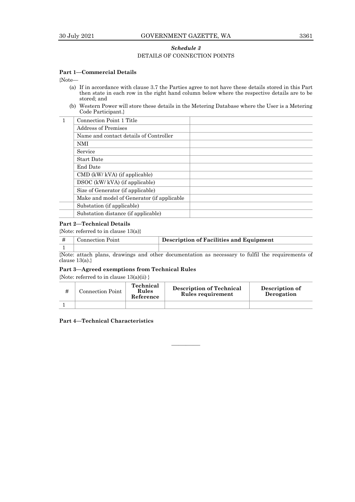# *Schedule 3* DETAILS OF CONNECTION POINTS

# **Part 1—Commercial Details**

{Note—

- (a) If in accordance with clause 3.7 the Parties agree to not have these details stored in this Part then state in each row in the right hand column below where the respective details are to be stored; and
- (b) Western Power will store these details in the Metering Database where the User is a Metering Code Participant.}

| Connection Point 1 Title                   |  |
|--------------------------------------------|--|
| <b>Address of Premises</b>                 |  |
| Name and contact details of Controller     |  |
| <b>NMI</b>                                 |  |
| Service                                    |  |
| <b>Start Date</b>                          |  |
| End Date                                   |  |
| $\text{CMD }$ (kW/ kVA) (if applicable)    |  |
| DSOC (kW/ kVA) (if applicable)             |  |
| Size of Generator (if applicable)          |  |
| Make and model of Generator (if applicable |  |
| Substation (if applicable)                 |  |
| Substation distance (if applicable)        |  |

# **Part 2—Technical Details**

{Note: referred to in clause 13(a)}

| <b>Connection Point</b>                                                                          | Description of Facilities and Equipment |  |  |
|--------------------------------------------------------------------------------------------------|-----------------------------------------|--|--|
|                                                                                                  |                                         |  |  |
| {Note: attach plans, drawings and other documentation as necessary to fulfil the requirements of |                                         |  |  |

clause  $13(a)$ .}

# **Part 3—Agreed exemptions from Technical Rules**

{Note: referred to in clause 13(a)(ii) }

| Connection Point | Technical<br>Rules<br>Reference | <b>Description of Technical</b><br>Rules requirement | Description of<br>Derogation |
|------------------|---------------------------------|------------------------------------------------------|------------------------------|
|                  |                                 |                                                      |                              |

————

**Part 4—Technical Characteristics**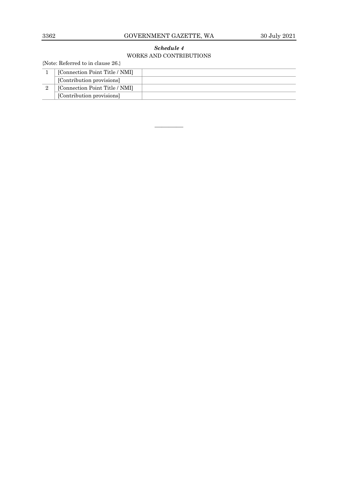# 3362 GOVERNMENT GAZETTE, WA 30 July 2021

# *Schedule 4* WORKS AND CONTRIBUTIONS

{Note: Referred to in clause 26.}

| [Connection Point Title / NMI] |  |
|--------------------------------|--|
| [Contribution provisions]      |  |
| [Connection Point Title / NMI] |  |
| [Contribution provisions]      |  |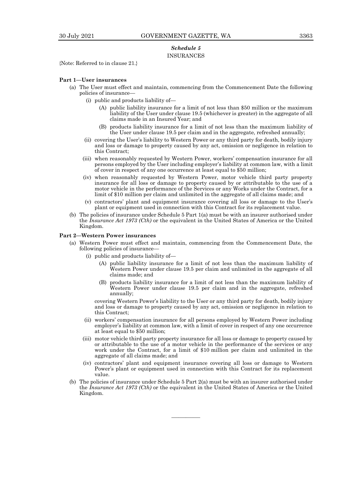# *Schedule 5* INSURANCES

{Note: Referred to in clause 21.}

## **Part 1—User insurances**

- (a) The User must effect and maintain, commencing from the Commencement Date the following policies of insurance—
	- (i) public and products liability of—
		- (A) public liability insurance for a limit of not less than \$50 million or the maximum liability of the User under clause 19.5 (whichever is greater) in the aggregate of all claims made in an Insured Year; and
		- (B) products liability insurance for a limit of not less than the maximum liability of the User under clause 19.5 per claim and in the aggregate, refreshed annually;
	- (ii) covering the User's liability to Western Power or any third party for death, bodily injury and loss or damage to property caused by any act, omission or negligence in relation to this Contract;
	- (iii) when reasonably requested by Western Power, workers' compensation insurance for all persons employed by the User including employer's liability at common law, with a limit of cover in respect of any one occurrence at least equal to \$50 million;
	- (iv) when reasonably requested by Western Power, motor vehicle third party property insurance for all loss or damage to property caused by or attributable to the use of a motor vehicle in the performance of the Services or any Works under the Contract, for a limit of \$10 million per claim and unlimited in the aggregate of all claims made; and
	- (v) contractors' plant and equipment insurance covering all loss or damage to the User's plant or equipment used in connection with this Contract for its replacement value.
- (b) The policies of insurance under Schedule 5 Part 1(a) must be with an insurer authorised under the *Insurance Act 1973 (Cth)* or the equivalent in the United States of America or the United Kingdom.

## **Part 2—Western Power insurances**

- (a) Western Power must effect and maintain, commencing from the Commencement Date, the following policies of insurance—
	- (i) public and products liability of—
		- (A) public liability insurance for a limit of not less than the maximum liability of Western Power under clause 19.5 per claim and unlimited in the aggregate of all claims made; and
		- (B) products liability insurance for a limit of not less than the maximum liability of Western Power under clause 19.5 per claim and in the aggregate, refreshed annually;

covering Western Power's liability to the User or any third party for death, bodily injury and loss or damage to property caused by any act, omission or negligence in relation to this Contract;

- (ii) workers' compensation insurance for all persons employed by Western Power including employer's liability at common law, with a limit of cover in respect of any one occurrence at least equal to \$50 million;
- (iii) motor vehicle third party property insurance for all loss or damage to property caused by or attributable to the use of a motor vehicle in the performance of the services or any work under the Contract, for a limit of \$10 million per claim and unlimited in the aggregate of all claims made; and
- (iv) contractors' plant and equipment insurance covering all loss or damage to Western Power's plant or equipment used in connection with this Contract for its replacement value.
- (b) The policies of insurance under Schedule 5 Part 2(a) must be with an insurer authorised under the *Insurance Act 1973 (Cth)* or the equivalent in the United States of America or the United Kingdom.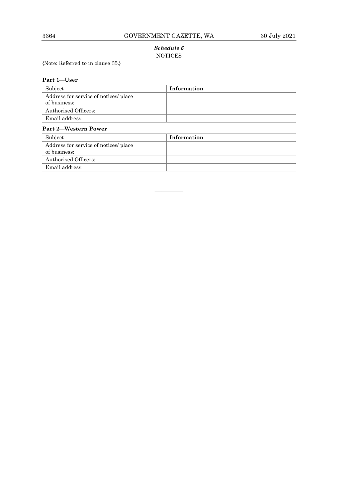# *Schedule 6* NOTICES

{Note: Referred to in clause 35.}

| Part 1-User                                           |             |  |
|-------------------------------------------------------|-------------|--|
| Subject                                               | Information |  |
| Address for service of notices/ place<br>of business: |             |  |
| Authorised Officers:                                  |             |  |
| Email address:                                        |             |  |
| Part 2-Western Power                                  |             |  |
| Subject                                               | Information |  |
| Address for service of notices/ place<br>of business: |             |  |
| Authorised Officers:                                  |             |  |
| Email address:                                        |             |  |
|                                                       |             |  |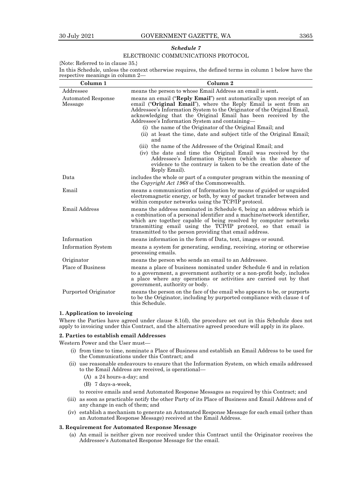# *Schedule 7*

# ELECTRONIC COMMUNICATIONS PROTOCOL

{Note: Referred to in clause 35.}

In this Schedule, unless the context otherwise requires, the defined terms in column 1 below have the respective meanings in column 2—

| Column <sub>1</sub>                  | Column <sub>2</sub>                                                                                                                                                                                                                                                                                                                                                                                                                                                                   |
|--------------------------------------|---------------------------------------------------------------------------------------------------------------------------------------------------------------------------------------------------------------------------------------------------------------------------------------------------------------------------------------------------------------------------------------------------------------------------------------------------------------------------------------|
| Addressee                            | means the person to whose Email Address an email is sent.                                                                                                                                                                                                                                                                                                                                                                                                                             |
| <b>Automated Response</b><br>Message | means an email (" <b>Reply Email</b> ") sent automatically upon receipt of an<br>email ("Original Email"), where the Reply Email is sent from an<br>Addressee's Information System to the Originator of the Original Email,<br>acknowledging that the Original Email has been received by the<br>Addressee's Information System and containing—<br>(i) the name of the Originator of the Original Email; and<br>(ii) at least the time, date and subject title of the Original Email; |
|                                      | and<br>(iii) the name of the Addressee of the Original Email; and<br>(iv) the date and time the Original Email was received by the<br>Addressee's Information System (which in the absence of<br>evidence to the contrary is taken to be the creation date of the<br>Reply Email).                                                                                                                                                                                                    |
| Data                                 | includes the whole or part of a computer program within the meaning of<br>the Copyright Act 1968 of the Commonwealth.                                                                                                                                                                                                                                                                                                                                                                 |
| Email                                | means a communication of Information by means of guided or unguided<br>electromagnetic energy, or both, by way of packet transfer between and<br>within computer networks using the TCP/IP protocol.                                                                                                                                                                                                                                                                                  |
| <b>Email Address</b>                 | means the address nominated in Schedule 6, being an address which is<br>a combination of a personal identifier and a machine/network identifier,<br>which are together capable of being resolved by computer networks<br>transmitting email using the TCP/IP protocol, so that email is<br>transmitted to the person providing that email address.                                                                                                                                    |
| Information                          | means information in the form of Data, text, images or sound.                                                                                                                                                                                                                                                                                                                                                                                                                         |
| <b>Information System</b>            | means a system for generating, sending, receiving, storing or otherwise<br>processing emails.                                                                                                                                                                                                                                                                                                                                                                                         |
| Originator                           | means the person who sends an email to an Addressee.                                                                                                                                                                                                                                                                                                                                                                                                                                  |
| Place of Business                    | means a place of business nominated under Schedule 6 and in relation<br>to a government, a government authority or a non-profit body, includes<br>a place where any operations or activities are carried out by that<br>government, authority or body.                                                                                                                                                                                                                                |
| Purported Originator                 | means the person on the face of the email who appears to be, or purports<br>to be the Originator, including by purported compliance with clause 4 of<br>this Schedule.                                                                                                                                                                                                                                                                                                                |

# **1. Application to invoicing**

Where the Parties have agreed under clause 8.1(d), the procedure set out in this Schedule does not apply to invoicing under this Contract, and the alternative agreed procedure will apply in its place.

## **2. Parties to establish email Addresses**

Western Power and the User must—

- (i) from time to time, nominate a Place of Business and establish an Email Address to be used for the Communications under this Contract; and
- (ii) use reasonable endeavours to ensure that the Information System, on which emails addressed to the Email Address are received, is operational—
	- (A) a 24 hours-a-day; and
	- (B) 7 days-a-week,

to receive emails and send Automated Response Messages as required by this Contract; and

- (iii) as soon as practicable notify the other Party of its Place of Business and Email Address and of any change in each of them; and
- (iv) establish a mechanism to generate an Automated Response Message for each email (other than an Automated Response Message) received at the Email Address.

## **3. Requirement for Automated Response Message**

(a) An email is neither given nor received under this Contract until the Originator receives the Addressee's Automated Response Message for the email.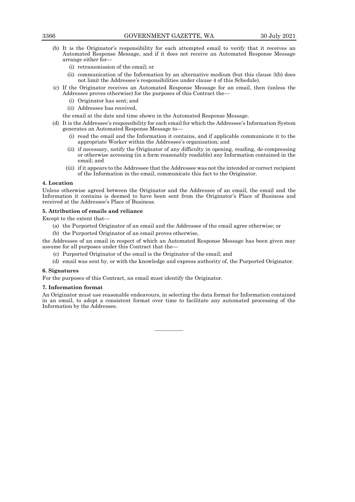- (b) It is the Originator's responsibility for each attempted email to verify that it receives an Automated Response Message, and if it does not receive an Automated Response Message arrange either for—
	- (i) retransmission of the email; or
	- (ii) communication of the Information by an alternative medium (but this clause 3(b) does not limit the Addressee's responsibilities under clause 4 of this Schedule).
- (c) If the Originator receives an Automated Response Message for an email, then (unless the Addressee proves otherwise) for the purposes of this Contract the—
	- (i) Originator has sent; and
	- (ii) Addressee has received,

the email at the date and time shown in the Automated Response Message.

- (d) It is the Addressee's responsibility for each email for which the Addressee's Information System generates an Automated Response Message to—
	- (i) read the email and the Information it contains, and if applicable communicate it to the appropriate Worker within the Addressee's organisation; and
	- (ii) if necessary, notify the Originator of any difficulty in opening, reading, de-compressing or otherwise accessing (in a form reasonably readable) any Information contained in the email; and
	- (iii) if it appears to the Addressee that the Addressee was not the intended or correct recipient of the Information in the email, communicate this fact to the Originator.

# **4. Location**

Unless otherwise agreed between the Originator and the Addressee of an email, the email and the Information it contains is deemed to have been sent from the Originator's Place of Business and received at the Addressee's Place of Business.

# **5. Attribution of emails and reliance**

Except to the extent that—

- (a) the Purported Originator of an email and the Addressee of the email agree otherwise; or
- (b) the Purported Originator of an email proves otherwise,

the Addressee of an email in respect of which an Automated Response Message has been given may assume for all purposes under this Contract that the—

- (c) Purported Originator of the email is the Originator of the email; and
- (d) email was sent by, or with the knowledge and express authority of, the Purported Originator.

## **6. Signatures**

For the purposes of this Contract, an email must identify the Originator.

## **7. Information format**

An Originator must use reasonable endeavours, in selecting the data format for Information contained in an email, to adopt a consistent format over time to facilitate any automated processing of the Information by the Addressee.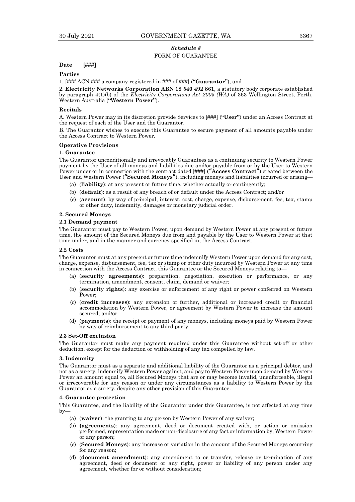# *Schedule 8* FORM OF GUARANTEE

## **Date [###]**

## **Parties**

1. [### ACN ### a company registered in ### of ###] (**"Guarantor"**); and

2. **Electricity Networks Corporation ABN 18 540 492 861**, a statutory body corporate established by paragraph 4(1)(b) of the *Electricity Corporations Act 2005 (WA)* of 363 Wellington Street, Perth, Western Australia (**"Western Power"**).

## **Recitals**

A. Western Power may in its discretion provide Services to [###] (**"User"**) under an Access Contract at the request of each of the User and the Guarantor.

B. The Guarantor wishes to execute this Guarantee to secure payment of all amounts payable under the Access Contract to Western Power.

## **Operative Provisions**

# **1. Guarantee**

The Guarantor unconditionally and irrevocably Guarantees as a continuing security to Western Power payment by the User of all moneys and liabilities due and/or payable from or by the User to Western Power under or in connection with the contract dated [###] (**"Access Contract"**) created between the User and Western Power (**"Secured Moneys"**), including moneys and liabilities incurred or arising—

- (a) (**liability**): at any present or future time, whether actually or contingently;
- (b) (**default**): as a result of any breach of or default under the Access Contract; and/or
- (c) (**account**): by way of principal, interest, cost, charge, expense, disbursement, fee, tax, stamp or other duty, indemnity, damages or monetary judicial order.

## **2. Secured Moneys**

## **2.1 Demand payment**

The Guarantor must pay to Western Power, upon demand by Western Power at any present or future time, the amount of the Secured Moneys due from and payable by the User to Western Power at that time under, and in the manner and currency specified in, the Access Contract*.*

## **2.2 Costs**

The Guarantor must at any present or future time indemnify Western Power upon demand for any cost, charge, expense, disbursement, fee, tax or stamp or other duty incurred by Western Power at any time in connection with the Access Contract, this Guarantee or the Secured Moneys relating to—

- (a) (**security agreements**): preparation, negotiation, execution or performance, or any termination, amendment, consent, claim, demand or waiver;
- (b) (**security rights**): any exercise or enforcement of any right or power conferred on Western Power;
- (c) (**credit increases**): any extension of further, additional or increased credit or financial accommodation by Western Power, or agreement by Western Power to increase the amount secured; and/or
- (d) (**payments**): the receipt or payment of any moneys, including moneys paid by Western Power by way of reimbursement to any third party.

# **2.3 Set-Off exclusion**

The Guarantor must make any payment required under this Guarantee without set-off or other deduction, except for the deduction or withholding of any tax compelled by law.

#### **3. Indemnity**

The Guarantor must as a separate and additional liability of the Guarantor as a principal debtor, and not as a surety, indemnify Western Power against, and pay to Western Power upon demand by Western Power an amount equal to, all Secured Moneys that are or may become invalid, unenforceable, illegal or irrecoverable for any reason or under any circumstances as a liability to Western Power by the Guarantor as a surety, despite any other provision of this Guarantee.

## **4. Guarantee protection**

This Guarantee, and the liability of the Guarantor under this Guarantee, is not affected at any time by—

- (a) (**waiver**): the granting to any person by Western Power of any waiver;
- (b) **(agreements**): any agreement, deed or document created with, or action or omission performed, representation made or non-disclosure of any fact or information by, Western Power or any person;
- (c) (**Secured Moneys**): any increase or variation in the amount of the Secured Moneys occurring for any reason;
- (d) (**document amendment**): any amendment to or transfer, release or termination of any agreement, deed or document or any right, power or liability of any person under any agreement, whether for or without consideration;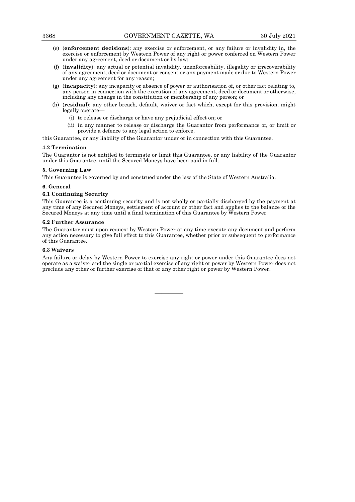- (e) (**enforcement decisions**): any exercise or enforcement, or any failure or invalidity in, the exercise or enforcement by Western Power of any right or power conferred on Western Power under any agreement, deed or document or by law;
- (f) (**invalidity**): any actual or potential invalidity, unenforceability, illegality or irrecoverability of any agreement, deed or document or consent or any payment made or due to Western Power under any agreement for any reason;
- (g) (**incapacity**): any incapacity or absence of power or authorisation of, or other fact relating to, any person in connection with the execution of any agreement, deed or document or otherwise, including any change in the constitution or membership of any person; or
- (h) (**residual**): any other breach, default, waiver or fact which, except for this provision, might legally operate—
	- (i) to release or discharge or have any prejudicial effect on; or
	- (ii) in any manner to release or discharge the Guarantor from performance of, or limit or provide a defence to any legal action to enforce,

this Guarantee*,* or any liability of the Guarantor under or in connection with this Guarantee.

# **4.2 Termination**

The Guarantor is not entitled to terminate or limit this Guarantee, or any liability of the Guarantor under this Guarantee, until the Secured Moneys have been paid in full.

# **5. Governing Law**

This Guarantee is governed by and construed under the law of the State of Western Australia.

# **6. General**

# **6.1 Continuing Security**

This Guarantee is a continuing security and is not wholly or partially discharged by the payment at any time of any Secured Moneys, settlement of account or other fact and applies to the balance of the Secured Moneys at any time until a final termination of this Guarantee by Western Power.

# **6.2 Further Assurance**

The Guarantor must upon request by Western Power at any time execute any document and perform any action necessary to give full effect to this Guarantee, whether prior or subsequent to performance of this Guarantee.

# **6.3 Waivers**

Any failure or delay by Western Power to exercise any right or power under this Guarantee does not operate as a waiver and the single or partial exercise of any right or power by Western Power does not preclude any other or further exercise of that or any other right or power by Western Power.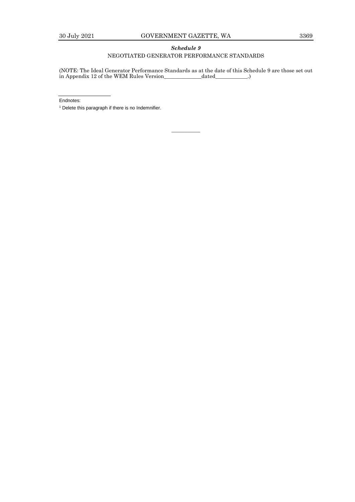# *Schedule 9* NEGOTIATED GENERATOR PERFORMANCE STANDARDS

(NOTE: The Ideal Generator Performance Standards as at the date of this Schedule 9 are those set out in Appendix 12 of the WEM Rules Version\_\_\_\_\_\_\_\_\_\_\_\_\_\_dated\_\_\_\_\_\_\_\_\_\_\_\_.)

————

Endnotes:

<sup>1</sup> Delete this paragraph if there is no Indemnifier.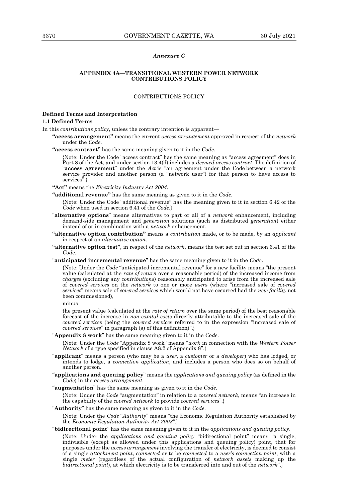## *Annexure C*

## **APPENDIX 4A—TRANSITIONAL WESTERN POWER NETWORK CONTRIBUTIONS POLICY**

# CONTRIBUTIONS POLICY

# **Defined Terms and Interpretation 1.1 Defined Terms**

In this *contributions policy*, unless the contrary intention is apparent—

**"access arrangement"** means the current *access arrangement* approved in respect of the *network* under the *Code*.

**"access contract"** has the same meaning given to it in the *Code*.

{Note: Under the Code "access contract" has the same meaning as "access agreement" does in Part 8 of the Act, and under section 13.4(d) includes a *deemed access contract*. The definition of "**access agreement**" under the *Act* is "an agreement under the Code between a network service provider and another person (a "network user") for that person to have access to services".}

**"Act"** means the *Electricity Industry Act 2004*.

**"additional revenue"** has the same meaning as given to it in the *Code*.

{Note: Under the Code "additional revenue" has the meaning given to it in section 6.42 of the *Code* when used in section 6.41 of the *Code*.}

- "**alternative options**" means alternatives to part or all of a *network* enhancement, including demand-side management and *generation* solutions (such as distributed *generation*) either instead of or in combination with a *network* enhancement.
- **"alternative option contribution"** means a *contribution* made, or to be made, by an *applicant* in respect of an *alternative option*.
- **"alternative option test"**, in respect of the *network*, means the test set out in section 6.41 of the *Code*.
- "**anticipated incremental revenue**" has the same meaning given to it in the *Code*.

{Note: Under the *Code* "anticipated incremental revenue" for a new facility means "the present value (calculated at the *rate of return* over a reasonable period) of the increased income from *charges* (excluding any *contributions*) reasonably anticipated to arise from the increased sale of *covered services* on the *network* to one or more *user*s (where "increased sale of *covered services*" means sale of *covered services* which would not have occurred had the *new facility* not been commissioned),

minus

the present value (calculated at the *rate of return* over the same period) of the best reasonable forecast of the increase in *non-capital costs* directly attributable to the increased sale of the *covered service*s (being the *covered service*s referred to in the expression "increased sale of *covered services*" in paragraph (a) of this definition)".}

"**Appendix 8 work**" has the same meaning given to it in the *Code*.

{Note: Under the *Code* "Appendix 8 work" means "*work* in connection with the *Western Power Network* of a type specified in clause A8.2 of Appendix 8".}

- "**applicant**" means a person (who may be a *user*, a *customer* or a *developer*) who has lodged, or intends to lodge, a *connection application*, and includes a person who does so on behalf of another person.
- "**applications and queuing policy**" means the *applications and queuing policy* (as defined in the *Code*) in the *access arrangement*.
- "**augmentation**" has the same meaning as given to it in the *Code*.

{Note: Under the *Code* "augmentation" in relation to a *covered network*, means "an increase in the capability of the *covered network* to provide *covered services*".}

- "**Authority**" has the same meaning as given to it in the *Code*. {Note: Under the *Code* "*Authority*" means "the Economic Regulation Authority established by the *Economic Regulation Authority Act 2003"*.}
- "**bidirectional point**" has the same meaning given to it in the *applications and queuing policy*.

{Note: Under the *applications and queuing policy* "bidirectional point" means "a single, indivisible (except as allowed under this applications and queuing policy) point, that for purposes under the *access arrangement* involving the transfer of electricity, is deemed to consist of a single *attachment point*, *connected* or to be *connected* to a *user's connection point*, with a single *meter* (regardless of the actual configuration of *network assets* making up the *bidirectional point*), at which electricity is to be transferred into and out of the *network*".}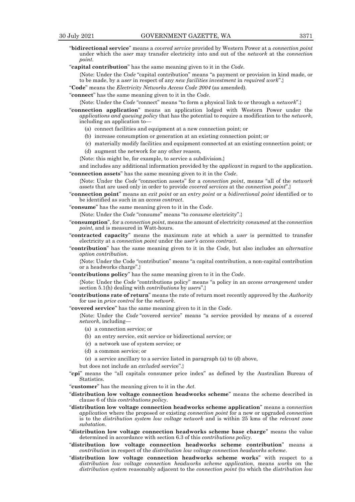- "**bidirectional service**" means a *covered service* provided by Western Power at a *connection point* under which the *user* may transfer electricity into and out of the *network* at the *connection point*.
- "**capital contribution**" has the same meaning given to it in the *Code*.

{Note: Under the *Code* "capital contribution" means "a payment or provision in kind made, or to be made, by a *user* in respect of any *new facilities investment* in *required work*".}

"**Code**" means the *Electricity Networks Access Code 2004* (as amended).

"**connect**" has the same meaning given to it in the *Code*.

{Note: Under the *Code* "connect" means "to form a physical link to or through a *network*".}

- "**connection application**" means an application lodged with Western Power under the *applications and queuing policy* that has the potential to require a modification to the *network*, including an application to—
	- (a) connect facilities and equipment at a new connection point; or
	- (b) increase consumption or generation at an existing connection point; or
	- (c) materially modify facilities and equipment connected at an existing connection point; or (d) augment the network for any other reason,
	- {Note: this might be, for example, to service a subdivision.}
- and includes any additional information provided by the *applicant* in regard to the application. "**connection assets**" has the same meaning given to it in the *Code*.

{Note: Under the *Code* "connection assets" for a *connection point*, means "all of the *network assets* that are used only in order to provide *covered services* at the *connection point*".}

- "**connection point**" means an *exit point* or an *entry point* or a *bidirectional point* identified or to be identified as such in an *access contract*.
- "**consume**" has the same meaning given to it in the *Code*.

{Note: Under the *Code* "consume" means "to *consume* electricity".}

- "**consumption**", for a *connection point*, means the amount of electricity *consumed* at the *connection point*, and is measured in Watt-hours.
- "**contracted capacity**" means the maximum rate at which a *user* is permitted to transfer electricity at a *connection point* under the *user's access contract*.
- "**contribution**" has the same meaning given to it in the *Code*, but also includes an *alternative option contribution*.

{Note: Under the Code "contribution" means "a capital contribution, a non-capital contribution or a headworks charge".}

"**contributions policy**" has the same meaning given to it in the *Code*.

{Note: Under the *Code* "contributions policy" means "a policy in an *access arrangement* under section 5.1(h) dealing with *contributions* by *user*s".}

- "**contributions rate of return**" means the rate of return most recently approved by the *Authority*  for use in *price control* for the *network*.
- "**covered service**" has the same meaning given to it in the *Code*.

{Note: Under the *Code* "covered service" means "a service provided by means of a *covered network*, including—

- (a) a connection service; or
- (b) an entry service, exit service or bidirectional service; or
- (c) a network use of system service; or
- (d) a common service; or
- (e) a service ancillary to a service listed in paragraph (a) to (d) above,
- but does not include an *excluded* service".}
- "**cpi**" means the "all capitals consumer price index" as defined by the Australian Bureau of Statistics.

"**customer**" has the meaning given to it in the *Act*.

- "**distribution low voltage connection headworks scheme**" means the scheme described in clause 6 of this *contributions policy*.
- "**distribution low voltage connection headworks scheme application**" means a c*onnection application* where the proposed or existing *connection point* for a new or upgraded *connection* is to the *distribution system low voltage network* and is within 25 kms of the *relevant zone substation*.
- "**distribution low voltage connection headworks scheme base charge**" means the value determined in accordance with section 6.3 of this *contributions policy*.
- "**distribution low voltage connection headworks scheme contribution**" means a *contribution* in respect of the *distribution low voltage connection headworks scheme*.
- "**distribution low voltage connection headworks scheme works**" with respect to a *distribution low voltage connection headworks scheme application*, means *works* on the *distribution system* reasonably adjacent to the *connection point* (to which the *distribution low*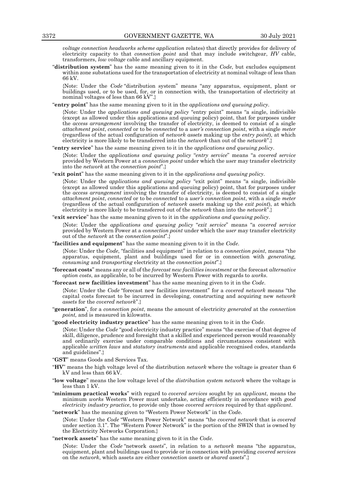*voltage connection headworks scheme application* relates) that directly provides for delivery of electricity capacity to that *connection point* and that may include switchgear, *HV* cable, transformers, *low voltage* cable and ancillary equipment.

"**distribution system**" has the same meaning given to it in the *Code*, but excludes equipment within zone substations used for the transportation of electricity at nominal voltage of less than 66 kV.

{Note: Under the *Code* "distribution system" means "any apparatus, equipment, plant or buildings used, or to be used, for, or in connection with, the transportation of electricity at nominal voltages of less than 66 kV".}

"**entry point**" has the same meaning given to it in the *applications and queuing policy*.

{Note: Under the *applications and queuing policy* "entry point" means "a single, indivisible (except as allowed under this applications and queuing policy) point, that for purposes under the *access arrangement* involving the transfer of electricity, is deemed to consist of a single *attachment point*, *connected* or to be *connected* to a *user's connection point*, with a single *meter*  (regardless of the actual configuration of *network assets* making up the *entry point*), at which electricity is more likely to be transferred into the *network* than out of the *network*".}

"**entry service**" has the same meaning given to it in the *applications and queuing policy*.

{Note: Under the *applications and queuing policy* "*entry service*" means "a *covered service* provided by Western Power at a *connection point* under which the *use*r may transfer electricity into the *network* at the *connection point*".}

"**exit point**" has the same meaning given to it in the *applications and queuing policy*.

{Note: Under the *applications and queuing policy* "exit point" means "a single, indivisible (except as allowed under this applications and queuing policy) point, that for purposes under the *access arrangement* involving the transfer of electricity, is deemed to consist of a single *attachment point*, *connected* or to be *connected* to a *user's connection point*, with a single *meter*  (regardless of the actual configuration of *network assets* making up the *exit point*), at which electricity is more likely to be transferred out of the *network* than into the *network*".}

## "**exit service**" has the same meaning given to it in the *applications and queuing policy*.

{Note: Under the *applications and queuing policy* "*exit service*" means "a *covered service* provided by Western Power at a *connection point* under which the *user* may transfer electricity out of the *network* at the *connection point*".}

"**facilities and equipment**" has the same meaning given to it in the *Code*.

{Note: Under the *Code*, "facilities and equipment" in relation to a *connection point*, means "the apparatus, equipment, plant and buildings used for or in connection with *generating, consuming* and *transporting* electricity at the *connection point*".}

- "**forecast costs**" means any or all of the *forecast new facilities investment* or the forecast *alternative option costs*, as applicable, to be incurred by Western Power with regards to *works*.
- "**forecast new facilities investment**" has the same meaning given to it in the *Code*.

{Note: Under the *Code* "forecast new facilities investment" for a *covered network* means "the capital costs forecast to be incurred in developing, constructing and acquiring new *network assets* for the *covered network*".}

- "**generation**", for a *connection point*, means the amount of electricity *generated* at the *connection point,* and is measured in kilowatts.
- "**good electricity industry practice**" has the same meaning given to it in the *Code*.

{Note: Under the *Code* "good electricity industry practice" means "the exercise of that degree of skill, diligence, prudence and foresight that a skilled and experienced person would reasonably and ordinarily exercise under comparable conditions and circumstances consistent with applicable *written laws* and *statutory instruments* and applicable recognised codes, standards and guidelines".}

- "**GST**" means Goods and Services Tax.
- "**HV**" means the high voltage level of the distribution *network* where the voltage is greater than 6 kV and less than 66 kV.
- "**low voltage**" means the low voltage level of the *distribution system network* where the voltage is less than 1 kV.
- "**minimum practical works**" with regard to *covered services* sought by an *applicant*, means the minimum *works* Western Power must undertake, acting efficiently in accordance with *good electricity industry practice*, to provide only those *covered services* required by that *applicant*.

"**network**" has the meaning given to "Western Power Network" in the *Cod*e.

{Note: Under the *Code* "Western Power Network" means "the *covered network* that is *covered* under section 3.1". The "Western Power Network" is the portion of the SWIN that is owned by the Electricity Networks Corporation.}

"**network assets**" has the same meaning given to it in the *Code*.

{Note: Under the *Code* "network *assets*", in relation to a *network* means "the apparatus, equipment, plant and buildings used to provide or in connection with providing *covered services*  on the *network*, which assets are either *connection assets* or *shared assets*".}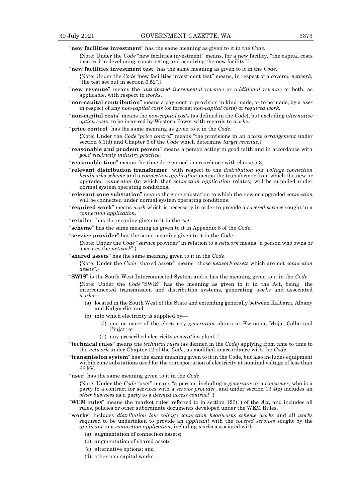"**new facilities investment**" has the same meaning as given to it in the *Code*.

- {Note: Under the *Code* "new facilities investment" means, for a new facility, "the capital costs incurred in developing, constructing and acquiring the new facility".}
- "**new facilities investment test**" has the same meaning as given to it in the *Code*.
	- {Note: Under the *Code* "new facilities investment test" means, in respect of a covered *network*, "the test set out in section 6.52".}
- "**new revenue**" means the *anticipated incremental revenue* or *additional revenue* or both, as applicable, with respect to *works*.
- "**non-capital contribution**" means a payment or provision in kind made, or to be made, by a *user* in respect of any *non-capital costs* (or forecast *non-capital cost*s) of *required work.*
- "**non-capital costs**" means the *non-capital costs* (as defined in the *Code*), but excluding *alternative option cost*s, to be incurred by Western Power with regards to *works*.
- "**price control**" has the same meaning as given to it in the *Code*.
	- {Note: Under the *Code* "*price control*" means "the provisions in an *access arrangement* under section 5.1(d) and Chapter 6 of the *Code* which determine *target revenue*.}
- "**reasonable and prudent person**" means a person acting in good faith and in accordance with *good electricity industry practice*.
- "**reasonable time**" means the time determined in accordance with clause 5.3.
- "**relevant distribution transformer**" with respect to the *distribution low voltage connection headworks scheme* and a *connection application* means the transformer from which the new or upgraded *connection* (to which that *connection application* relates) will be supplied under normal system operating conditions.
- "**relevant zone substation**" means the zone substation to which the new or upgraded *connection*  will be connected under normal system operating conditions.
- "**required work**" means *work* which is necessary in order to provide a *covered service* sought in a *connection application*.
- "**retailer**" has the meaning given to it in the *Act*.
- "**scheme**" has the same meaning as given to it in Appendix 8 of the *Code*.
- "**service provider**" has the same meaning given to it in the *Code*.

{Note: Under the *Code* "service provider" in relation to a *network* means "a person who owns or operates the *network*".}

"**shared assets**" has the same meaning given to it in the *Code*.

{Note: Under the *Code* "shared assets" means "those *network assets* which are not *connection assets*".}

"**SWIS**" is the South West Interconnected System and it has the meaning given to it in the *Code*.

{Note: Under the *Code* "SWIS" has the meaning as given to it in the Act, being "the interconnected transmission and distribution systems, generating *works* and associated *works*—

- (a) located in the South West of the State and extending generally between Kalbarri, Albany and Kalgoorlie; and
- (b) into which electricity is supplied by—
	- (i) one or more of the electricity *generation* plants at Kwinana, Muja, Collie and Pinjar; or
	- (ii) any prescribed electricity *generation* plant".}
- "**technical rules**" means the *technical rules* (as defined in the *Code*) applying from time to time to the *network* under Chapter 12 of the *Code*, as modified in accordance with the *Code*.
- "**transmission system**" has the same meaning given to it in the Code, but also includes equipment within zone substations used for the transportation of electricity at nominal voltage of less than 66 kV.
- "**user**" has the same meaning given to it in the *Code*.

{Note: Under the *Code* "user" means "a person, including a *generator* or a *consumer*, who is a party to a contract for services with a *service provider*, and under section 13.4(e) includes an *other business* as a party to a *deemed access contract*".}

- "**WEM rules**" means the 'market rules' referred to in section 123(1) of the *Act*, and includes all rules, policies or other subordinate documents developed under the WEM Rules.
- "**works**" includes *distribution low voltage connection headworks scheme works* and all *works* required to be undertaken to provide an *applicant* with the *covered services* sought by the *applicant* in a *connection application*, including *works* associated with—
	- (a) augmentation of connection assets;
	- (b) augmentation of shared assets;
	- (c) alternative options; and
	- (d) other non-capital works.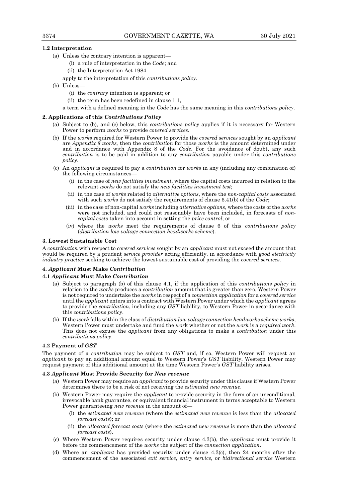# **1.2 Interpretation**

- (a) Unless the contrary intention is apparent—
	- (i) a rule of interpretation in the *Code*; and
	- (ii) the Interpretation Act 1984
	- apply to the interpretation of this *contributions policy*.
- (b) Unless—
	- (i) the *contrary* intention is apparent; or
	- (ii) the term has been redefined in clause 1.1,

a term with a defined meaning in the *Code* has the same meaning in this *contributions policy*.

## **2. Applications of this** *Contributions Policy*

- (a) Subject to (b), and (c) below, this *contributions policy* applies if it is necessary for Western Power to perform *works* to provide *covered services*.
- (b) If the *works* required for Western Power to provide the *covered services* sought by an *applicant*  are *Appendix 8 works,* then the *contribution* for those *works* is the amount determined under and in accordance with Appendix 8 of the *Code*. For the avoidance of doubt, any such *contribution* is to be paid in addition to any *contribution* payable under this *contributions policy*.
- (c) An *applicant* is required to pay a *contribution* for *works* in any (including any combination of) the following circumstances—
	- (i) in the case of *new facilities investment*, where the capital costs incurred in relation to the relevant *works* do not satisfy the *new facilities investment test*;
	- (ii) in the case of *works* related to *alternative options*, where the *non-capital costs* associated with such *works* do not satisfy the requirements of clause 6.41(b) of the *Code*;
	- (iii) in the case of non-capital *works* including *alternative options*, where the costs of the *works* were not included, and could not reasonably have been included, in forecasts of *noncapital costs* taken into account in setting the *price control*; or
	- (iv) where the *works* meet the requirements of clause 6 of this *contributions policy* (*distribution low voltage connection headworks scheme*).

## **3. Lowest Sustainable Cost**

A *contribution* with respect to *covered services* sought by an *applicant* must not exceed the amount that would be required by a prudent *service provider* acting efficiently, in accordance with *good electricity industry practice* seeking to achieve the lowest sustainable cost of providing the *covered services*.

## **4.** *Applicant* **Must Make** *Contribution*

## **4.1** *Applicant* **Must Make** *Contribution*

- (a) Subject to paragraph (b) of this clause 4.1, if the application of this *contributions policy* in relation to the *works* produces a *contribution* amount that is greater than zero, Western Power is not required to undertake the *works* in respect of a *connection application* for a *covered service* until the *applicant* enters into a contract with Western Power under which the *applicant* agrees to provide the *contribution*, including any *GST* liability, to Western Power in accordance with this *contributions policy*.
- (b) If the *work* falls within the class of *distribution low voltage connection headworks scheme works*, Western Power must undertake and fund the *wor*k whether or not the *work* is a *required work*. This does not excuse the *applicant* from any obligations to make a *contribution* under this *contributions policy*.

## **4.2 Payment of** *GST*

The payment of a *contribution* may be subject to *GST* and, if so, Western Power will request an *applican*t to pay an additional amount equal to Western Power's *GST* liability. Western Power may request payment of this additional amount at the time Western Power's *GST* liability arises.

#### **4.3** *Applicant* **Must Provide Security for** *New revenue*

- (a) Western Power may require an *applicant* to provide security under this clause if Western Power determines there to be a risk of not receiving the *estimated new revenue*.
- (b) Western Power may require the *applicant* to provide security in the form of an unconditional, irrevocable bank guarantee, or equivalent financial instrument in terms acceptable to Western Power guaranteeing *new revenue* in the amount of—
	- (i) the *estimated new revenue* (where the *estimated new revenue* is less than the *allocated forecast costs*); or
	- (ii) the *allocated forecast costs* (where the *estimated new revenue* is more than the *allocated forecast costs*).
- (c) Where Western Power requires security under clause 4.3(b), the *applicant* must provide it before the commencement of the *works* the subject of the *connection application*.
- (d) Where an *applicant* has provided security under clause 4.3(c), then 24 months after the commencement of the associated *exit service*, *entry service*, or *bidirectional service* Western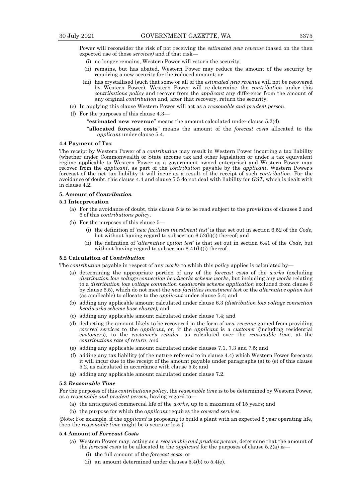Power will reconsider the risk of not receiving the *estimated new revenue* (based on the then expected use of those *services)* and if that risk—

- (i) no longer remains, Western Power will return the security;
- (ii) remains, but has abated, Western Power may reduce the amount of the security by requiring a new security for the reduced amount; or
- (iii) has crystallised (such that some or all of the *estimated new revenue* will not be recovered by Western Power), Western Power will re-determine the *contribution* under this *contributions policy* and recover from the *applicant* any difference from the amount of any original *contribution* and, after that recovery, return the security.
- (e) In applying this clause Western Power will act as a *reasonable and prudent person*.
- (f) For the purposes of this clause 4.3—

"**estimated new revenue**" means the amount calculated under clause 5.2(d).

"**allocated forecast costs**" means the amount of the *forecast costs* allocated to the *applicant* under clause 5.4.

## **4.4 Payment of Tax**

The receipt by Western Power of a *contribution* may result in Western Power incurring a tax liability (whether under Commonwealth or State income tax and other legislation or under a tax equivalent regime applicable to Western Power as a government owned enterprise) and Western Power may recover from the *applicant*, as part of the *contribution* payable by the *applicant*, Western Power's forecast of the net tax liability it will incur as a result of the receipt of such *contribution*. For the avoidance of doubt, this clause 4.4 and clause 5.5 do not deal with liability for *GST*, which is dealt with in clause 4.2.

# **5. Amount of** *Contribution*

## **5.1 Interpretation**

- (a) For the avoidance of doubt, this clause 5 is to be read subject to the provisions of clauses 2 and 6 of this *contributions policy*.
- (b) For the purposes of this clause 5—
	- (i) the definition of '*new facilities investment test'* is that set out in section 6.52 of the *Code*, but without having regard to subsection 6.52(b)(i) thereof; and
	- (ii) the definition of '*alternative option test*' is that set out in section 6.41 of the *Code*, but without having regard to subsection 6.41(b)(i) thereof.

# **5.2 Calculation of** *Contribution*

The *contribution* payable in respect of any *works* to which this *policy* applies is calculated by—

- (a) determining the appropriate portion of any of the *forecast costs* of the *works* (excluding *distribution low voltage connection headworks scheme works*, but including any *works* relating to a *distribution low voltage connection headworks scheme application* excluded from clause 6 by clause 6.5), which do not meet the *new facilities investment tes*t or the *alternative option test*  (as applicable) to allocate to the *applicant* under clause 5.4; and
- (b) adding any applicable amount calculated under clause 6.3 *(distribution low voltage connection headworks scheme base charge);* and
- (c) adding any applicable amount calculated under clause 7.4; and
- (d) deducting the amount likely to be recovered in the form of *new revenue* gained from providing *covered services* to the *applicant*, or, if the *applicant* is a *customer* (including residential *customer*s), to the *customer's retailer*, as calculated over the *reasonable time*, at the *contributions rate of return*; and
- (e) adding any applicable amount calculated under clauses 7.1, 7.3 and 7.5; and
- (f) adding any tax liability (of the nature referred to in clause 4.4) which Western Power forecasts it will incur due to the receipt of the amount payable under paragraphs (a) to (e) of this clause 5.2, as calculated in accordance with clause 5.5; and
- (g) adding any applicable amount calculated under clause 7.2.

#### **5.3** *Reasonable Time*

For the purposes of this *contributions policy*, the *reasonable time* is to be determined by Western Power, as a *reasonable and prudent person*, having regard to—

- (a) the anticipated commercial life of the *works*, up to a maximum of 15 years; and
- (b) the purpose for which the *applicant* requires the *covered services*.

{Note: For example, if the *applicant* is proposing to build a plant with an expected 5 year operating life, then the *reasonable time* might be 5 years or less.}

# **5.4 Amount of** *Forecast Costs*

- (a) Western Power may, acting as a *reasonable and prudent person*, determine that the amount of the *forecast costs* to be allocated to the *applicant* for the purposes of clause 5.2(a) is—
	- (i) the full amount of the *forecast costs*; or
	- (ii) an amount determined under clauses 5.4(b) to 5.4(e).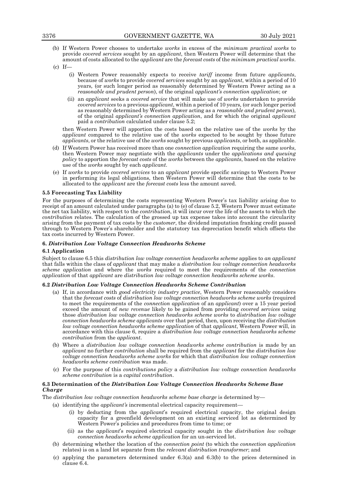- (b) If Western Power chooses to undertake *works* in excess of the *minimum practical works* to provide *covered services* sought by an *applicant*, then Western Power will determine that the amount of costs allocated to the *applicant* are the *forecast costs* of the *minimum practical works*.
- $(c)$  If-
	- (i) Western Power reasonably expects to receive *tariff* income from future *applicants*, because of *works* to provide *covered services* sought by an *applicant*, within a period of 10 years*,* (or such longer period as reasonably determined by Western Power acting as a *reasonable and prudent person*), of the original *applicant's connection application*; or
	- (ii) an *applicant* seeks a *covered service* that will make use of *works* undertaken to provide *covered services* to a previous *applicant*, within a period of 10 years*,* (or such longer period as reasonably determined by Western Power acting as a *reasonable and prudent person*), of the original *applicant's connection application*, and for which the original *applicant* paid a *contribution* calculated under clause 5.2;

then Western Power will apportion the costs based on the relative use of the *works* by the *applicant* compared to the relative use of the *works* expected to be sought by those future *applicants*, or the relative use of the *works* sought by previous *applicants*, or both, as applicable.

- (d) If Western Power has received more than one *connection application* requiring the same *works*, then Western Power may negotiate with the *applicants* under the *applications and queuing policy* to apportion the *forecast costs* of the *works* between the *applicants*, based on the relative use of the *works* sought by each *applicant*.
- (e) If *works* to provide *covered services* to an *applicant* provide specific savings to Western Power in performing its legal obligations, then Western Power will determine that the costs to be allocated to the *applicant* are the *forecast costs* less the amount saved.

# **5.5 Forecasting Tax Liability**

For the purposes of determining the costs representing Western Power's tax liability arising due to receipt of an amount calculated under paragraphs (a) to (e) of clause 5.2, Western Power must estimate the net tax liability, with respect to the *contribution*, it will incur over the life of the assets to which the *contribution* relates. The calculation of the grossed up tax expense takes into account the circularity arising from the payment of tax costs by the *customer*, the dividend imputation franking credit passed through to Western Power's shareholder and the statutory tax depreciation benefit which offsets the tax costs incurred by Western Power.

# **6.** *Distribution Low Voltage Connection Headworks Scheme*

## **6.1 Application**

Subject to clause 6.5 this *distribution low voltage connection headworks scheme* applies to *an applicant* that falls within the class of *applicant* that may make a *distribution low voltage connection headworks scheme application* and where the *works* required to meet the requirements of the *connection application* of that *applicant* are *distribution low voltage connection headworks scheme works*.

## **6.2** *Distribution Low Voltage Connection Headworks Scheme Contribution*

- (a) If, in accordance with *good electricity industry practice*, Western Power reasonably considers that the *forecast costs* of *distribution low voltage connection headworks scheme works* (required to meet the requirements of the *connection application* of an *applicant*) over a 15 year period exceed the amount of *new revenue* likely to be gained from providing *covered services* using those *distribution low voltage connection headworks scheme works* to *distribution low voltage connection headworks scheme applicants* over that period, then, upon receiving the *distribution low voltage connection headworks scheme application* of that *applicant*, Western Power will, in accordance with this clause 6, require a *distribution low voltage connection headworks scheme contribution* from the *applicant*.
- (b) Where a *distribution low voltage connection headworks scheme contribution* is made by an *applicant* no further *contribution* shall be required from the *applicant* for the *distribution low voltage connection headworks scheme works* for which that *distribution low voltage connection headworks scheme contribution* was made.
- (c) For the purpose of this *contributions policy* a *distribution low voltage connection headworks scheme contribution* is a *capital contribution*.

# **6.3 Determination of the** *Distribution Low Voltage Connection Headworks Scheme Base Charge*

The *distribution low voltage connection headworks scheme base charge* is determined by—

- (a) identifying the *applicant's* incremental electrical capacity requirement—
	- (i) by deducting from the *applicant*'s required electrical capacity, the original design capacity for a greenfield development on an existing serviced lot as determined by Western Power's policies and procedures from time to time; or
	- (ii) as the *applicant*'s required electrical capacity sought in the *distribution low voltage connection headworks scheme application* for an un-serviced lot.
- (b) determining whether the location of the *connection point* (to which the *connection application*  relates) is on a land lot separate from the *relevant distribution transformer*; and
- (c) applying the parameters determined under 6.3(a) and 6.3(b) to the prices determined in clause 6.4.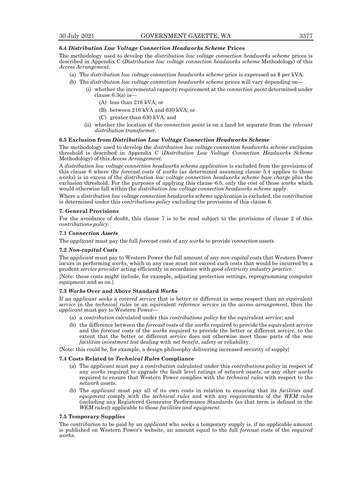## **6.4** *Distribution Low Voltage Connection Headworks Scheme* **Prices**

The methodology used to develop the *distribution low voltage connection headworks scheme* prices is described in Appendix C (*Distribution low voltage connection headworks scheme* Methodology) of this *Access Arrangement*.

- (a) The *distribution low voltage connection headworks scheme* price is expressed as \$ per kVA.
- (b) The *distribution low voltage connection headworks scheme* prices will vary depending on—
	- (i) whether the incremental capacity requirement at the *connection point* determined under clause 6.3(a) is—
		- (A) less than 216 kVA; or
		- (B) between 216 kVA and 630 kVA; or
		- (C) greater than 630 kVA, and
		- (ii) whether the location of the *connection point* is on a land lot separate from the *relevant distribution transformer*.

## **6.5 Exclusion from** *Distribution Low Voltage Connection Headworks Scheme*

The methodology used to develop the *distribution low voltage connection headworks scheme* exclusion threshold is described in Appendix C (*Distribution Low Voltage Connection Headworks Scheme*  Methodology) of this *Access Arrangement*.

A *distribution low voltage connection headworks scheme application* is excluded from the provisions of this clause 6 where the *forecast costs* of *works* (as determined assuming clause 5.4 applies to those *works*) is in excess of the *distribution low voltage connection headworks scheme base charge* plus the exclusion threshold. For the purposes of applying this clause 6.5, only the cost of those *works* which would otherwise fall within the *distribution low voltage connection headworks scheme* apply.

Where a *distribution low voltage connection headworks scheme application* is excluded, the *contribution*  is determined under this *contributions policy* excluding the provisions of this clause 6.

#### **7. General Provisions**

For the avoidance of doubt, this clause 7 is to be read subject to the provisions of clause 2 of this *contributions policy*.

## **7.1** *Connection Assets*

The *applicant* must pay the full *forecast costs* of any *works* to provide *connection assets*.

## **7.2** *Non-capital Costs*

The *applicant* must pay to Western Power the full amount of any *non-capital costs* that Western Power incurs in performing *works*, which in any case must not exceed such costs that would be incurred by a prudent *service provider* acting efficiently in accordance with *good electricity industry practice*.

{Note: these costs might include, for example, adjusting protection settings, reprogramming computer equipment and so on.}

## **7.3** *Works* **Over and Above Standard** *Works*

If an *applicant* seeks a *covered service* that is better or different in some respect than an equivalent *service* in the *technical rules* or an equivalent *reference service* in the *access arrangement*, then the *applicant* must pay to Western Power—

- (a) a *contribution* calculated under this *contributions policy* for the equivalent *service*; and
- (b) the difference between the *forecast costs* of the *works* required to provide the equivalent *service* and the *forecast costs* of the *works* required to provide the better or different *service*, to the extent that the better or different *service* does not otherwise meet those parts of the *new facilities investment test* dealing with *net benefit*, safety or reliability.

{Note: this could be, for example, a design philosophy delivering increased security of supply}

#### **7.4 Costs Related to** *Technical Rules* **Compliance**

- (a) The *applicant* must pay a *contribution* calculated under this *contributions policy* in respect of any *works* required to upgrade the fault level ratings of *network assets*, or any other *works* required to ensure that Western Power complies with the *technical rules* with respect to the *network assets*.
- (b) The *applicant* must pay all of its own costs in relation to ensuring that its *facilities and equipment* comply with the *technical rules* and with any requirements of the *WEM rules*  (including any Registered Generator Performance Standards (as that term is defined in the *WEM rules*)) applicable to those *facilities and equipment*.

# **7.5 Temporary Supplies**

The *contribution* to be paid by an *applicant* who seeks a temporary supply is, if no applicable amount is published on Western Power's website, an amount equal to the full *forecast costs* of the *required works*.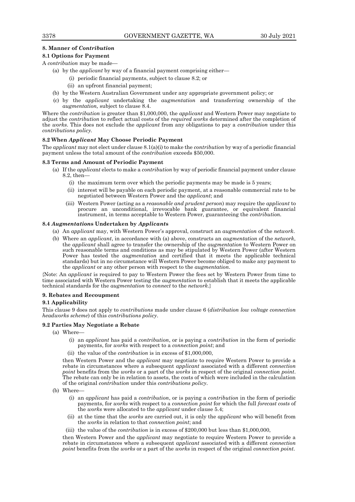# **8. Manner of** *Contribution*

# **8.1 Options for Payment**

A *contribution* may be made—

- (a) by the *applicant* by way of a financial payment comprising either—
	- (i) periodic financial payments, subject to clause 8.2; or
	- (ii) an upfront financial payment;
- (b) by the Western Australian Government under any appropriate government policy; or
- (c) by the *applicant* undertaking the *augmentation* and transferring ownership of the *augmentation,* subject to clause 8.4.

Where the *contribution* is greater than \$1,000,000, the *applicant* and Western Power may negotiate to adjust the *contribution* to reflect actual costs of the *required works* determined after the completion of the *works*. This does not exclude the *applicant* from any obligations to pay a *contribution* under this *contributions policy.*

# **8.2 When** *Applicant* **May Choose Periodic Payment**

The *applicant* may not elect under clause 8.1(a)(i) to make the *contribution* by way of a periodic financial payment unless the total amount of the *contribution* exceeds \$50,000.

# **8.3 Terms and Amount of Periodic Payment**

- (a) If the *applica*n*t* elects to make a *contribution* by way of periodic financial payment under clause 8.2, then—
	- (i) the maximum term over which the periodic payments may be made is 5 years;
	- (ii) interest will be payable on each periodic payment, at a reasonable commercial rate to be negotiated between Western Power and the *applicant*; and
	- (iii) Western Power (acting as a *reasonable and prudent person*) may require the *applicant* to procure an unconditional, irrevocable bank guarantee, or equivalent financial instrument, in terms acceptable to Western Power, guaranteeing the *contribution.*

# **8.4** *Augmentation***s Undertaken by** *Applicant***s**

- (a) An *applicant* may, with Western Power's approval, construct an *augmentation* of the *network*.
- (b) Where an *applicant*, in accordance with (a) above, constructs an *augmentation* of the *network*, the *applicant* shall agree to transfer the ownership of the *augmentation* to Western Power on such reasonable terms and conditions as may be stipulated by Western Power (after Western Power has tested the *augmentation* and certified that it meets the applicable technical standards) but in no circumstance will Western Power become obliged to make any payment to the *applicant* or any other person with respect to the *augmentation*.

{Note: An *applicant* is required to pay to Western Power the fees set by Western Power from time to time associated with Western Power testing the *augmentation* to establish that it meets the applicable technical standards for the *augmentation* to *connect* to the *network*.}

#### **9. Rebates and Recoupment**

# **9.1 Applicability**

This clause 9 does not apply to *contributions* made under clause 6 (*distribution low voltage connection headworks scheme*) of this *contributions policy*.

# **9.2 Parties May Negotiate a Rebate**

- (a) Where—
	- (i) an *applicant* has paid a *contribution*, or is paying a *contribution* in the form of periodic payments, for *works* with respect to a *connection point*; and
	- (ii) the value of the *contribution* is in excess of \$1,000,000,

then Western Power and the *applicant* may negotiate to require Western Power to provide a rebate in circumstances where a subsequent *applicant* associated with a different *connection point* benefits from the *works* or a part of the *works* in respect of the original *connection point*. The rebate can only be in relation to assets, the costs of which were included in the calculation of the original *contribution* under this *contributions policy*.

- (b) Where—
	- (i) an *applicant* has paid a *contribution*, or is paying a *contribution* in the form of periodic payments, for *works* with respect to a *connection point* for which the full *forecast costs* of the *works* were allocated to the *applicant* under clause 5.4;
	- (ii) at the time that the *works* are carried out, it is only the *applicant* who will benefit from the *works* in relation to that *connection point*; and
	- (iii) the value of the *contribution* is in excess of \$200,000 but less than \$1,000,000,

then Western Power and the *applicant* may negotiate to require Western Power to provide a rebate in circumstances where a subsequent *applicant* associated with a different *connection point* benefits from the *works* or a part of the *works* in respect of the original *connection point*.